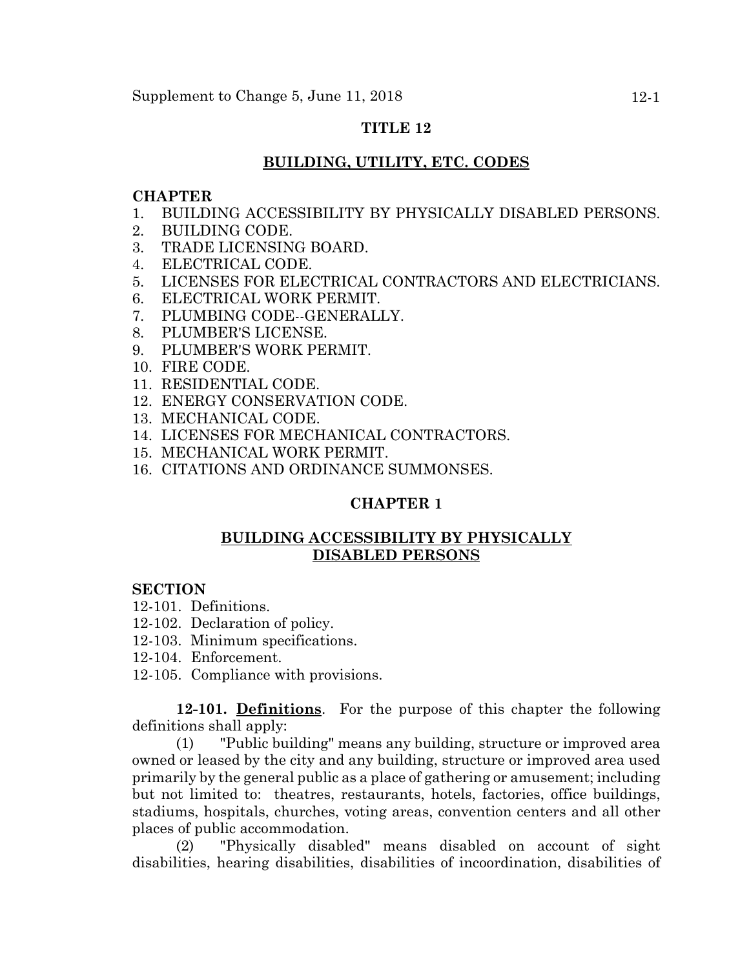# **TITLE 12**

# **BUILDING, UTILITY, ETC. CODES**

# **CHAPTER**

- 1. BUILDING ACCESSIBILITY BY PHYSICALLY DISABLED PERSONS.
- 2. BUILDING CODE.
- 3. TRADE LICENSING BOARD.
- 4. ELECTRICAL CODE.
- 5. LICENSES FOR ELECTRICAL CONTRACTORS AND ELECTRICIANS.
- 6. ELECTRICAL WORK PERMIT.
- 7. PLUMBING CODE--GENERALLY.
- 8. PLUMBER'S LICENSE.
- 9. PLUMBER'S WORK PERMIT.
- 10. FIRE CODE.
- 11. RESIDENTIAL CODE.
- 12. ENERGY CONSERVATION CODE.
- 13. MECHANICAL CODE.
- 14. LICENSES FOR MECHANICAL CONTRACTORS.
- 15. MECHANICAL WORK PERMIT.
- 16. CITATIONS AND ORDINANCE SUMMONSES.

# **CHAPTER 1**

# **BUILDING ACCESSIBILITY BY PHYSICALLY DISABLED PERSONS**

# **SECTION**

- 12-101. Definitions.
- 12-102. Declaration of policy.
- 12-103. Minimum specifications.
- 12-104. Enforcement.
- 12-105. Compliance with provisions.

**12-101. Definitions**. For the purpose of this chapter the following definitions shall apply:

(1) "Public building" means any building, structure or improved area owned or leased by the city and any building, structure or improved area used primarily by the general public as a place of gathering or amusement; including but not limited to: theatres, restaurants, hotels, factories, office buildings, stadiums, hospitals, churches, voting areas, convention centers and all other places of public accommodation.

(2) "Physically disabled" means disabled on account of sight disabilities, hearing disabilities, disabilities of incoordination, disabilities of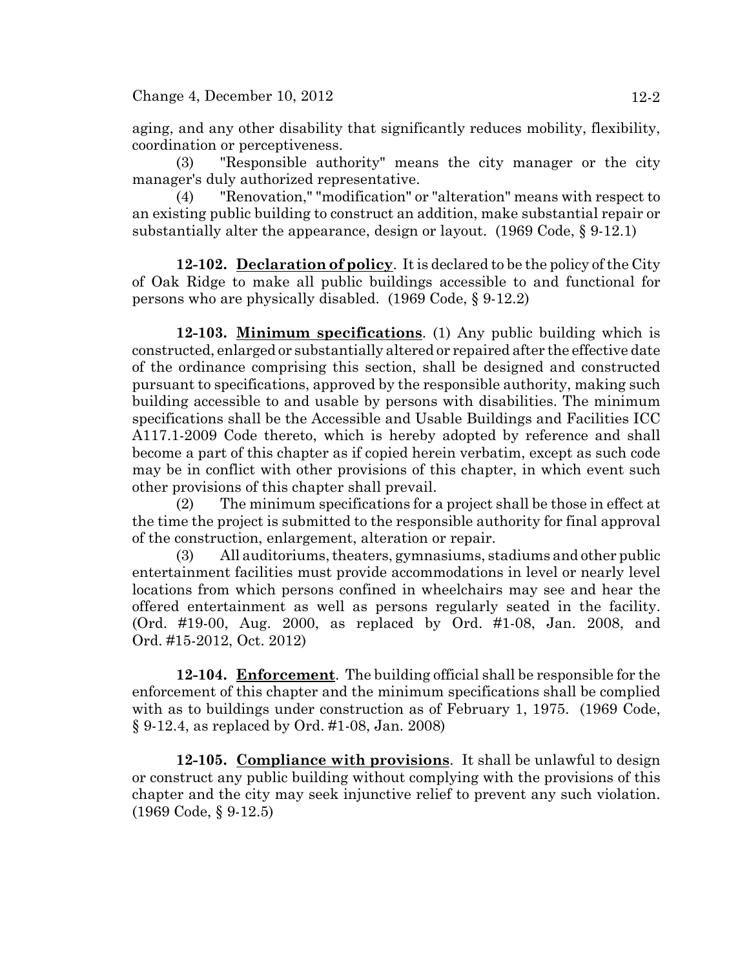aging, and any other disability that significantly reduces mobility, flexibility, coordination or perceptiveness.

(3) "Responsible authority" means the city manager or the city manager's duly authorized representative.

(4) "Renovation," "modification" or "alteration" means with respect to an existing public building to construct an addition, make substantial repair or substantially alter the appearance, design or layout. (1969 Code, § 9-12.1)

**12-102. Declaration of policy**. It is declared to be the policy of the City of Oak Ridge to make all public buildings accessible to and functional for persons who are physically disabled. (1969 Code, § 9-12.2)

**12-103. Minimum specifications**. (1) Any public building which is constructed, enlarged or substantially altered or repaired after the effective date of the ordinance comprising this section, shall be designed and constructed pursuant to specifications, approved by the responsible authority, making such building accessible to and usable by persons with disabilities. The minimum specifications shall be the Accessible and Usable Buildings and Facilities ICC A117.1-2009 Code thereto, which is hereby adopted by reference and shall become a part of this chapter as if copied herein verbatim, except as such code may be in conflict with other provisions of this chapter, in which event such other provisions of this chapter shall prevail.

(2) The minimum specifications for a project shall be those in effect at the time the project is submitted to the responsible authority for final approval of the construction, enlargement, alteration or repair.

(3) All auditoriums, theaters, gymnasiums, stadiums and other public entertainment facilities must provide accommodations in level or nearly level locations from which persons confined in wheelchairs may see and hear the offered entertainment as well as persons regularly seated in the facility. (Ord. #19-00, Aug. 2000, as replaced by Ord. #1-08, Jan. 2008, and Ord. #15-2012, Oct. 2012)

**12-104. Enforcement**. The building official shall be responsible for the enforcement of this chapter and the minimum specifications shall be complied with as to buildings under construction as of February 1, 1975. (1969 Code, § 9-12.4, as replaced by Ord. #1-08, Jan. 2008)

**12-105. Compliance with provisions**. It shall be unlawful to design or construct any public building without complying with the provisions of this chapter and the city may seek injunctive relief to prevent any such violation. (1969 Code, § 9-12.5)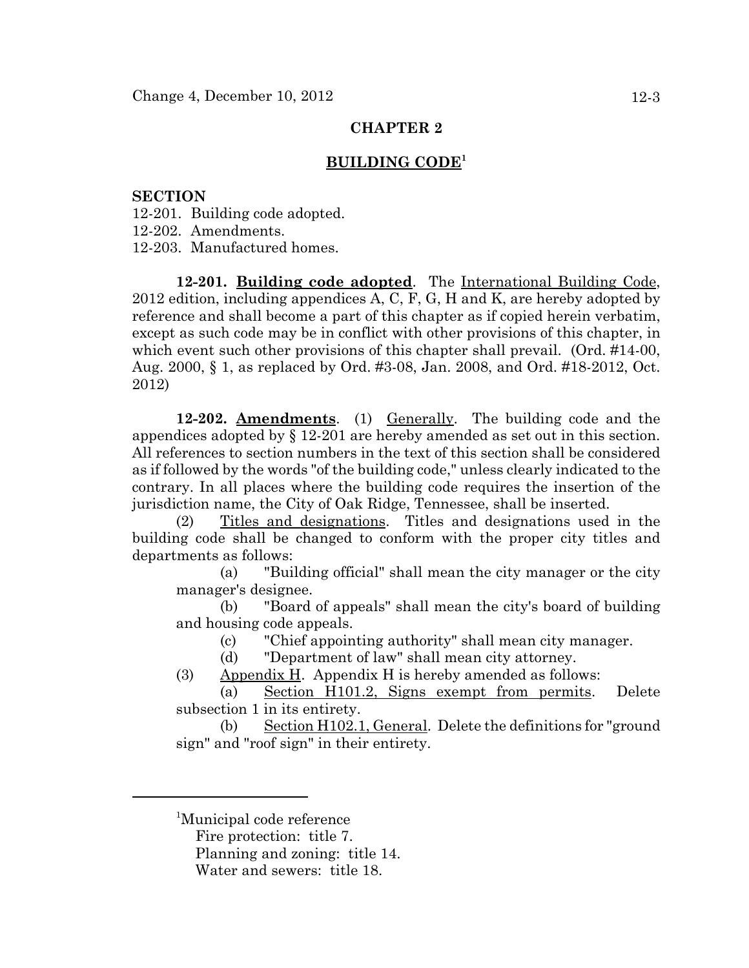### **BUILDING CODE1**

#### **SECTION**

12-201. Building code adopted.

12-202. Amendments.

12-203. Manufactured homes.

**12-201. Building code adopted**. The International Building Code, 2012 edition, including appendices A, C, F, G, H and K, are hereby adopted by reference and shall become a part of this chapter as if copied herein verbatim, except as such code may be in conflict with other provisions of this chapter, in which event such other provisions of this chapter shall prevail. (Ord. #14-00, Aug. 2000, § 1, as replaced by Ord. #3-08, Jan. 2008, and Ord. #18-2012, Oct. 2012)

**12-202. Amendments**. (1) Generally. The building code and the appendices adopted by § 12-201 are hereby amended as set out in this section. All references to section numbers in the text of this section shall be considered as if followed by the words "of the building code," unless clearly indicated to the contrary. In all places where the building code requires the insertion of the jurisdiction name, the City of Oak Ridge, Tennessee, shall be inserted.

(2) Titles and designations. Titles and designations used in the building code shall be changed to conform with the proper city titles and departments as follows:

(a) "Building official" shall mean the city manager or the city manager's designee.

(b) "Board of appeals" shall mean the city's board of building and housing code appeals.

(c) "Chief appointing authority" shall mean city manager.

(d) "Department of law" shall mean city attorney.

(3) Appendix H. Appendix H is hereby amended as follows:

(a) Section H101.2, Signs exempt from permits. Delete subsection 1 in its entirety.

(b) Section H102.1, General. Delete the definitions for "ground sign" and "roof sign" in their entirety.

<sup>1</sup>Municipal code reference

Fire protection: title 7.

Planning and zoning: title 14.

Water and sewers: title 18.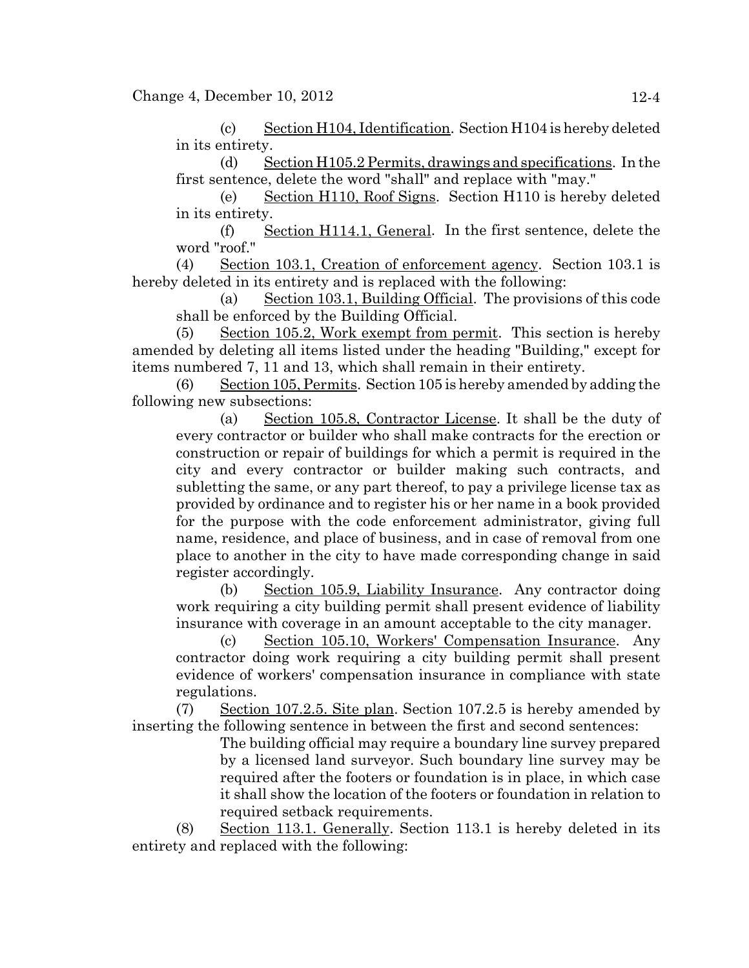(c) Section H104, Identification. Section H104 is hereby deleted in its entirety.

(d) Section H105.2 Permits, drawings and specifications. In the first sentence, delete the word "shall" and replace with "may."

(e) Section H110, Roof Signs. Section H110 is hereby deleted in its entirety.

(f) Section H114.1, General. In the first sentence, delete the word "roof."

(4) Section 103.1, Creation of enforcement agency. Section 103.1 is hereby deleted in its entirety and is replaced with the following:

(a) Section 103.1, Building Official. The provisions of this code shall be enforced by the Building Official.

(5) Section 105.2, Work exempt from permit. This section is hereby amended by deleting all items listed under the heading "Building," except for items numbered 7, 11 and 13, which shall remain in their entirety.

(6) Section 105, Permits. Section 105 is hereby amended by adding the following new subsections:

(a) Section 105.8, Contractor License. It shall be the duty of every contractor or builder who shall make contracts for the erection or construction or repair of buildings for which a permit is required in the city and every contractor or builder making such contracts, and subletting the same, or any part thereof, to pay a privilege license tax as provided by ordinance and to register his or her name in a book provided for the purpose with the code enforcement administrator, giving full name, residence, and place of business, and in case of removal from one place to another in the city to have made corresponding change in said register accordingly.

(b) Section 105.9, Liability Insurance. Any contractor doing work requiring a city building permit shall present evidence of liability insurance with coverage in an amount acceptable to the city manager.

(c) Section 105.10, Workers' Compensation Insurance. Any contractor doing work requiring a city building permit shall present evidence of workers' compensation insurance in compliance with state regulations.

(7) Section 107.2.5. Site plan. Section 107.2.5 is hereby amended by inserting the following sentence in between the first and second sentences:

The building official may require a boundary line survey prepared by a licensed land surveyor. Such boundary line survey may be required after the footers or foundation is in place, in which case it shall show the location of the footers or foundation in relation to required setback requirements.

(8) Section 113.1. Generally. Section 113.1 is hereby deleted in its entirety and replaced with the following: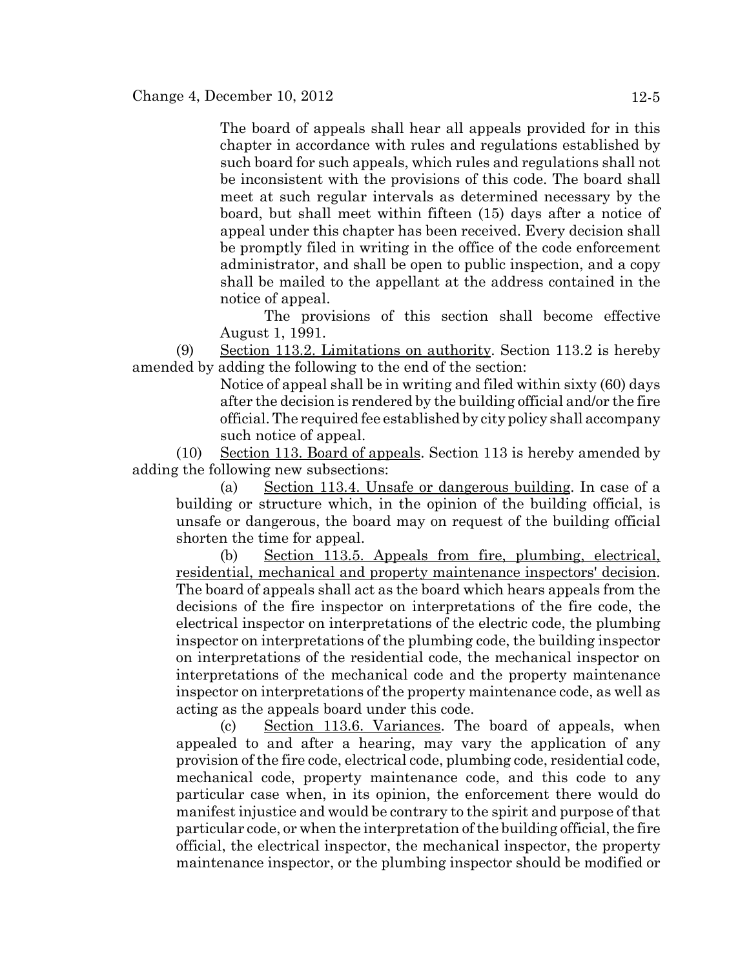The board of appeals shall hear all appeals provided for in this chapter in accordance with rules and regulations established by such board for such appeals, which rules and regulations shall not be inconsistent with the provisions of this code. The board shall meet at such regular intervals as determined necessary by the board, but shall meet within fifteen (15) days after a notice of appeal under this chapter has been received. Every decision shall be promptly filed in writing in the office of the code enforcement administrator, and shall be open to public inspection, and a copy shall be mailed to the appellant at the address contained in the notice of appeal.

The provisions of this section shall become effective August 1, 1991.

(9) Section 113.2. Limitations on authority. Section 113.2 is hereby amended by adding the following to the end of the section:

> Notice of appeal shall be in writing and filed within sixty (60) days after the decision is rendered by the building official and/or the fire official. The required fee established by city policy shall accompany such notice of appeal.

(10) Section 113. Board of appeals. Section 113 is hereby amended by adding the following new subsections:

(a) Section 113.4. Unsafe or dangerous building. In case of a building or structure which, in the opinion of the building official, is unsafe or dangerous, the board may on request of the building official shorten the time for appeal.

(b) Section 113.5. Appeals from fire, plumbing, electrical, residential, mechanical and property maintenance inspectors' decision. The board of appeals shall act as the board which hears appeals from the decisions of the fire inspector on interpretations of the fire code, the electrical inspector on interpretations of the electric code, the plumbing inspector on interpretations of the plumbing code, the building inspector on interpretations of the residential code, the mechanical inspector on interpretations of the mechanical code and the property maintenance inspector on interpretations of the property maintenance code, as well as acting as the appeals board under this code.

(c) Section 113.6. Variances. The board of appeals, when appealed to and after a hearing, may vary the application of any provision of the fire code, electrical code, plumbing code, residential code, mechanical code, property maintenance code, and this code to any particular case when, in its opinion, the enforcement there would do manifest injustice and would be contrary to the spirit and purpose of that particular code, or when the interpretation of the building official, the fire official, the electrical inspector, the mechanical inspector, the property maintenance inspector, or the plumbing inspector should be modified or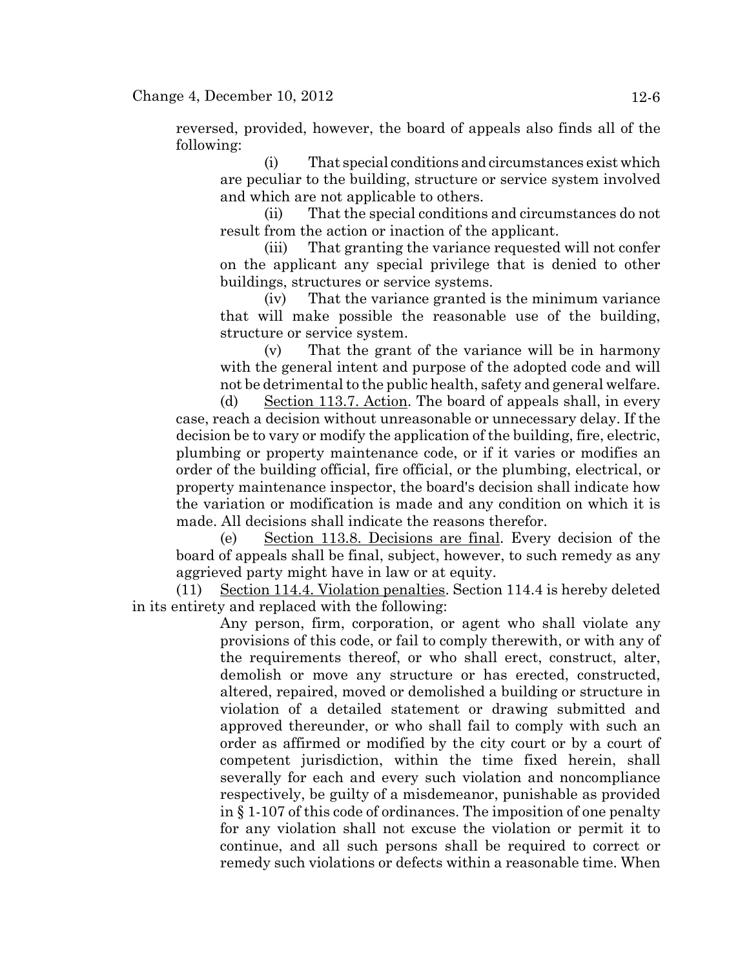#### Change 4, December 10,  $2012$  12-6

reversed, provided, however, the board of appeals also finds all of the following:

(i) That special conditions and circumstances exist which are peculiar to the building, structure or service system involved and which are not applicable to others.

(ii) That the special conditions and circumstances do not result from the action or inaction of the applicant.

(iii) That granting the variance requested will not confer on the applicant any special privilege that is denied to other buildings, structures or service systems.

(iv) That the variance granted is the minimum variance that will make possible the reasonable use of the building, structure or service system.

(v) That the grant of the variance will be in harmony with the general intent and purpose of the adopted code and will not be detrimental to the public health, safety and general welfare.

(d) Section 113.7. Action. The board of appeals shall, in every case, reach a decision without unreasonable or unnecessary delay. If the decision be to vary or modify the application of the building, fire, electric, plumbing or property maintenance code, or if it varies or modifies an order of the building official, fire official, or the plumbing, electrical, or property maintenance inspector, the board's decision shall indicate how the variation or modification is made and any condition on which it is made. All decisions shall indicate the reasons therefor.

(e) Section 113.8. Decisions are final. Every decision of the board of appeals shall be final, subject, however, to such remedy as any aggrieved party might have in law or at equity.

(11) Section 114.4. Violation penalties. Section 114.4 is hereby deleted in its entirety and replaced with the following:

> Any person, firm, corporation, or agent who shall violate any provisions of this code, or fail to comply therewith, or with any of the requirements thereof, or who shall erect, construct, alter, demolish or move any structure or has erected, constructed, altered, repaired, moved or demolished a building or structure in violation of a detailed statement or drawing submitted and approved thereunder, or who shall fail to comply with such an order as affirmed or modified by the city court or by a court of competent jurisdiction, within the time fixed herein, shall severally for each and every such violation and noncompliance respectively, be guilty of a misdemeanor, punishable as provided in § 1-107 of this code of ordinances. The imposition of one penalty for any violation shall not excuse the violation or permit it to continue, and all such persons shall be required to correct or remedy such violations or defects within a reasonable time. When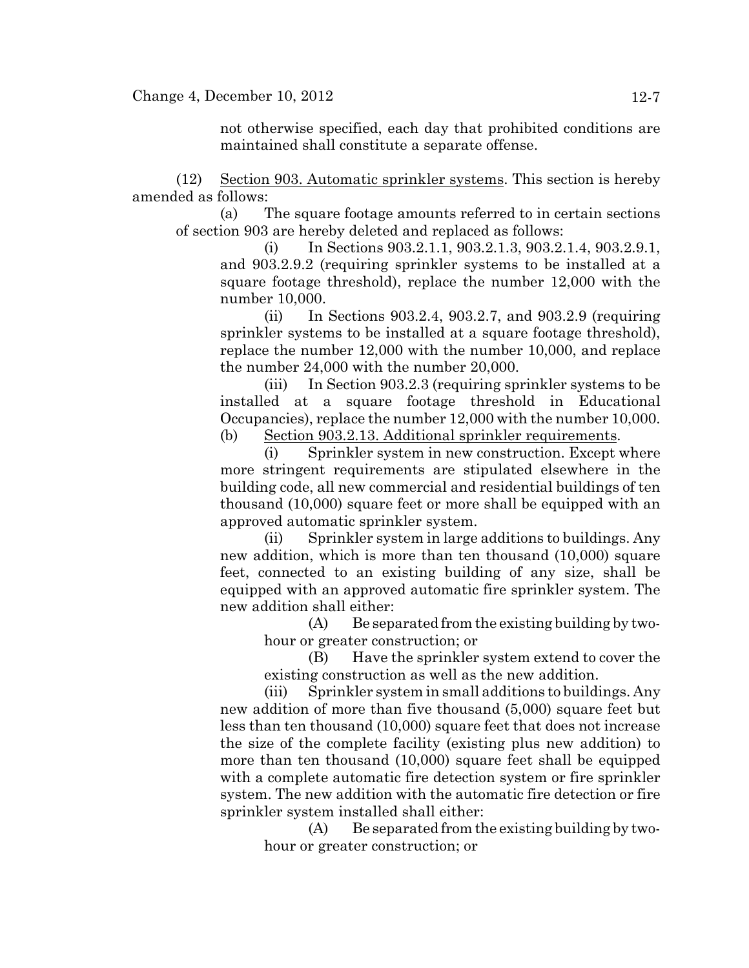not otherwise specified, each day that prohibited conditions are maintained shall constitute a separate offense.

(12) Section 903. Automatic sprinkler systems. This section is hereby amended as follows:

(a) The square footage amounts referred to in certain sections of section 903 are hereby deleted and replaced as follows:

(i) In Sections 903.2.1.1, 903.2.1.3, 903.2.1.4, 903.2.9.1, and 903.2.9.2 (requiring sprinkler systems to be installed at a square footage threshold), replace the number 12,000 with the number 10,000.

(ii) In Sections 903.2.4, 903.2.7, and 903.2.9 (requiring sprinkler systems to be installed at a square footage threshold), replace the number 12,000 with the number 10,000, and replace the number 24,000 with the number 20,000.

(iii) In Section 903.2.3 (requiring sprinkler systems to be installed at a square footage threshold in Educational Occupancies), replace the number 12,000 with the number 10,000.

(b) Section 903.2.13. Additional sprinkler requirements.

(i) Sprinkler system in new construction. Except where more stringent requirements are stipulated elsewhere in the building code, all new commercial and residential buildings of ten thousand (10,000) square feet or more shall be equipped with an approved automatic sprinkler system.

(ii) Sprinkler system in large additions to buildings. Any new addition, which is more than ten thousand (10,000) square feet, connected to an existing building of any size, shall be equipped with an approved automatic fire sprinkler system. The new addition shall either:

(A) Be separated from the existing building by twohour or greater construction; or

(B) Have the sprinkler system extend to cover the existing construction as well as the new addition.

(iii) Sprinkler system in small additions to buildings. Any new addition of more than five thousand (5,000) square feet but less than ten thousand (10,000) square feet that does not increase the size of the complete facility (existing plus new addition) to more than ten thousand (10,000) square feet shall be equipped with a complete automatic fire detection system or fire sprinkler system. The new addition with the automatic fire detection or fire sprinkler system installed shall either:

 $(A)$  Be separated from the existing building by twohour or greater construction; or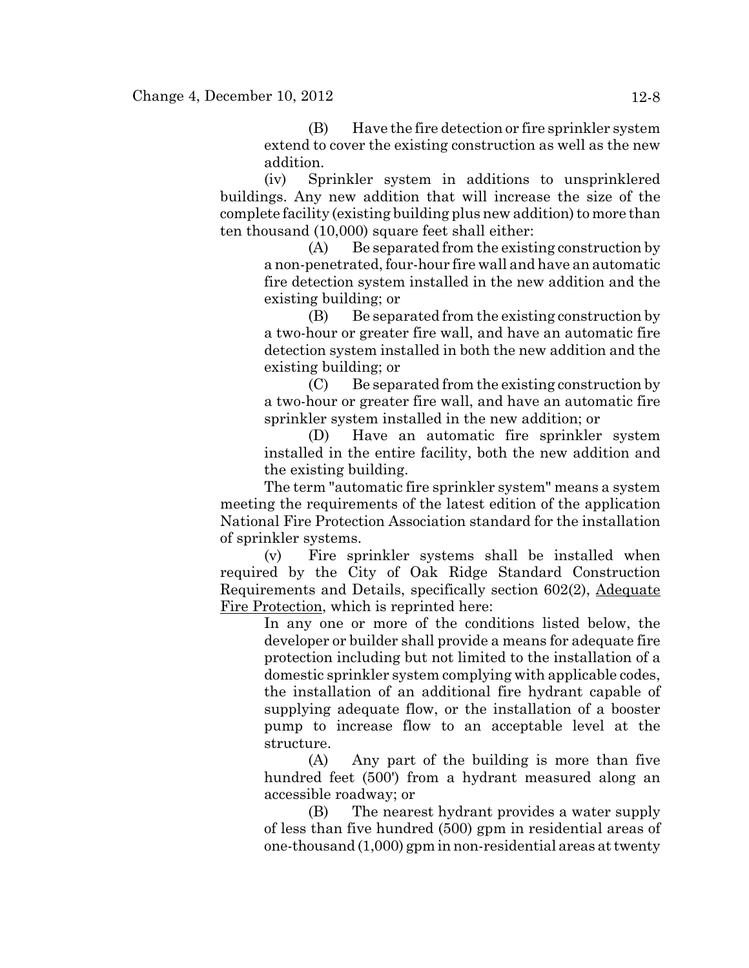(B) Have the fire detection or fire sprinkler system extend to cover the existing construction as well as the new addition.

(iv) Sprinkler system in additions to unsprinklered buildings. Any new addition that will increase the size of the complete facility (existing building plus new addition) to more than ten thousand (10,000) square feet shall either:

(A) Be separated from the existing construction by a non-penetrated, four-hour fire wall and have an automatic fire detection system installed in the new addition and the existing building; or

(B) Be separated from the existing construction by a two-hour or greater fire wall, and have an automatic fire detection system installed in both the new addition and the existing building; or

(C) Be separated from the existing construction by a two-hour or greater fire wall, and have an automatic fire sprinkler system installed in the new addition; or

(D) Have an automatic fire sprinkler system installed in the entire facility, both the new addition and the existing building.

The term "automatic fire sprinkler system" means a system meeting the requirements of the latest edition of the application National Fire Protection Association standard for the installation of sprinkler systems.

(v) Fire sprinkler systems shall be installed when required by the City of Oak Ridge Standard Construction Requirements and Details, specifically section 602(2), Adequate Fire Protection, which is reprinted here:

In any one or more of the conditions listed below, the developer or builder shall provide a means for adequate fire protection including but not limited to the installation of a domestic sprinkler system complying with applicable codes, the installation of an additional fire hydrant capable of supplying adequate flow, or the installation of a booster pump to increase flow to an acceptable level at the structure.

(A) Any part of the building is more than five hundred feet (500') from a hydrant measured along an accessible roadway; or

(B) The nearest hydrant provides a water supply of less than five hundred (500) gpm in residential areas of one-thousand (1,000) gpm in non-residential areas at twenty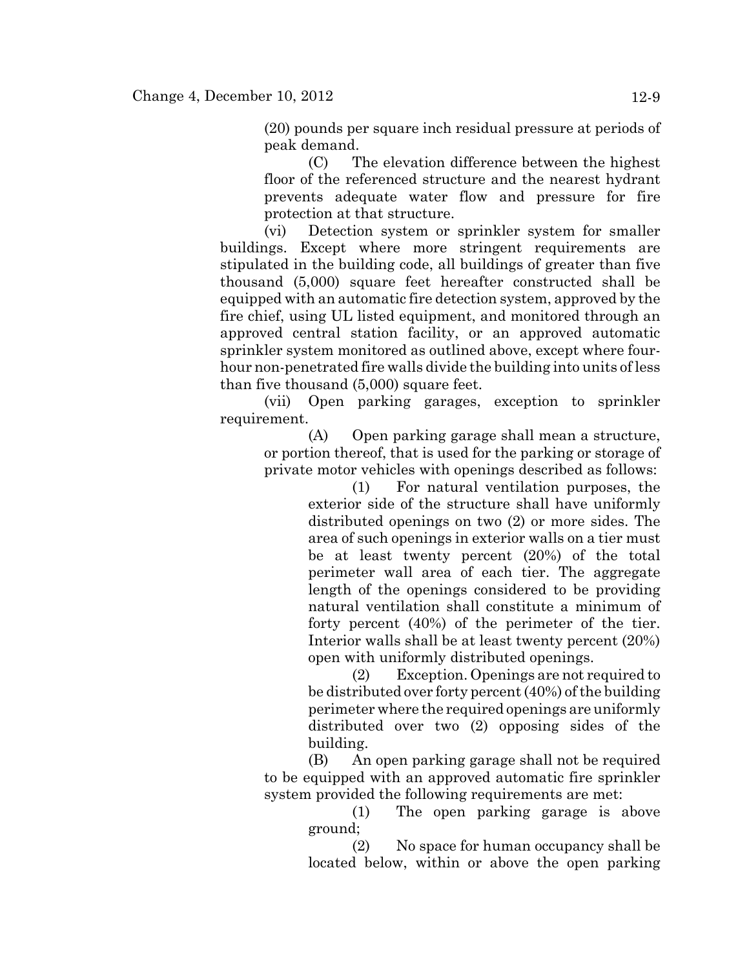(20) pounds per square inch residual pressure at periods of peak demand.

(C) The elevation difference between the highest floor of the referenced structure and the nearest hydrant prevents adequate water flow and pressure for fire protection at that structure.

(vi) Detection system or sprinkler system for smaller buildings. Except where more stringent requirements are stipulated in the building code, all buildings of greater than five thousand (5,000) square feet hereafter constructed shall be equipped with an automatic fire detection system, approved by the fire chief, using UL listed equipment, and monitored through an approved central station facility, or an approved automatic sprinkler system monitored as outlined above, except where fourhour non-penetrated fire walls divide the building into units of less than five thousand (5,000) square feet.

(vii) Open parking garages, exception to sprinkler requirement.

(A) Open parking garage shall mean a structure, or portion thereof, that is used for the parking or storage of private motor vehicles with openings described as follows:

> (1) For natural ventilation purposes, the exterior side of the structure shall have uniformly distributed openings on two (2) or more sides. The area of such openings in exterior walls on a tier must be at least twenty percent (20%) of the total perimeter wall area of each tier. The aggregate length of the openings considered to be providing natural ventilation shall constitute a minimum of forty percent (40%) of the perimeter of the tier. Interior walls shall be at least twenty percent (20%) open with uniformly distributed openings.

> (2) Exception. Openings are not required to be distributed over forty percent (40%) of the building perimeter where the required openings are uniformly distributed over two (2) opposing sides of the building.

(B) An open parking garage shall not be required to be equipped with an approved automatic fire sprinkler system provided the following requirements are met:

> (1) The open parking garage is above ground;

> (2) No space for human occupancy shall be located below, within or above the open parking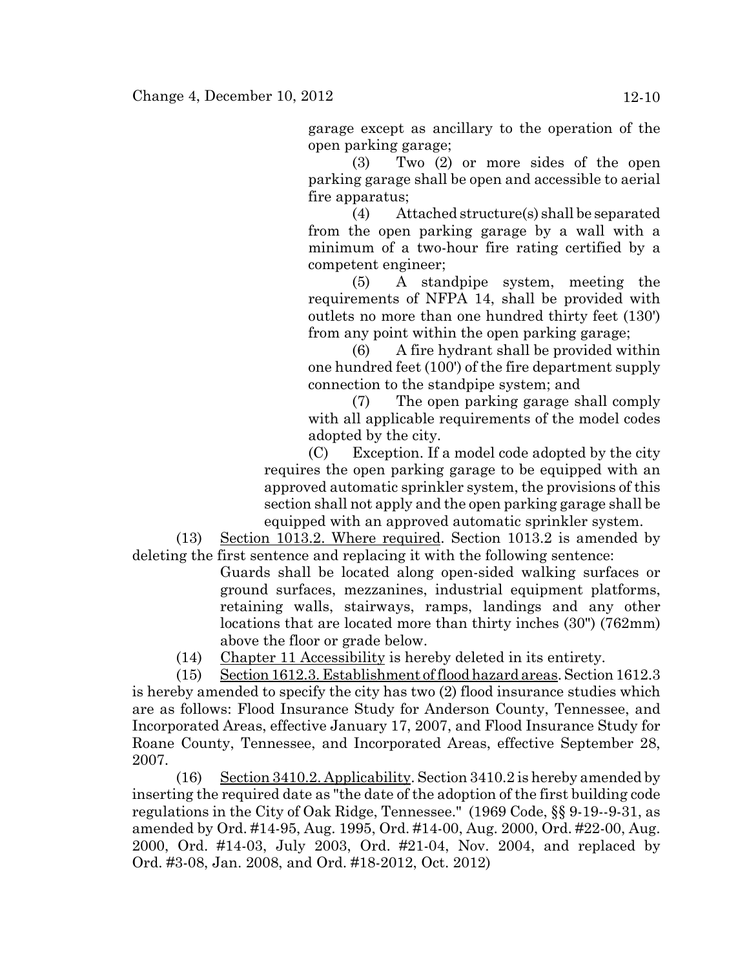garage except as ancillary to the operation of the open parking garage;

(3) Two (2) or more sides of the open parking garage shall be open and accessible to aerial fire apparatus;

(4) Attached structure(s) shall be separated from the open parking garage by a wall with a minimum of a two-hour fire rating certified by a competent engineer;

(5) A standpipe system, meeting the requirements of NFPA 14, shall be provided with outlets no more than one hundred thirty feet (130') from any point within the open parking garage;

(6) A fire hydrant shall be provided within one hundred feet (100') of the fire department supply connection to the standpipe system; and

(7) The open parking garage shall comply with all applicable requirements of the model codes adopted by the city.

(C) Exception. If a model code adopted by the city requires the open parking garage to be equipped with an approved automatic sprinkler system, the provisions of this section shall not apply and the open parking garage shall be equipped with an approved automatic sprinkler system.

(13) Section 1013.2. Where required. Section 1013.2 is amended by deleting the first sentence and replacing it with the following sentence:

> Guards shall be located along open-sided walking surfaces or ground surfaces, mezzanines, industrial equipment platforms, retaining walls, stairways, ramps, landings and any other locations that are located more than thirty inches (30") (762mm) above the floor or grade below.

(14) Chapter 11 Accessibility is hereby deleted in its entirety.

(15) Section 1612.3. Establishment of flood hazard areas. Section 1612.3 is hereby amended to specify the city has two (2) flood insurance studies which are as follows: Flood Insurance Study for Anderson County, Tennessee, and Incorporated Areas, effective January 17, 2007, and Flood Insurance Study for Roane County, Tennessee, and Incorporated Areas, effective September 28, 2007.

(16) Section 3410.2. Applicability. Section 3410.2 is hereby amended by inserting the required date as "the date of the adoption of the first building code regulations in the City of Oak Ridge, Tennessee." (1969 Code, §§ 9-19--9-31, as amended by Ord. #14-95, Aug. 1995, Ord. #14-00, Aug. 2000, Ord. #22-00, Aug. 2000, Ord. #14-03, July 2003, Ord. #21-04, Nov. 2004, and replaced by Ord. #3-08, Jan. 2008, and Ord. #18-2012, Oct. 2012)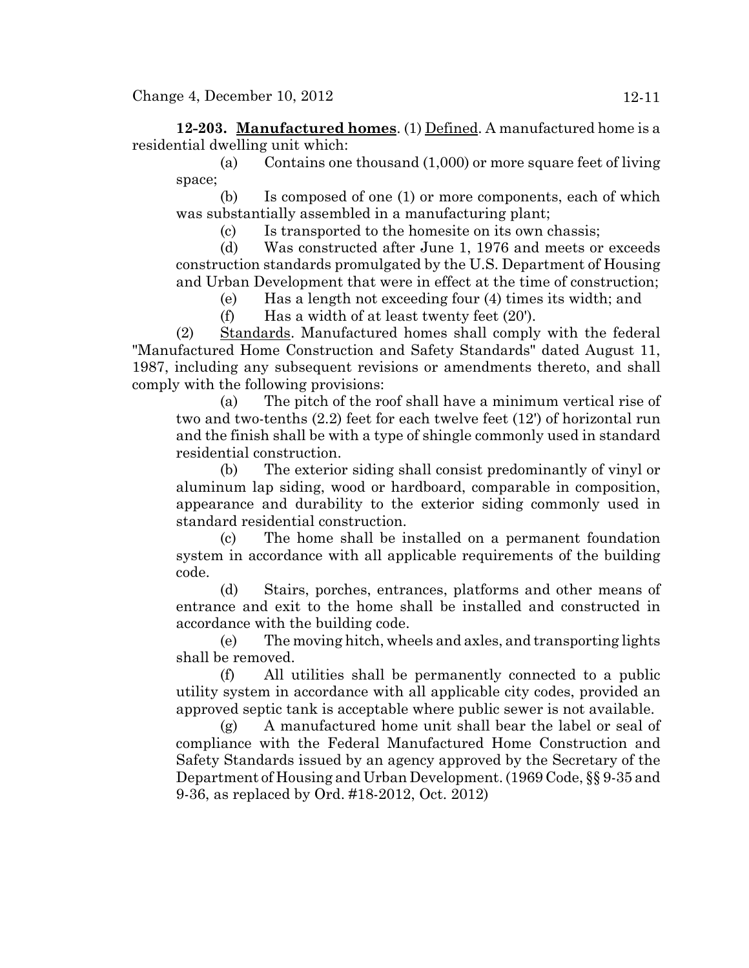**12-203. Manufactured homes**. (1) Defined. A manufactured home is a residential dwelling unit which:

(a) Contains one thousand (1,000) or more square feet of living space;

(b) Is composed of one (1) or more components, each of which was substantially assembled in a manufacturing plant;

(c) Is transported to the homesite on its own chassis;

(d) Was constructed after June 1, 1976 and meets or exceeds construction standards promulgated by the U.S. Department of Housing and Urban Development that were in effect at the time of construction;

(e) Has a length not exceeding four (4) times its width; and

(f) Has a width of at least twenty feet (20').

(2) Standards. Manufactured homes shall comply with the federal "Manufactured Home Construction and Safety Standards" dated August 11, 1987, including any subsequent revisions or amendments thereto, and shall comply with the following provisions:

(a) The pitch of the roof shall have a minimum vertical rise of two and two-tenths (2.2) feet for each twelve feet (12') of horizontal run and the finish shall be with a type of shingle commonly used in standard residential construction.

(b) The exterior siding shall consist predominantly of vinyl or aluminum lap siding, wood or hardboard, comparable in composition, appearance and durability to the exterior siding commonly used in standard residential construction.

(c) The home shall be installed on a permanent foundation system in accordance with all applicable requirements of the building code.

(d) Stairs, porches, entrances, platforms and other means of entrance and exit to the home shall be installed and constructed in accordance with the building code.

(e) The moving hitch, wheels and axles, and transporting lights shall be removed.

(f) All utilities shall be permanently connected to a public utility system in accordance with all applicable city codes, provided an approved septic tank is acceptable where public sewer is not available.

(g) A manufactured home unit shall bear the label or seal of compliance with the Federal Manufactured Home Construction and Safety Standards issued by an agency approved by the Secretary of the Department of Housing and Urban Development. (1969 Code, §§ 9-35 and 9-36, as replaced by Ord. #18-2012, Oct. 2012)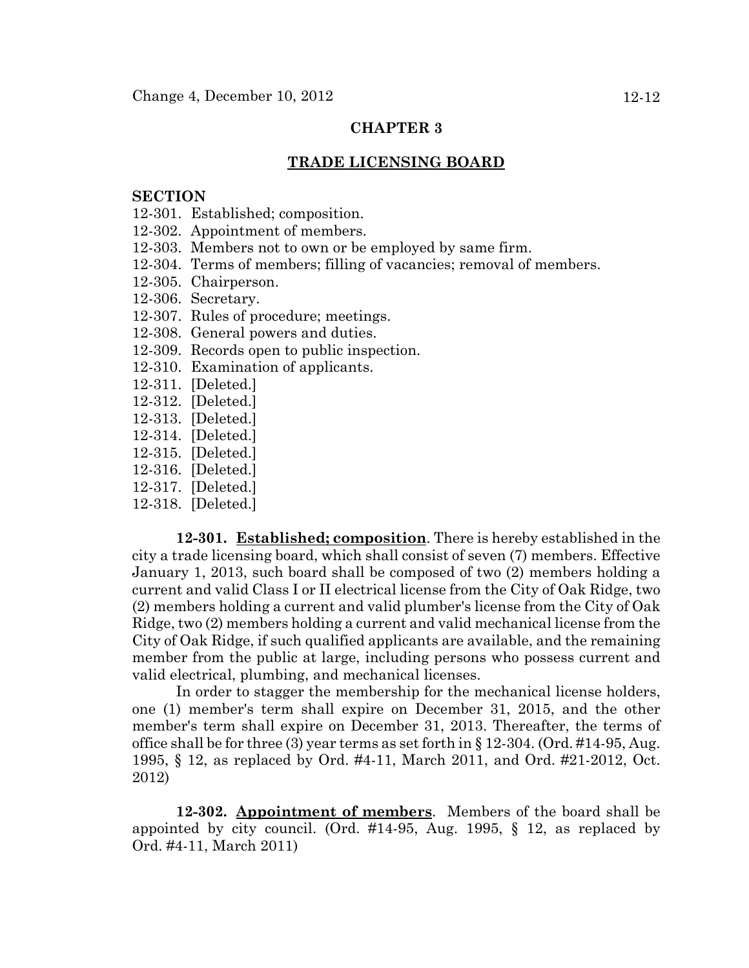#### **TRADE LICENSING BOARD**

#### **SECTION**

- 12-301. Established; composition.
- 12-302. Appointment of members.
- 12-303. Members not to own or be employed by same firm.
- 12-304. Terms of members; filling of vacancies; removal of members.
- 12-305. Chairperson.
- 12-306. Secretary.
- 12-307. Rules of procedure; meetings.
- 12-308. General powers and duties.
- 12-309. Records open to public inspection.
- 12-310. Examination of applicants.
- 12-311. [Deleted.]
- 12-312. [Deleted.]
- 12-313. [Deleted.]
- 12-314. [Deleted.]
- 12-315. [Deleted.]
- 12-316. [Deleted.]
- 12-317. [Deleted.]
- 12-318. [Deleted.]

**12-301. Established; composition**. There is hereby established in the city a trade licensing board, which shall consist of seven (7) members. Effective January 1, 2013, such board shall be composed of two (2) members holding a current and valid Class I or II electrical license from the City of Oak Ridge, two (2) members holding a current and valid plumber's license from the City of Oak Ridge, two (2) members holding a current and valid mechanical license from the City of Oak Ridge, if such qualified applicants are available, and the remaining member from the public at large, including persons who possess current and valid electrical, plumbing, and mechanical licenses.

In order to stagger the membership for the mechanical license holders, one (1) member's term shall expire on December 31, 2015, and the other member's term shall expire on December 31, 2013. Thereafter, the terms of office shall be for three (3) year terms as set forth in  $\S 12-304$ . (Ord. #14-95, Aug. 1995, § 12, as replaced by Ord. #4-11, March 2011, and Ord. #21-2012, Oct. 2012)

**12-302. Appointment of members**. Members of the board shall be appointed by city council. (Ord. #14-95, Aug. 1995, § 12, as replaced by Ord. #4-11, March 2011)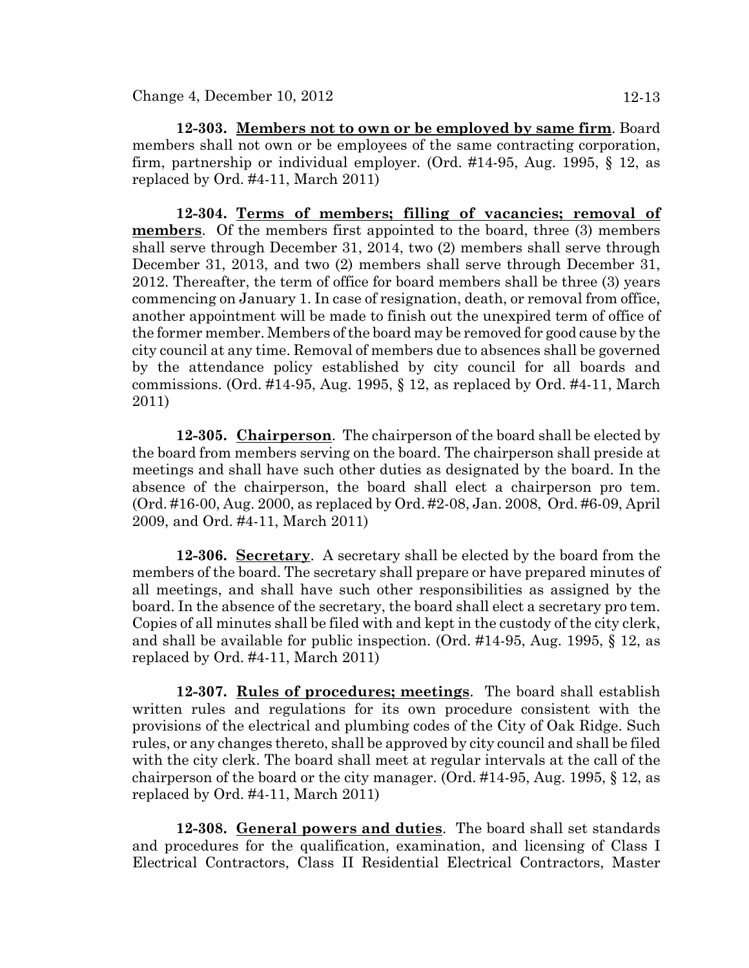**12-303. Members not to own or be employed by same firm**. Board members shall not own or be employees of the same contracting corporation, firm, partnership or individual employer. (Ord. #14-95, Aug. 1995, § 12, as replaced by Ord. #4-11, March 2011)

**12-304. Terms of members; filling of vacancies; removal of members**. Of the members first appointed to the board, three (3) members shall serve through December 31, 2014, two (2) members shall serve through December 31, 2013, and two (2) members shall serve through December 31, 2012. Thereafter, the term of office for board members shall be three (3) years commencing on January 1. In case of resignation, death, or removal from office, another appointment will be made to finish out the unexpired term of office of the former member. Members of the board may be removed for good cause by the city council at any time. Removal of members due to absences shall be governed by the attendance policy established by city council for all boards and commissions. (Ord. #14-95, Aug. 1995, § 12, as replaced by Ord. #4-11, March 2011)

**12-305. Chairperson**. The chairperson of the board shall be elected by the board from members serving on the board. The chairperson shall preside at meetings and shall have such other duties as designated by the board. In the absence of the chairperson, the board shall elect a chairperson pro tem. (Ord. #16-00, Aug. 2000, as replaced by Ord. #2-08, Jan. 2008, Ord. #6-09, April 2009, and Ord. #4-11, March 2011)

**12-306. Secretary**. A secretary shall be elected by the board from the members of the board. The secretary shall prepare or have prepared minutes of all meetings, and shall have such other responsibilities as assigned by the board. In the absence of the secretary, the board shall elect a secretary pro tem. Copies of all minutes shall be filed with and kept in the custody of the city clerk, and shall be available for public inspection. (Ord. #14-95, Aug. 1995, § 12, as replaced by Ord. #4-11, March 2011)

**12-307. Rules of procedures; meetings**. The board shall establish written rules and regulations for its own procedure consistent with the provisions of the electrical and plumbing codes of the City of Oak Ridge. Such rules, or any changes thereto, shall be approved by city council and shall be filed with the city clerk. The board shall meet at regular intervals at the call of the chairperson of the board or the city manager. (Ord. #14-95, Aug. 1995, § 12, as replaced by Ord. #4-11, March 2011)

**12-308. General powers and duties**. The board shall set standards and procedures for the qualification, examination, and licensing of Class I Electrical Contractors, Class II Residential Electrical Contractors, Master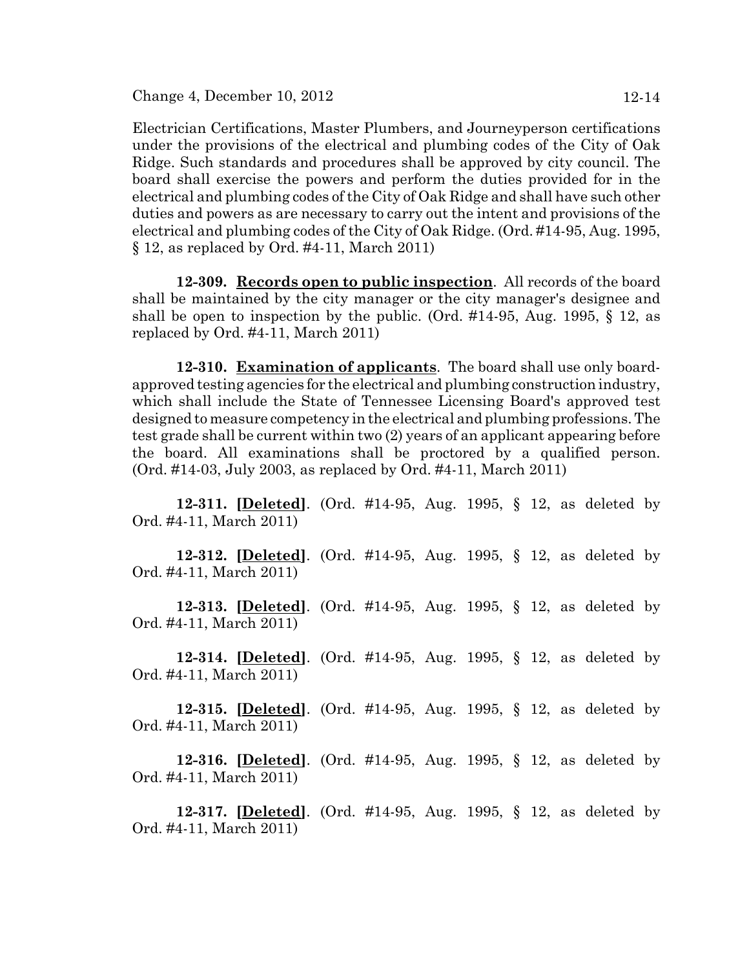Change 4, December 10, 2012 12-14

Electrician Certifications, Master Plumbers, and Journeyperson certifications under the provisions of the electrical and plumbing codes of the City of Oak Ridge. Such standards and procedures shall be approved by city council. The board shall exercise the powers and perform the duties provided for in the electrical and plumbing codes of the City of Oak Ridge and shall have such other duties and powers as are necessary to carry out the intent and provisions of the electrical and plumbing codes of the City of Oak Ridge. (Ord. #14-95, Aug. 1995, § 12, as replaced by Ord. #4-11, March 2011)

**12-309. Records open to public inspection**. All records of the board shall be maintained by the city manager or the city manager's designee and shall be open to inspection by the public. (Ord.  $\#14-95$ , Aug. 1995, § 12, as replaced by Ord. #4-11, March 2011)

**12-310. Examination of applicants**. The board shall use only boardapproved testing agencies for the electrical and plumbing construction industry, which shall include the State of Tennessee Licensing Board's approved test designed to measure competency in the electrical and plumbing professions. The test grade shall be current within two (2) years of an applicant appearing before the board. All examinations shall be proctored by a qualified person. (Ord. #14-03, July 2003, as replaced by Ord. #4-11, March 2011)

**12-311. [Deleted]**. (Ord. #14-95, Aug. 1995, § 12, as deleted by Ord. #4-11, March 2011)

**12-312. [Deleted]**. (Ord. #14-95, Aug. 1995, § 12, as deleted by Ord. #4-11, March 2011)

**12-313. [Deleted]**. (Ord. #14-95, Aug. 1995, § 12, as deleted by Ord. #4-11, March 2011)

**12-314. [Deleted]**. (Ord. #14-95, Aug. 1995, § 12, as deleted by Ord. #4-11, March 2011)

**12-315. [Deleted]**. (Ord. #14-95, Aug. 1995, § 12, as deleted by Ord. #4-11, March 2011)

**12-316. [Deleted]**. (Ord. #14-95, Aug. 1995, § 12, as deleted by Ord. #4-11, March 2011)

**12-317. [Deleted]**. (Ord. #14-95, Aug. 1995, § 12, as deleted by Ord. #4-11, March 2011)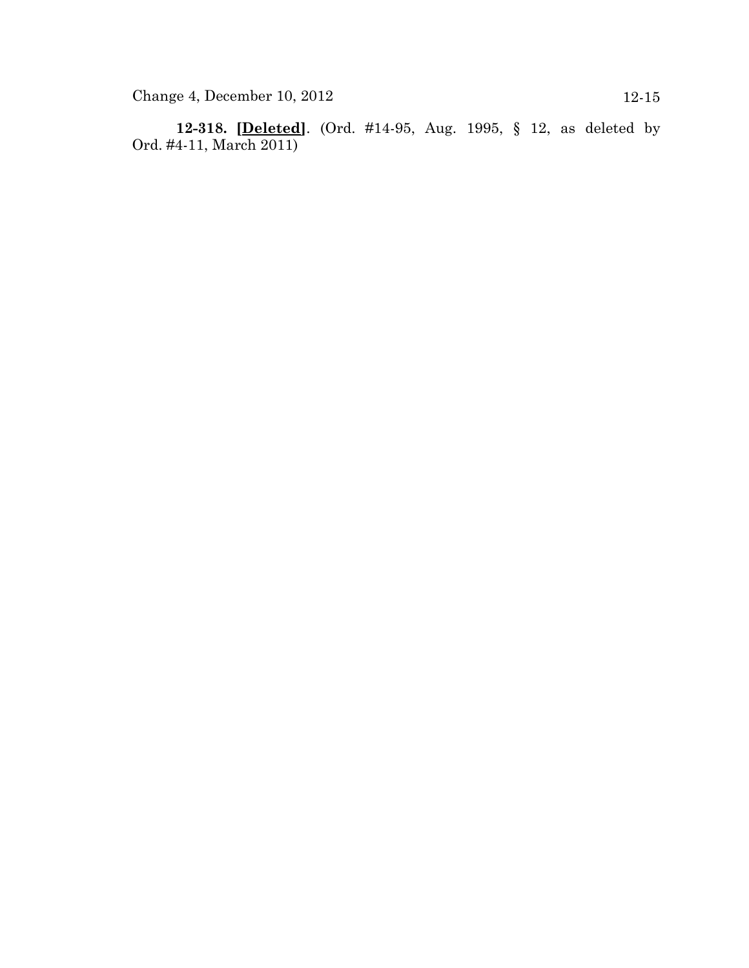**12-318. [Deleted]**. (Ord. #14-95, Aug. 1995, § 12, as deleted by Ord. #4-11, March 2011)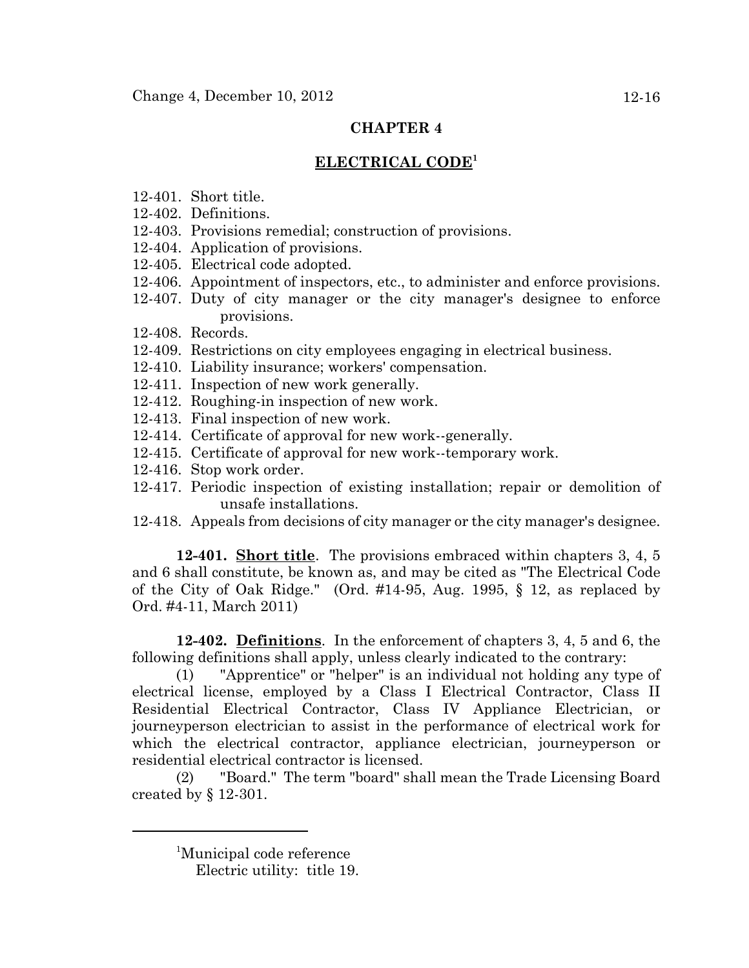# **ELECTRICAL CODE<sup>1</sup>**

- 12-401. Short title.
- 12-402. Definitions.
- 12-403. Provisions remedial; construction of provisions.
- 12-404. Application of provisions.
- 12-405. Electrical code adopted.
- 12-406. Appointment of inspectors, etc., to administer and enforce provisions.
- 12-407. Duty of city manager or the city manager's designee to enforce provisions.
- 12-408. Records.
- 12-409. Restrictions on city employees engaging in electrical business.
- 12-410. Liability insurance; workers' compensation.
- 12-411. Inspection of new work generally.
- 12-412. Roughing-in inspection of new work.
- 12-413. Final inspection of new work.
- 12-414. Certificate of approval for new work--generally.
- 12-415. Certificate of approval for new work--temporary work.
- 12-416. Stop work order.
- 12-417. Periodic inspection of existing installation; repair or demolition of unsafe installations.
- 12-418. Appeals from decisions of city manager or the city manager's designee.

**12-401. Short title**. The provisions embraced within chapters 3, 4, 5 and 6 shall constitute, be known as, and may be cited as "The Electrical Code of the City of Oak Ridge." (Ord. #14-95, Aug. 1995, § 12, as replaced by Ord. #4-11, March 2011)

**12-402. Definitions**. In the enforcement of chapters 3, 4, 5 and 6, the following definitions shall apply, unless clearly indicated to the contrary:

(1) "Apprentice" or "helper" is an individual not holding any type of electrical license, employed by a Class I Electrical Contractor, Class II Residential Electrical Contractor, Class IV Appliance Electrician, or journeyperson electrician to assist in the performance of electrical work for which the electrical contractor, appliance electrician, journeyperson or residential electrical contractor is licensed.

(2) "Board." The term "board" shall mean the Trade Licensing Board created by § 12-301.

<sup>1</sup> Municipal code reference

Electric utility: title 19.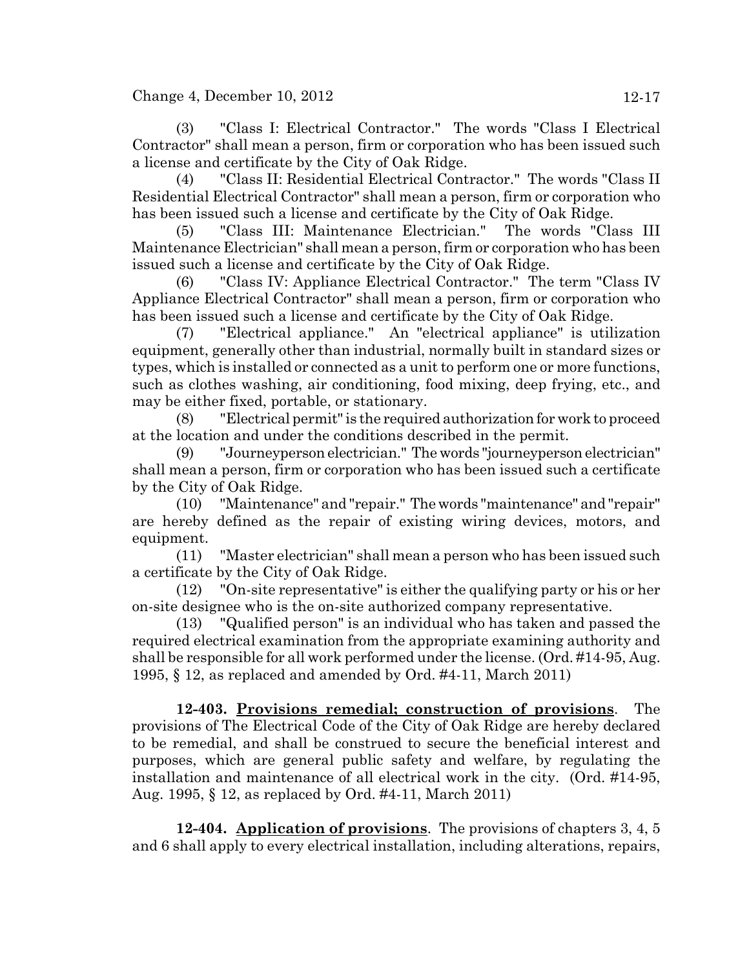Change 4, December 10, 2012  $12-17$ 

(3) "Class I: Electrical Contractor." The words "Class I Electrical Contractor" shall mean a person, firm or corporation who has been issued such a license and certificate by the City of Oak Ridge.

(4) "Class II: Residential Electrical Contractor." The words "Class II Residential Electrical Contractor" shall mean a person, firm or corporation who has been issued such a license and certificate by the City of Oak Ridge.

(5) "Class III: Maintenance Electrician." The words "Class III Maintenance Electrician" shall mean a person, firm or corporation who has been issued such a license and certificate by the City of Oak Ridge.

(6) "Class IV: Appliance Electrical Contractor." The term "Class IV Appliance Electrical Contractor" shall mean a person, firm or corporation who has been issued such a license and certificate by the City of Oak Ridge.

(7) "Electrical appliance." An "electrical appliance" is utilization equipment, generally other than industrial, normally built in standard sizes or types, which is installed or connected as a unit to perform one or more functions, such as clothes washing, air conditioning, food mixing, deep frying, etc., and may be either fixed, portable, or stationary.

(8) "Electrical permit" is the required authorization for work to proceed at the location and under the conditions described in the permit.

(9) "Journeyperson electrician." The words "journeyperson electrician" shall mean a person, firm or corporation who has been issued such a certificate by the City of Oak Ridge.

(10) "Maintenance" and "repair." The words "maintenance" and "repair" are hereby defined as the repair of existing wiring devices, motors, and equipment.

(11) "Master electrician" shall mean a person who has been issued such a certificate by the City of Oak Ridge.

(12) "On-site representative" is either the qualifying party or his or her on-site designee who is the on-site authorized company representative.

(13) "Qualified person" is an individual who has taken and passed the required electrical examination from the appropriate examining authority and shall be responsible for all work performed under the license. (Ord. #14-95, Aug. 1995, § 12, as replaced and amended by Ord. #4-11, March 2011)

**12-403. Provisions remedial; construction of provisions**. The provisions of The Electrical Code of the City of Oak Ridge are hereby declared to be remedial, and shall be construed to secure the beneficial interest and purposes, which are general public safety and welfare, by regulating the installation and maintenance of all electrical work in the city. (Ord. #14-95, Aug. 1995, § 12, as replaced by Ord. #4-11, March 2011)

**12-404. Application of provisions**. The provisions of chapters 3, 4, 5 and 6 shall apply to every electrical installation, including alterations, repairs,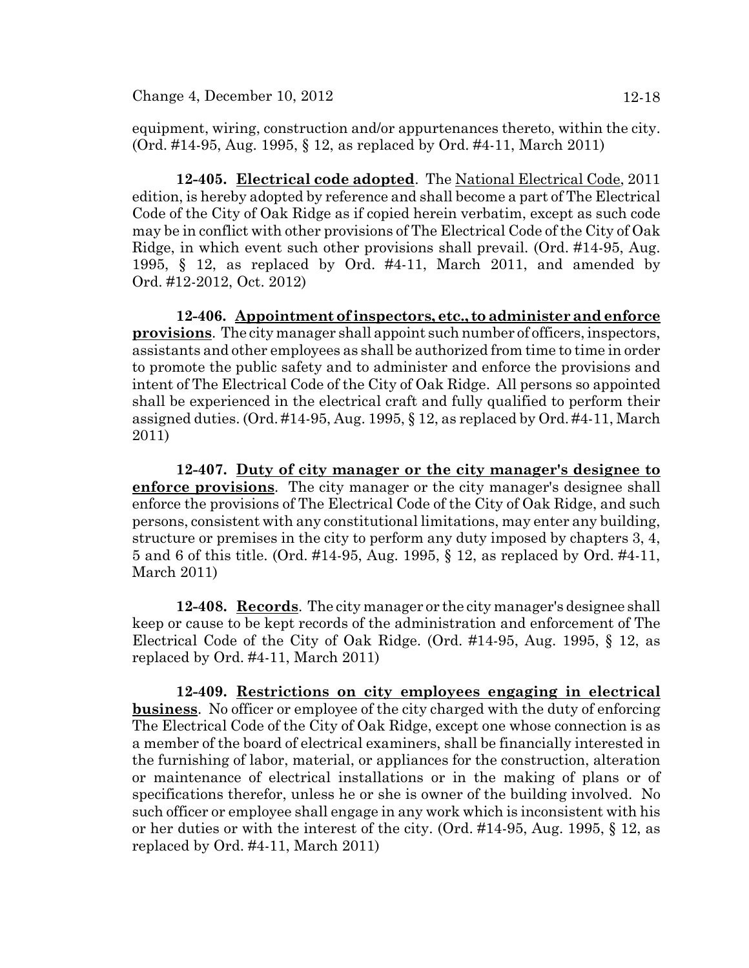equipment, wiring, construction and/or appurtenances thereto, within the city. (Ord. #14-95, Aug. 1995, § 12, as replaced by Ord. #4-11, March 2011)

**12-405. Electrical code adopted**. The National Electrical Code, 2011 edition, is hereby adopted by reference and shall become a part of The Electrical Code of the City of Oak Ridge as if copied herein verbatim, except as such code may be in conflict with other provisions of The Electrical Code of the City of Oak Ridge, in which event such other provisions shall prevail. (Ord. #14-95, Aug. 1995, § 12, as replaced by Ord. #4-11, March 2011, and amended by Ord. #12-2012, Oct. 2012)

**12-406. Appointment of inspectors, etc., to administer and enforce provisions**. The city manager shall appoint such number of officers, inspectors, assistants and other employees as shall be authorized from time to time in order to promote the public safety and to administer and enforce the provisions and intent of The Electrical Code of the City of Oak Ridge. All persons so appointed shall be experienced in the electrical craft and fully qualified to perform their assigned duties. (Ord.  $\#14-95$ , Aug. 1995, § 12, as replaced by Ord.  $\#4-11$ , March 2011)

**12-407. Duty of city manager or the city manager's designee to enforce provisions**. The city manager or the city manager's designee shall enforce the provisions of The Electrical Code of the City of Oak Ridge, and such persons, consistent with any constitutional limitations, may enter any building, structure or premises in the city to perform any duty imposed by chapters 3, 4, 5 and 6 of this title. (Ord. #14-95, Aug. 1995, § 12, as replaced by Ord. #4-11, March 2011)

**12-408. Records**. The city manager or the city manager's designee shall keep or cause to be kept records of the administration and enforcement of The Electrical Code of the City of Oak Ridge. (Ord. #14-95, Aug. 1995, § 12, as replaced by Ord. #4-11, March 2011)

**12-409. Restrictions on city employees engaging in electrical business**. No officer or employee of the city charged with the duty of enforcing The Electrical Code of the City of Oak Ridge, except one whose connection is as a member of the board of electrical examiners, shall be financially interested in the furnishing of labor, material, or appliances for the construction, alteration or maintenance of electrical installations or in the making of plans or of specifications therefor, unless he or she is owner of the building involved. No such officer or employee shall engage in any work which is inconsistent with his or her duties or with the interest of the city. (Ord. #14-95, Aug. 1995, § 12, as replaced by Ord. #4-11, March 2011)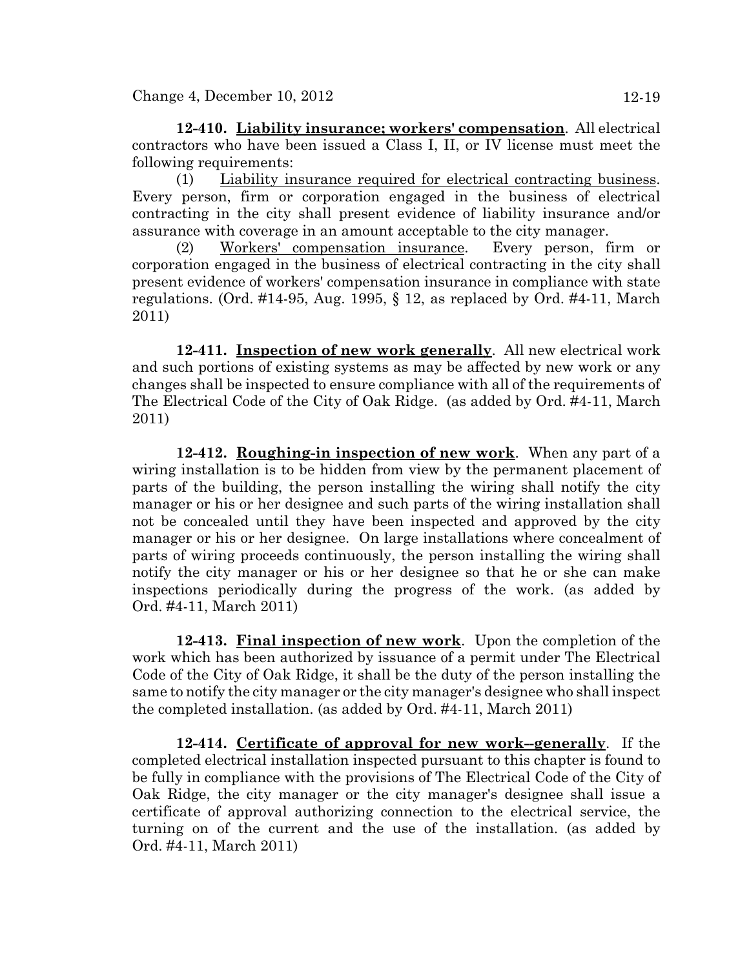**12-410. Liability insurance; workers' compensation**. All electrical contractors who have been issued a Class I, II, or IV license must meet the following requirements:

(1) Liability insurance required for electrical contracting business. Every person, firm or corporation engaged in the business of electrical contracting in the city shall present evidence of liability insurance and/or assurance with coverage in an amount acceptable to the city manager.

(2) Workers' compensation insurance. Every person, firm or corporation engaged in the business of electrical contracting in the city shall present evidence of workers' compensation insurance in compliance with state regulations. (Ord. #14-95, Aug. 1995, § 12, as replaced by Ord. #4-11, March 2011)

**12-411. Inspection of new work generally**. All new electrical work and such portions of existing systems as may be affected by new work or any changes shall be inspected to ensure compliance with all of the requirements of The Electrical Code of the City of Oak Ridge. (as added by Ord. #4-11, March 2011)

**12-412. Roughing-in inspection of new work**. When any part of a wiring installation is to be hidden from view by the permanent placement of parts of the building, the person installing the wiring shall notify the city manager or his or her designee and such parts of the wiring installation shall not be concealed until they have been inspected and approved by the city manager or his or her designee. On large installations where concealment of parts of wiring proceeds continuously, the person installing the wiring shall notify the city manager or his or her designee so that he or she can make inspections periodically during the progress of the work. (as added by Ord. #4-11, March 2011)

**12-413. Final inspection of new work**. Upon the completion of the work which has been authorized by issuance of a permit under The Electrical Code of the City of Oak Ridge, it shall be the duty of the person installing the same to notify the city manager or the city manager's designee who shall inspect the completed installation. (as added by Ord. #4-11, March 2011)

**12-414. Certificate of approval for new work--generally**. If the completed electrical installation inspected pursuant to this chapter is found to be fully in compliance with the provisions of The Electrical Code of the City of Oak Ridge, the city manager or the city manager's designee shall issue a certificate of approval authorizing connection to the electrical service, the turning on of the current and the use of the installation. (as added by Ord. #4-11, March 2011)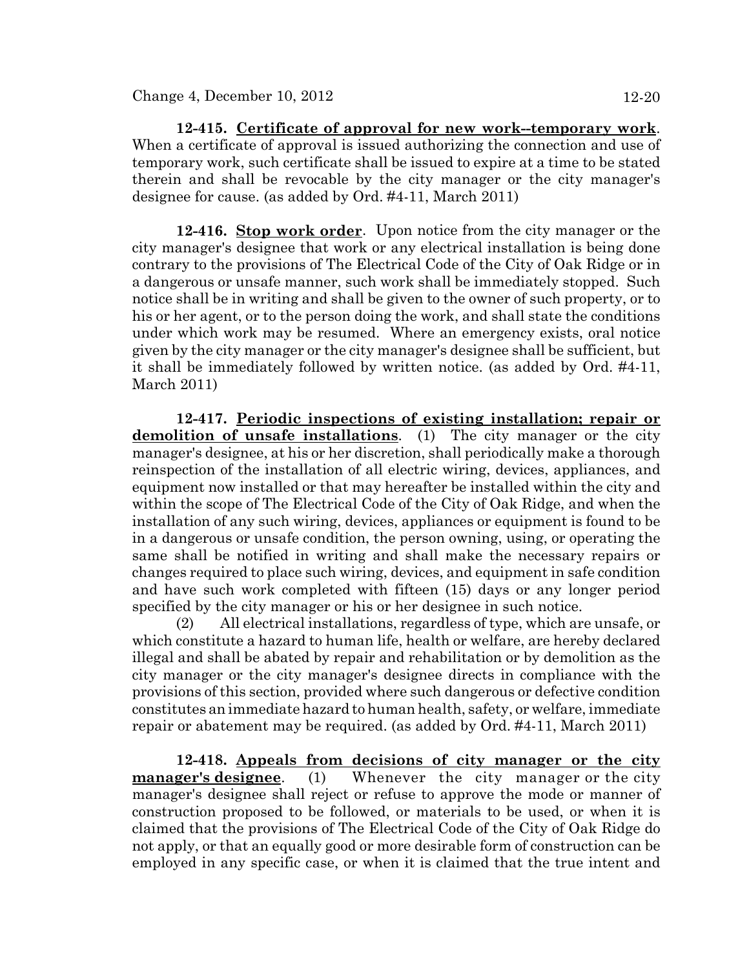**12-415. Certificate of approval for new work--temporary work**. When a certificate of approval is issued authorizing the connection and use of temporary work, such certificate shall be issued to expire at a time to be stated therein and shall be revocable by the city manager or the city manager's designee for cause. (as added by Ord. #4-11, March 2011)

**12-416. Stop work order**. Upon notice from the city manager or the city manager's designee that work or any electrical installation is being done contrary to the provisions of The Electrical Code of the City of Oak Ridge or in a dangerous or unsafe manner, such work shall be immediately stopped. Such notice shall be in writing and shall be given to the owner of such property, or to his or her agent, or to the person doing the work, and shall state the conditions under which work may be resumed. Where an emergency exists, oral notice given by the city manager or the city manager's designee shall be sufficient, but it shall be immediately followed by written notice. (as added by Ord. #4-11, March 2011)

**12-417. Periodic inspections of existing installation; repair or demolition of unsafe installations**. (1) The city manager or the city manager's designee, at his or her discretion, shall periodically make a thorough reinspection of the installation of all electric wiring, devices, appliances, and equipment now installed or that may hereafter be installed within the city and within the scope of The Electrical Code of the City of Oak Ridge, and when the installation of any such wiring, devices, appliances or equipment is found to be in a dangerous or unsafe condition, the person owning, using, or operating the same shall be notified in writing and shall make the necessary repairs or changes required to place such wiring, devices, and equipment in safe condition and have such work completed with fifteen (15) days or any longer period specified by the city manager or his or her designee in such notice.

(2) All electrical installations, regardless of type, which are unsafe, or which constitute a hazard to human life, health or welfare, are hereby declared illegal and shall be abated by repair and rehabilitation or by demolition as the city manager or the city manager's designee directs in compliance with the provisions of this section, provided where such dangerous or defective condition constitutes an immediate hazard to human health, safety, or welfare, immediate repair or abatement may be required. (as added by Ord. #4-11, March 2011)

**12-418. Appeals from decisions of city manager or the city manager's designee**. (1) Whenever the city manager or the city manager's designee shall reject or refuse to approve the mode or manner of construction proposed to be followed, or materials to be used, or when it is claimed that the provisions of The Electrical Code of the City of Oak Ridge do not apply, or that an equally good or more desirable form of construction can be employed in any specific case, or when it is claimed that the true intent and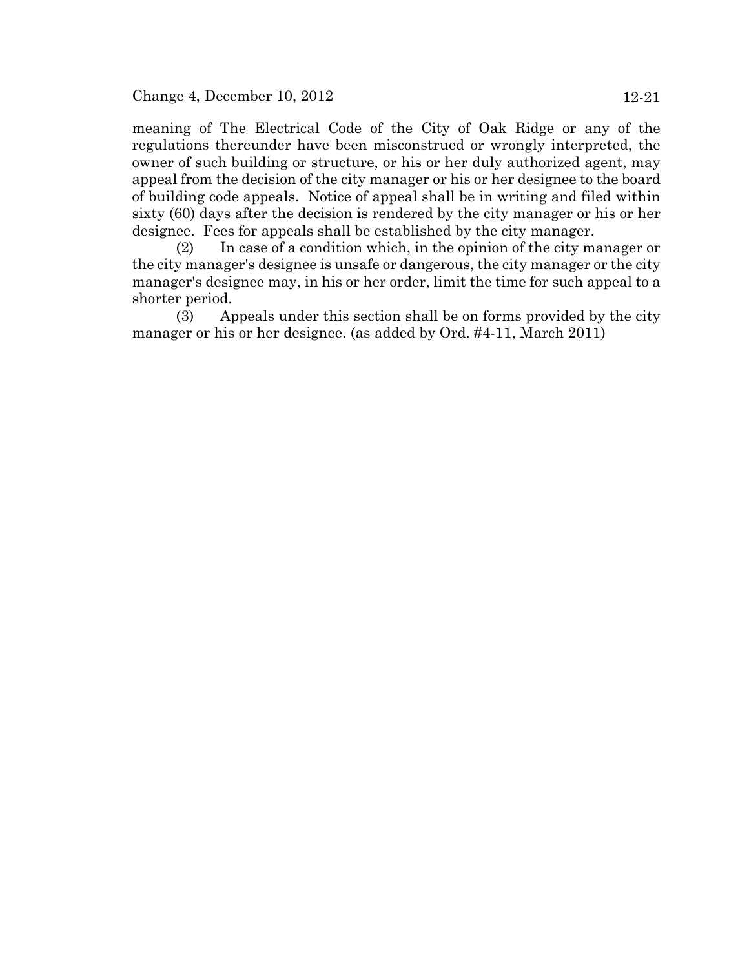Change 4, December 10, 2012 12-21

meaning of The Electrical Code of the City of Oak Ridge or any of the regulations thereunder have been misconstrued or wrongly interpreted, the owner of such building or structure, or his or her duly authorized agent, may appeal from the decision of the city manager or his or her designee to the board of building code appeals. Notice of appeal shall be in writing and filed within sixty (60) days after the decision is rendered by the city manager or his or her designee. Fees for appeals shall be established by the city manager.

(2) In case of a condition which, in the opinion of the city manager or the city manager's designee is unsafe or dangerous, the city manager or the city manager's designee may, in his or her order, limit the time for such appeal to a shorter period.

(3) Appeals under this section shall be on forms provided by the city manager or his or her designee. (as added by Ord. #4-11, March 2011)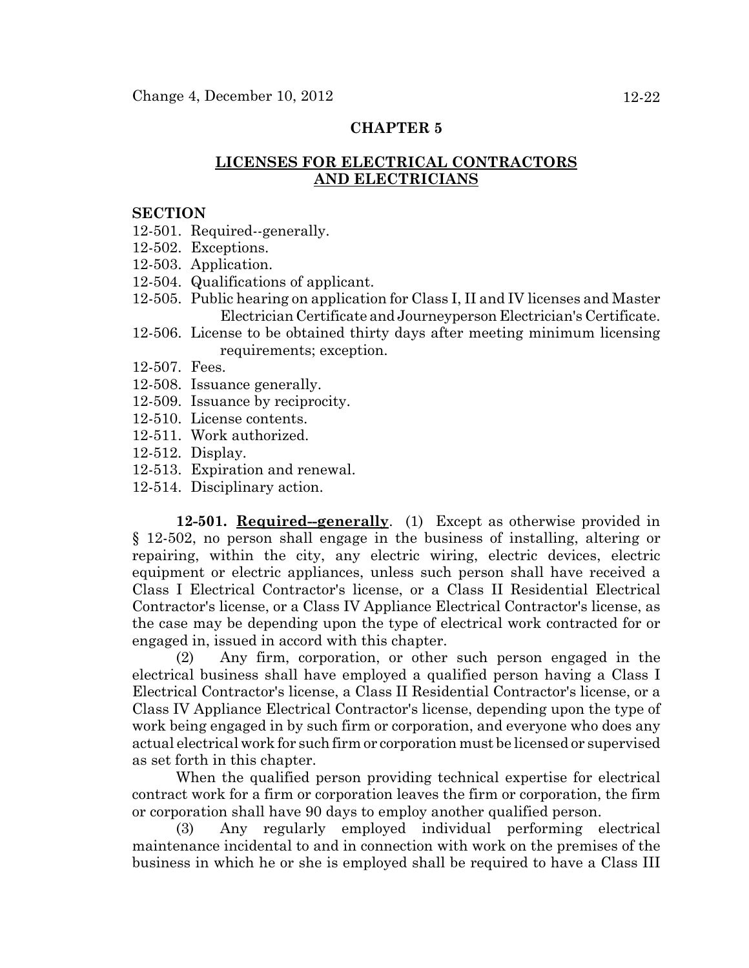# **LICENSES FOR ELECTRICAL CONTRACTORS AND ELECTRICIANS**

#### **SECTION**

- 12-501. Required--generally.
- 12-502. Exceptions.
- 12-503. Application.
- 12-504. Qualifications of applicant.
- 12-505. Public hearing on application for Class I, II and IV licenses and Master Electrician Certificate and Journeyperson Electrician's Certificate.
- 12-506. License to be obtained thirty days after meeting minimum licensing requirements; exception.
- 12-507. Fees.
- 12-508. Issuance generally.
- 12-509. Issuance by reciprocity.
- 12-510. License contents.
- 12-511. Work authorized.
- 12-512. Display.
- 12-513. Expiration and renewal.
- 12-514. Disciplinary action.

**12-501. Required--generally**. (1) Except as otherwise provided in § 12-502, no person shall engage in the business of installing, altering or repairing, within the city, any electric wiring, electric devices, electric equipment or electric appliances, unless such person shall have received a Class I Electrical Contractor's license, or a Class II Residential Electrical Contractor's license, or a Class IV Appliance Electrical Contractor's license, as the case may be depending upon the type of electrical work contracted for or engaged in, issued in accord with this chapter.

(2) Any firm, corporation, or other such person engaged in the electrical business shall have employed a qualified person having a Class I Electrical Contractor's license, a Class II Residential Contractor's license, or a Class IV Appliance Electrical Contractor's license, depending upon the type of work being engaged in by such firm or corporation, and everyone who does any actual electrical work for such firm or corporation must be licensed or supervised as set forth in this chapter.

When the qualified person providing technical expertise for electrical contract work for a firm or corporation leaves the firm or corporation, the firm or corporation shall have 90 days to employ another qualified person.

(3) Any regularly employed individual performing electrical maintenance incidental to and in connection with work on the premises of the business in which he or she is employed shall be required to have a Class III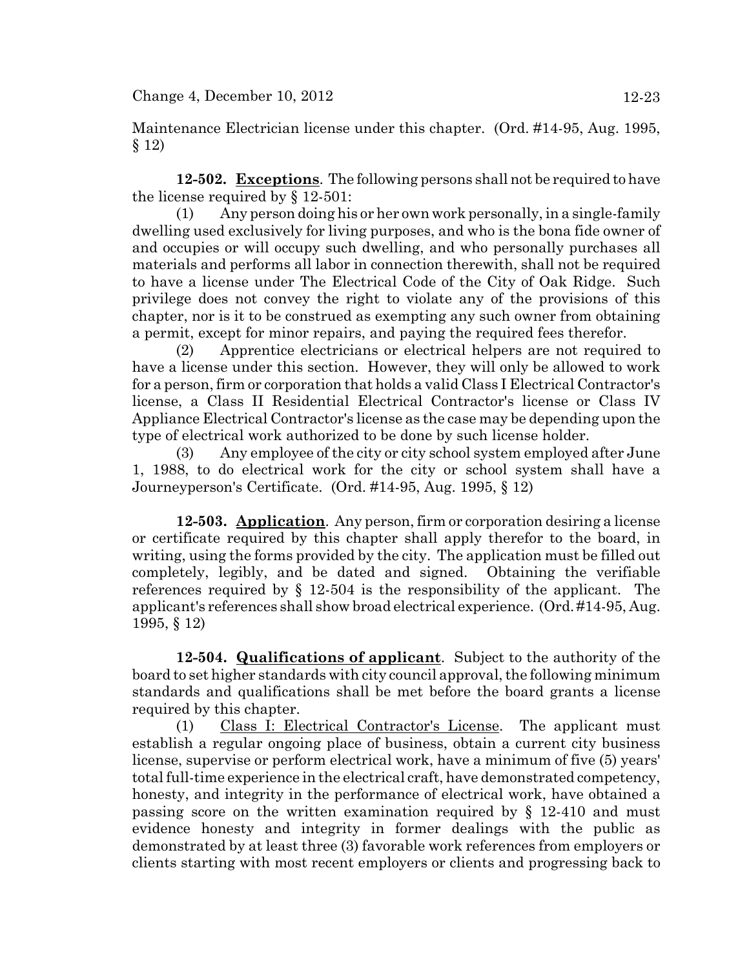Maintenance Electrician license under this chapter. (Ord. #14-95, Aug. 1995, § 12)

**12-502. Exceptions**. The following persons shall not be required to have the license required by § 12-501:

(1) Any person doing his or her own work personally, in a single-family dwelling used exclusively for living purposes, and who is the bona fide owner of and occupies or will occupy such dwelling, and who personally purchases all materials and performs all labor in connection therewith, shall not be required to have a license under The Electrical Code of the City of Oak Ridge. Such privilege does not convey the right to violate any of the provisions of this chapter, nor is it to be construed as exempting any such owner from obtaining a permit, except for minor repairs, and paying the required fees therefor.

(2) Apprentice electricians or electrical helpers are not required to have a license under this section. However, they will only be allowed to work for a person, firm or corporation that holds a valid Class I Electrical Contractor's license, a Class II Residential Electrical Contractor's license or Class IV Appliance Electrical Contractor's license as the case may be depending upon the type of electrical work authorized to be done by such license holder.

(3) Any employee of the city or city school system employed after June 1, 1988, to do electrical work for the city or school system shall have a Journeyperson's Certificate. (Ord. #14-95, Aug. 1995, § 12)

**12-503. Application**. Any person, firm or corporation desiring a license or certificate required by this chapter shall apply therefor to the board, in writing, using the forms provided by the city. The application must be filled out completely, legibly, and be dated and signed. Obtaining the verifiable references required by § 12-504 is the responsibility of the applicant. The applicant's references shall show broad electrical experience. (Ord. #14-95, Aug. 1995, § 12)

**12-504. Qualifications of applicant**. Subject to the authority of the board to set higher standards with city council approval, the following minimum standards and qualifications shall be met before the board grants a license required by this chapter.

(1) Class I: Electrical Contractor's License. The applicant must establish a regular ongoing place of business, obtain a current city business license, supervise or perform electrical work, have a minimum of five (5) years' total full-time experience in the electrical craft, have demonstrated competency, honesty, and integrity in the performance of electrical work, have obtained a passing score on the written examination required by § 12-410 and must evidence honesty and integrity in former dealings with the public as demonstrated by at least three (3) favorable work references from employers or clients starting with most recent employers or clients and progressing back to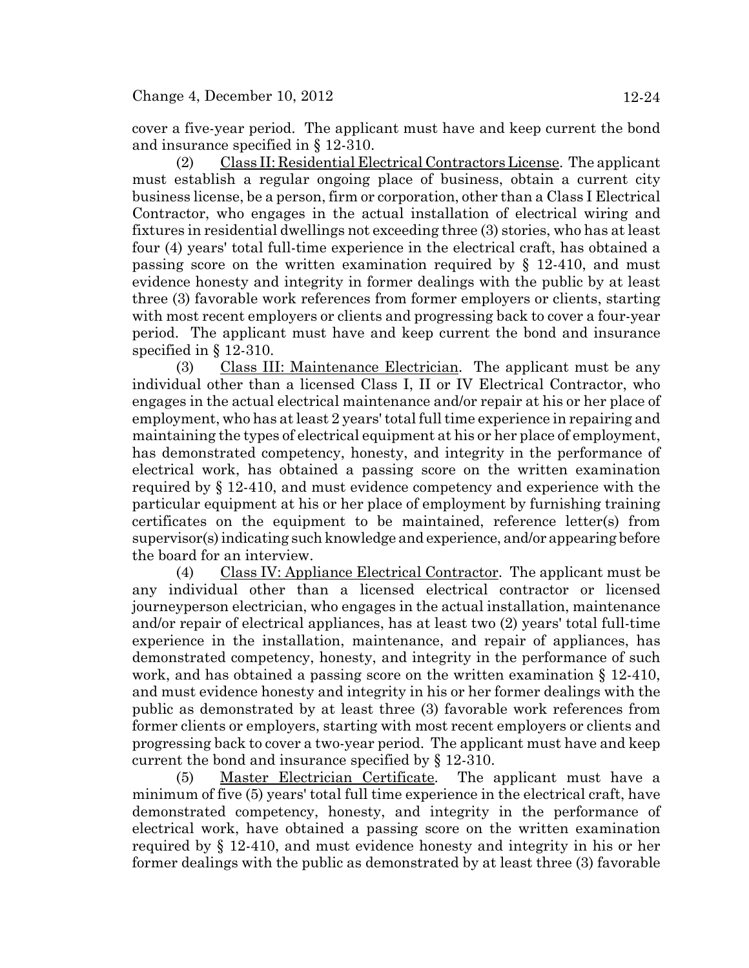cover a five-year period. The applicant must have and keep current the bond and insurance specified in § 12-310.

(2) Class II: Residential Electrical Contractors License. The applicant must establish a regular ongoing place of business, obtain a current city business license, be a person, firm or corporation, other than a Class I Electrical Contractor, who engages in the actual installation of electrical wiring and fixtures in residential dwellings not exceeding three (3) stories, who has at least four (4) years' total full-time experience in the electrical craft, has obtained a passing score on the written examination required by § 12-410, and must evidence honesty and integrity in former dealings with the public by at least three (3) favorable work references from former employers or clients, starting with most recent employers or clients and progressing back to cover a four-year period. The applicant must have and keep current the bond and insurance specified in  $\S$  12-310.

(3) Class III: Maintenance Electrician. The applicant must be any individual other than a licensed Class I, II or IV Electrical Contractor, who engages in the actual electrical maintenance and/or repair at his or her place of employment, who has at least 2 years' total full time experience in repairing and maintaining the types of electrical equipment at his or her place of employment, has demonstrated competency, honesty, and integrity in the performance of electrical work, has obtained a passing score on the written examination required by § 12-410, and must evidence competency and experience with the particular equipment at his or her place of employment by furnishing training certificates on the equipment to be maintained, reference letter(s) from supervisor(s) indicating such knowledge and experience, and/or appearing before the board for an interview.

(4) Class IV: Appliance Electrical Contractor. The applicant must be any individual other than a licensed electrical contractor or licensed journeyperson electrician, who engages in the actual installation, maintenance and/or repair of electrical appliances, has at least two (2) years' total full-time experience in the installation, maintenance, and repair of appliances, has demonstrated competency, honesty, and integrity in the performance of such work, and has obtained a passing score on the written examination § 12-410, and must evidence honesty and integrity in his or her former dealings with the public as demonstrated by at least three (3) favorable work references from former clients or employers, starting with most recent employers or clients and progressing back to cover a two-year period. The applicant must have and keep current the bond and insurance specified by § 12-310.

(5) Master Electrician Certificate. The applicant must have a minimum of five (5) years' total full time experience in the electrical craft, have demonstrated competency, honesty, and integrity in the performance of electrical work, have obtained a passing score on the written examination required by § 12-410, and must evidence honesty and integrity in his or her former dealings with the public as demonstrated by at least three (3) favorable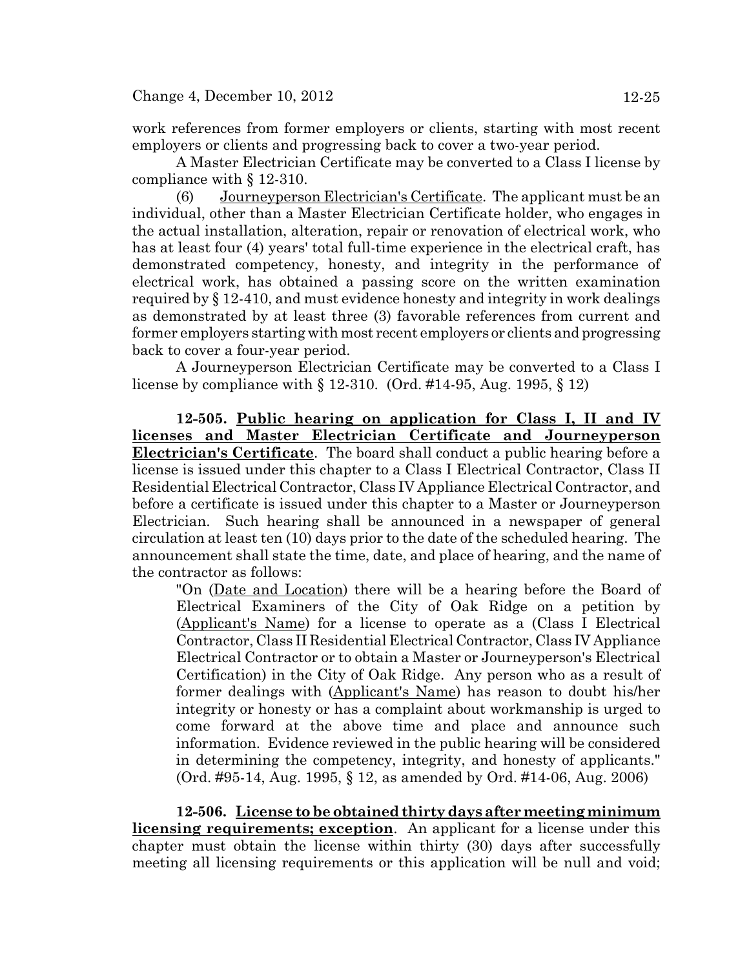work references from former employers or clients, starting with most recent employers or clients and progressing back to cover a two-year period.

A Master Electrician Certificate may be converted to a Class I license by compliance with § 12-310.

(6) Journeyperson Electrician's Certificate. The applicant must be an individual, other than a Master Electrician Certificate holder, who engages in the actual installation, alteration, repair or renovation of electrical work, who has at least four (4) years' total full-time experience in the electrical craft, has demonstrated competency, honesty, and integrity in the performance of electrical work, has obtained a passing score on the written examination required by § 12-410, and must evidence honesty and integrity in work dealings as demonstrated by at least three (3) favorable references from current and former employers starting with most recent employers or clients and progressing back to cover a four-year period.

A Journeyperson Electrician Certificate may be converted to a Class I license by compliance with § 12-310. (Ord. #14-95, Aug. 1995, § 12)

**12-505. Public hearing on application for Class I, II and IV licenses and Master Electrician Certificate and Journeyperson Electrician's Certificate**. The board shall conduct a public hearing before a license is issued under this chapter to a Class I Electrical Contractor, Class II Residential Electrical Contractor, Class IV Appliance Electrical Contractor, and before a certificate is issued under this chapter to a Master or Journeyperson Electrician. Such hearing shall be announced in a newspaper of general circulation at least ten (10) days prior to the date of the scheduled hearing. The announcement shall state the time, date, and place of hearing, and the name of the contractor as follows:

"On (Date and Location) there will be a hearing before the Board of Electrical Examiners of the City of Oak Ridge on a petition by (Applicant's Name) for a license to operate as a (Class I Electrical Contractor, Class II Residential Electrical Contractor, Class IV Appliance Electrical Contractor or to obtain a Master or Journeyperson's Electrical Certification) in the City of Oak Ridge. Any person who as a result of former dealings with (Applicant's Name) has reason to doubt his/her integrity or honesty or has a complaint about workmanship is urged to come forward at the above time and place and announce such information. Evidence reviewed in the public hearing will be considered in determining the competency, integrity, and honesty of applicants." (Ord. #95-14, Aug. 1995, § 12, as amended by Ord. #14-06, Aug. 2006)

**12-506. License to be obtained thirty days after meeting minimum licensing requirements; exception**. An applicant for a license under this chapter must obtain the license within thirty (30) days after successfully meeting all licensing requirements or this application will be null and void;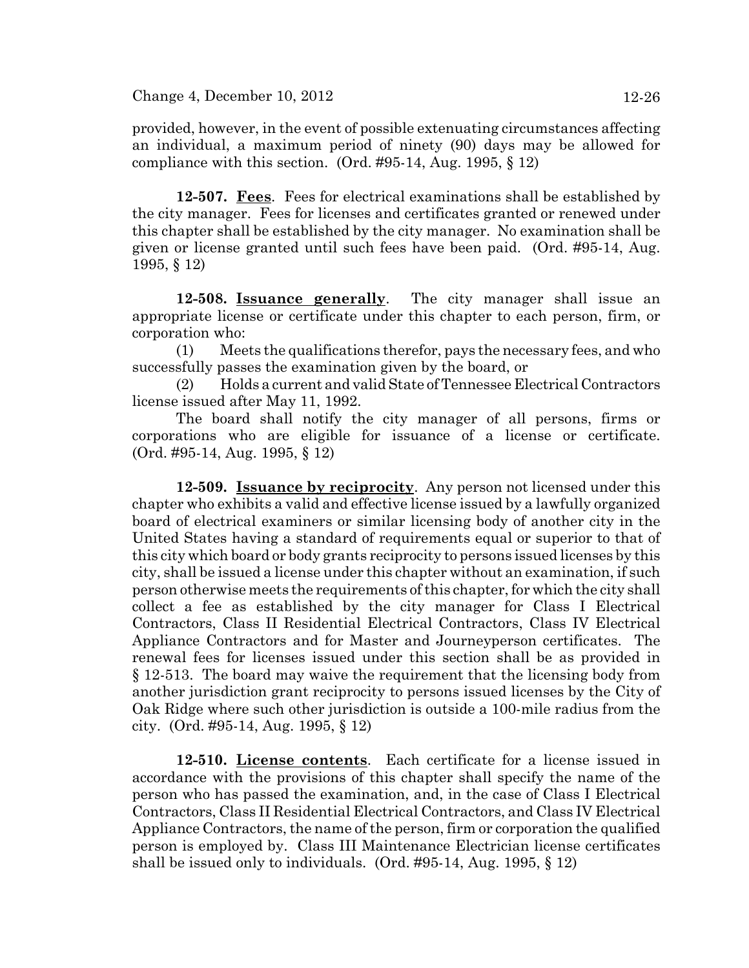provided, however, in the event of possible extenuating circumstances affecting an individual, a maximum period of ninety (90) days may be allowed for compliance with this section. (Ord.  $\#95-14$ , Aug. 1995, § 12)

**12-507. Fees**. Fees for electrical examinations shall be established by the city manager. Fees for licenses and certificates granted or renewed under this chapter shall be established by the city manager. No examination shall be given or license granted until such fees have been paid. (Ord. #95-14, Aug. 1995, § 12)

**12-508. Issuance generally**. The city manager shall issue an appropriate license or certificate under this chapter to each person, firm, or corporation who:

(1) Meets the qualifications therefor, pays the necessary fees, and who successfully passes the examination given by the board, or

(2) Holds a current and valid State of Tennessee Electrical Contractors license issued after May 11, 1992.

The board shall notify the city manager of all persons, firms or corporations who are eligible for issuance of a license or certificate. (Ord. #95-14, Aug. 1995, § 12)

**12-509. Issuance by reciprocity**. Any person not licensed under this chapter who exhibits a valid and effective license issued by a lawfully organized board of electrical examiners or similar licensing body of another city in the United States having a standard of requirements equal or superior to that of this city which board or body grants reciprocity to persons issued licenses by this city, shall be issued a license under this chapter without an examination, if such person otherwise meets the requirements of this chapter, for which the city shall collect a fee as established by the city manager for Class I Electrical Contractors, Class II Residential Electrical Contractors, Class IV Electrical Appliance Contractors and for Master and Journeyperson certificates. The renewal fees for licenses issued under this section shall be as provided in § 12-513. The board may waive the requirement that the licensing body from another jurisdiction grant reciprocity to persons issued licenses by the City of Oak Ridge where such other jurisdiction is outside a 100-mile radius from the city. (Ord. #95-14, Aug. 1995, § 12)

**12-510. License contents**. Each certificate for a license issued in accordance with the provisions of this chapter shall specify the name of the person who has passed the examination, and, in the case of Class I Electrical Contractors, Class II Residential Electrical Contractors, and Class IV Electrical Appliance Contractors, the name of the person, firm or corporation the qualified person is employed by. Class III Maintenance Electrician license certificates shall be issued only to individuals. (Ord. #95-14, Aug. 1995, § 12)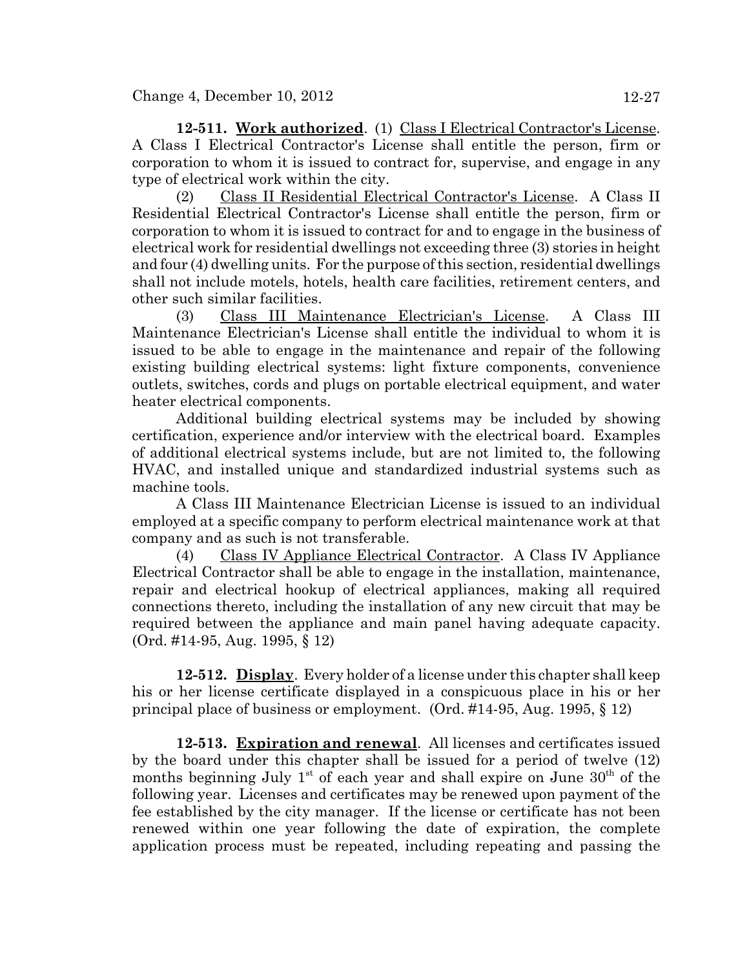**12-511. Work authorized**. (1) Class I Electrical Contractor's License. A Class I Electrical Contractor's License shall entitle the person, firm or corporation to whom it is issued to contract for, supervise, and engage in any type of electrical work within the city.

(2) Class II Residential Electrical Contractor's License. A Class II Residential Electrical Contractor's License shall entitle the person, firm or corporation to whom it is issued to contract for and to engage in the business of electrical work for residential dwellings not exceeding three (3) stories in height and four (4) dwelling units. For the purpose of this section, residential dwellings shall not include motels, hotels, health care facilities, retirement centers, and other such similar facilities.

(3) Class III Maintenance Electrician's License. A Class III Maintenance Electrician's License shall entitle the individual to whom it is issued to be able to engage in the maintenance and repair of the following existing building electrical systems: light fixture components, convenience outlets, switches, cords and plugs on portable electrical equipment, and water heater electrical components.

Additional building electrical systems may be included by showing certification, experience and/or interview with the electrical board. Examples of additional electrical systems include, but are not limited to, the following HVAC, and installed unique and standardized industrial systems such as machine tools.

A Class III Maintenance Electrician License is issued to an individual employed at a specific company to perform electrical maintenance work at that company and as such is not transferable.

(4) Class IV Appliance Electrical Contractor. A Class IV Appliance Electrical Contractor shall be able to engage in the installation, maintenance, repair and electrical hookup of electrical appliances, making all required connections thereto, including the installation of any new circuit that may be required between the appliance and main panel having adequate capacity. (Ord. #14-95, Aug. 1995, § 12)

**12-512. Display**. Every holder of a license under this chapter shall keep his or her license certificate displayed in a conspicuous place in his or her principal place of business or employment. (Ord. #14-95, Aug. 1995, § 12)

**12-513. Expiration and renewal**. All licenses and certificates issued by the board under this chapter shall be issued for a period of twelve (12) months beginning July  $1<sup>st</sup>$  of each year and shall expire on June  $30<sup>th</sup>$  of the following year. Licenses and certificates may be renewed upon payment of the fee established by the city manager. If the license or certificate has not been renewed within one year following the date of expiration, the complete application process must be repeated, including repeating and passing the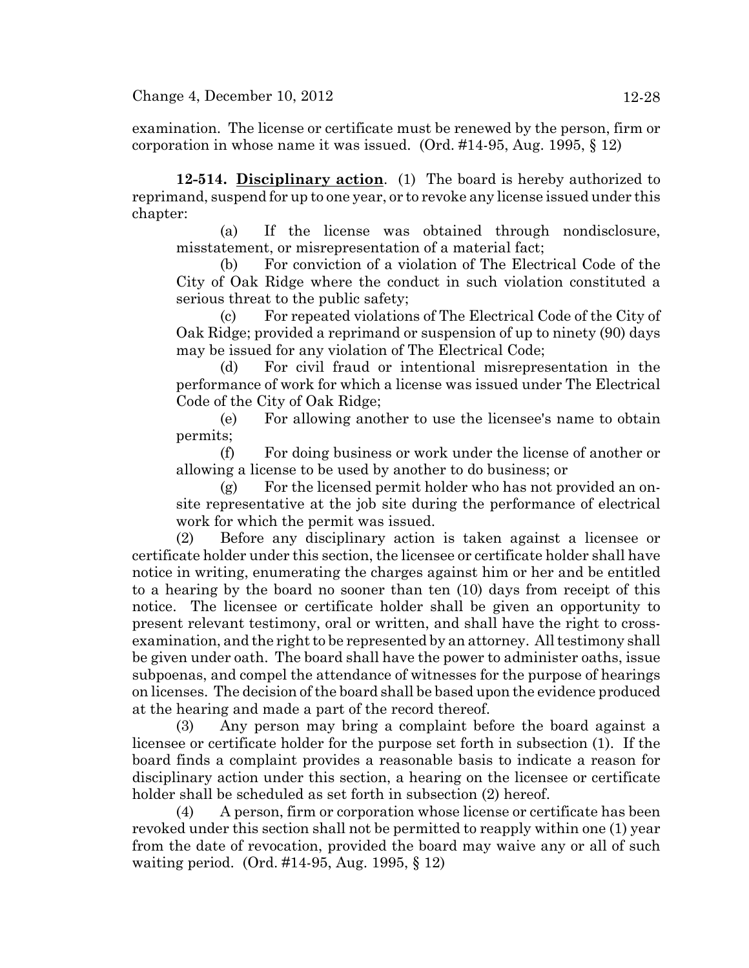examination. The license or certificate must be renewed by the person, firm or corporation in whose name it was issued. (Ord.  $\#14-95$ , Aug. 1995, § 12)

**12-514. Disciplinary action**. (1) The board is hereby authorized to reprimand, suspend for up to one year, or to revoke any license issued under this chapter:

(a) If the license was obtained through nondisclosure, misstatement, or misrepresentation of a material fact;

(b) For conviction of a violation of The Electrical Code of the City of Oak Ridge where the conduct in such violation constituted a serious threat to the public safety;

(c) For repeated violations of The Electrical Code of the City of Oak Ridge; provided a reprimand or suspension of up to ninety (90) days may be issued for any violation of The Electrical Code;

(d) For civil fraud or intentional misrepresentation in the performance of work for which a license was issued under The Electrical Code of the City of Oak Ridge;

(e) For allowing another to use the licensee's name to obtain permits;

(f) For doing business or work under the license of another or allowing a license to be used by another to do business; or

(g) For the licensed permit holder who has not provided an onsite representative at the job site during the performance of electrical work for which the permit was issued.

(2) Before any disciplinary action is taken against a licensee or certificate holder under this section, the licensee or certificate holder shall have notice in writing, enumerating the charges against him or her and be entitled to a hearing by the board no sooner than ten (10) days from receipt of this notice. The licensee or certificate holder shall be given an opportunity to present relevant testimony, oral or written, and shall have the right to crossexamination, and the right to be represented by an attorney. All testimony shall be given under oath. The board shall have the power to administer oaths, issue subpoenas, and compel the attendance of witnesses for the purpose of hearings on licenses. The decision of the board shall be based upon the evidence produced at the hearing and made a part of the record thereof.

(3) Any person may bring a complaint before the board against a licensee or certificate holder for the purpose set forth in subsection (1). If the board finds a complaint provides a reasonable basis to indicate a reason for disciplinary action under this section, a hearing on the licensee or certificate holder shall be scheduled as set forth in subsection (2) hereof.

(4) A person, firm or corporation whose license or certificate has been revoked under this section shall not be permitted to reapply within one (1) year from the date of revocation, provided the board may waive any or all of such waiting period. (Ord. #14-95, Aug. 1995, § 12)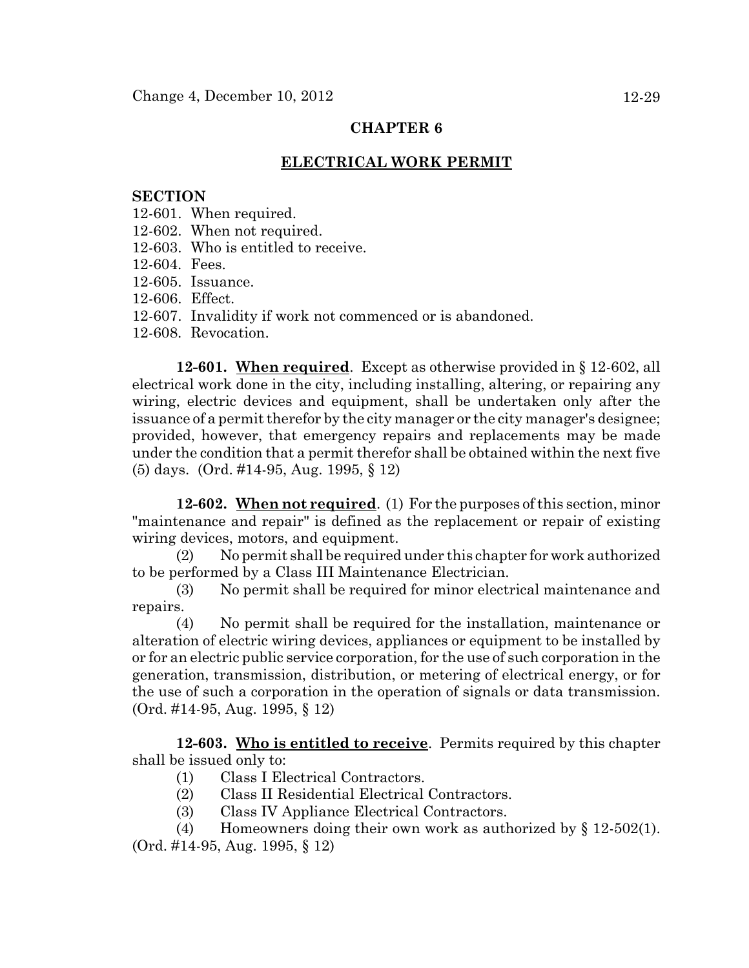# **ELECTRICAL WORK PERMIT**

### **SECTION**

- 12-601. When required.
- 12-602. When not required.
- 12-603. Who is entitled to receive.
- 12-604. Fees.
- 12-605. Issuance.
- 12-606. Effect.
- 12-607. Invalidity if work not commenced or is abandoned.
- 12-608. Revocation.

**12-601. When required**. Except as otherwise provided in § 12-602, all electrical work done in the city, including installing, altering, or repairing any wiring, electric devices and equipment, shall be undertaken only after the issuance of a permit therefor by the city manager or the city manager's designee; provided, however, that emergency repairs and replacements may be made under the condition that a permit therefor shall be obtained within the next five (5) days. (Ord. #14-95, Aug. 1995, § 12)

**12-602. When not required**. (1) For the purposes of this section, minor "maintenance and repair" is defined as the replacement or repair of existing wiring devices, motors, and equipment.

(2) No permit shall be required under this chapter for work authorized to be performed by a Class III Maintenance Electrician.

(3) No permit shall be required for minor electrical maintenance and repairs.

(4) No permit shall be required for the installation, maintenance or alteration of electric wiring devices, appliances or equipment to be installed by or for an electric public service corporation, for the use of such corporation in the generation, transmission, distribution, or metering of electrical energy, or for the use of such a corporation in the operation of signals or data transmission. (Ord. #14-95, Aug. 1995, § 12)

**12-603. Who is entitled to receive**. Permits required by this chapter shall be issued only to:

- (1) Class I Electrical Contractors.
- (2) Class II Residential Electrical Contractors.
- (3) Class IV Appliance Electrical Contractors.
- (4) Homeowners doing their own work as authorized by  $\S 12-502(1)$ . (Ord. #14-95, Aug. 1995, § 12)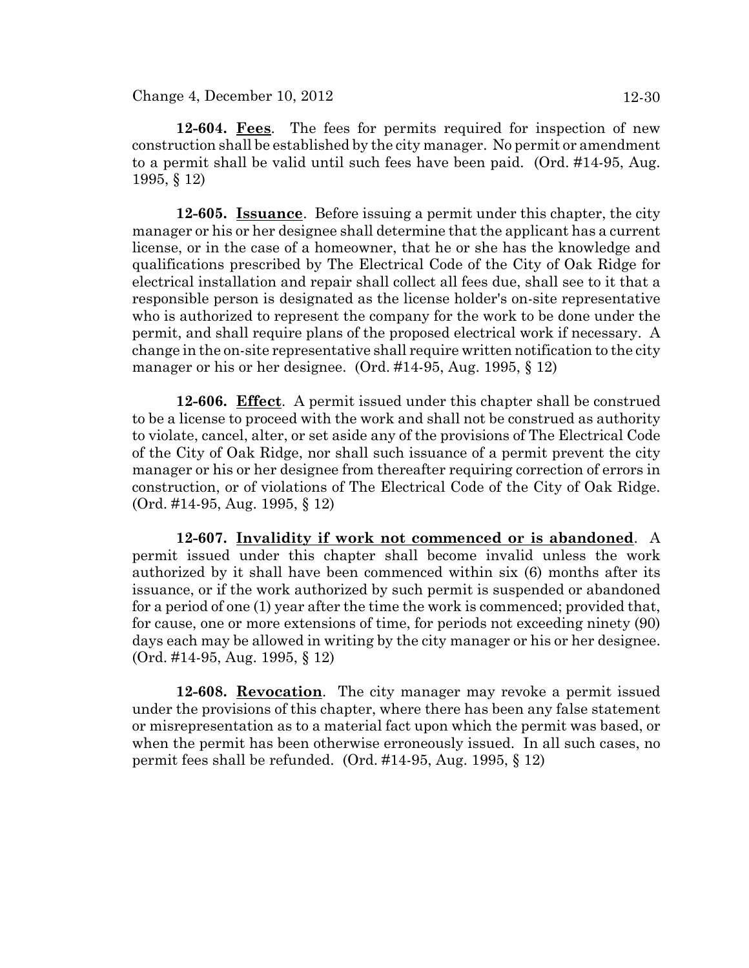$Change\ 4, December\ 10, 2012$  12-30

**12-604. Fees**. The fees for permits required for inspection of new construction shall be established by the city manager. No permit or amendment to a permit shall be valid until such fees have been paid. (Ord. #14-95, Aug. 1995, § 12)

**12-605. Issuance**. Before issuing a permit under this chapter, the city manager or his or her designee shall determine that the applicant has a current license, or in the case of a homeowner, that he or she has the knowledge and qualifications prescribed by The Electrical Code of the City of Oak Ridge for electrical installation and repair shall collect all fees due, shall see to it that a responsible person is designated as the license holder's on-site representative who is authorized to represent the company for the work to be done under the permit, and shall require plans of the proposed electrical work if necessary. A change in the on-site representative shall require written notification to the city manager or his or her designee. (Ord. #14-95, Aug. 1995, § 12)

**12-606. Effect**. A permit issued under this chapter shall be construed to be a license to proceed with the work and shall not be construed as authority to violate, cancel, alter, or set aside any of the provisions of The Electrical Code of the City of Oak Ridge, nor shall such issuance of a permit prevent the city manager or his or her designee from thereafter requiring correction of errors in construction, or of violations of The Electrical Code of the City of Oak Ridge. (Ord. #14-95, Aug. 1995, § 12)

**12-607. Invalidity if work not commenced or is abandoned**. A permit issued under this chapter shall become invalid unless the work authorized by it shall have been commenced within six (6) months after its issuance, or if the work authorized by such permit is suspended or abandoned for a period of one (1) year after the time the work is commenced; provided that, for cause, one or more extensions of time, for periods not exceeding ninety (90) days each may be allowed in writing by the city manager or his or her designee. (Ord. #14-95, Aug. 1995, § 12)

**12-608. Revocation**. The city manager may revoke a permit issued under the provisions of this chapter, where there has been any false statement or misrepresentation as to a material fact upon which the permit was based, or when the permit has been otherwise erroneously issued. In all such cases, no permit fees shall be refunded. (Ord. #14-95, Aug. 1995, § 12)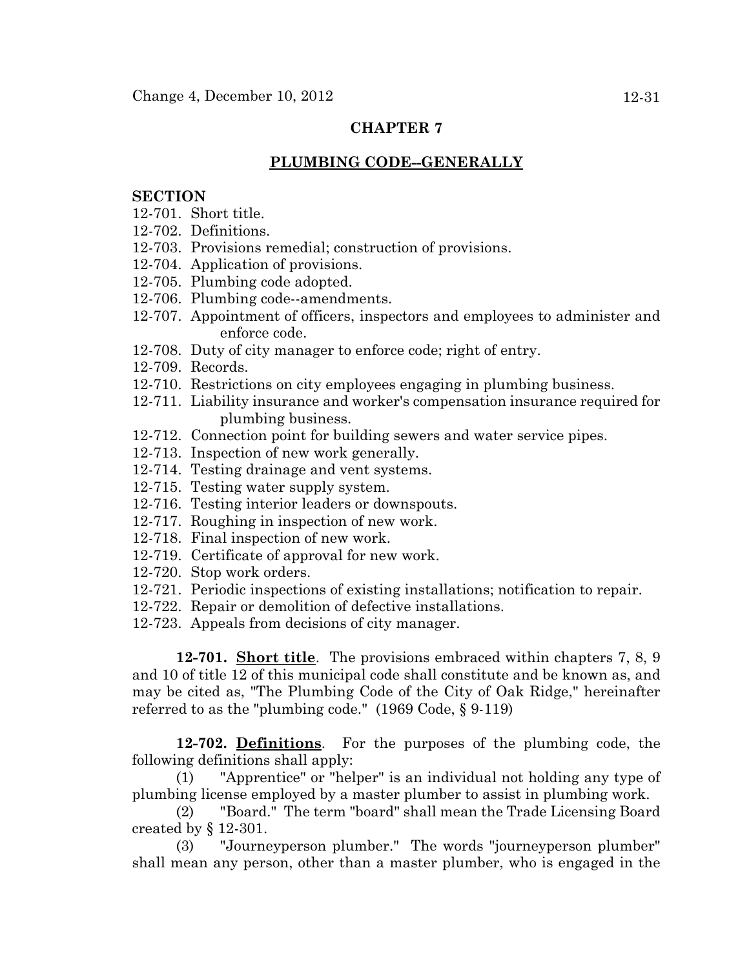### **PLUMBING CODE--GENERALLY**

#### **SECTION**

- 12-701. Short title.
- 12-702. Definitions.
- 12-703. Provisions remedial; construction of provisions.
- 12-704. Application of provisions.
- 12-705. Plumbing code adopted.
- 12-706. Plumbing code--amendments.
- 12-707. Appointment of officers, inspectors and employees to administer and enforce code.
- 12-708. Duty of city manager to enforce code; right of entry.
- 12-709. Records.
- 12-710. Restrictions on city employees engaging in plumbing business.
- 12-711. Liability insurance and worker's compensation insurance required for plumbing business.
- 12-712. Connection point for building sewers and water service pipes.
- 12-713. Inspection of new work generally.
- 12-714. Testing drainage and vent systems.
- 12-715. Testing water supply system.
- 12-716. Testing interior leaders or downspouts.
- 12-717. Roughing in inspection of new work.
- 12-718. Final inspection of new work.
- 12-719. Certificate of approval for new work.
- 12-720. Stop work orders.
- 12-721. Periodic inspections of existing installations; notification to repair.
- 12-722. Repair or demolition of defective installations.
- 12-723. Appeals from decisions of city manager.

**12-701. Short title**. The provisions embraced within chapters 7, 8, 9 and 10 of title 12 of this municipal code shall constitute and be known as, and may be cited as, "The Plumbing Code of the City of Oak Ridge," hereinafter referred to as the "plumbing code." (1969 Code, § 9-119)

**12-702. Definitions**. For the purposes of the plumbing code, the following definitions shall apply:

(1) "Apprentice" or "helper" is an individual not holding any type of plumbing license employed by a master plumber to assist in plumbing work.

(2) "Board." The term "board" shall mean the Trade Licensing Board created by § 12-301.

(3) "Journeyperson plumber." The words "journeyperson plumber" shall mean any person, other than a master plumber, who is engaged in the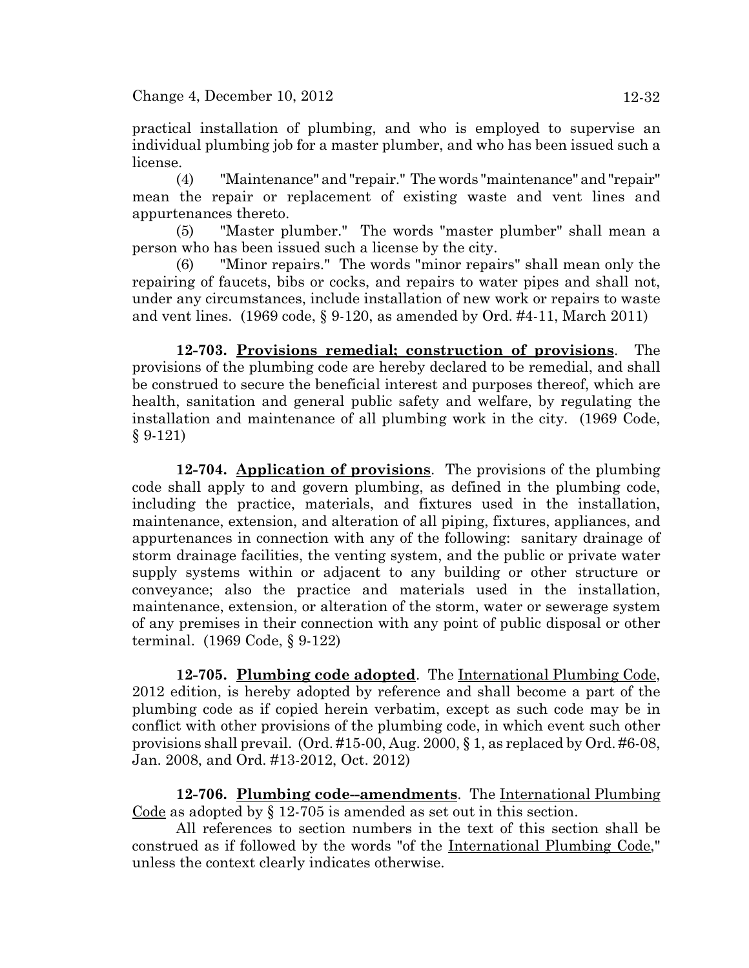practical installation of plumbing, and who is employed to supervise an individual plumbing job for a master plumber, and who has been issued such a license.

(4) "Maintenance" and "repair." The words "maintenance" and "repair" mean the repair or replacement of existing waste and vent lines and appurtenances thereto.

(5) "Master plumber." The words "master plumber" shall mean a person who has been issued such a license by the city.

(6) "Minor repairs." The words "minor repairs" shall mean only the repairing of faucets, bibs or cocks, and repairs to water pipes and shall not, under any circumstances, include installation of new work or repairs to waste and vent lines.  $(1969 \text{ code}, \S 9-120, \text{as amended by Ord. #4-11}, \text{March } 2011)$ 

**12-703. Provisions remedial; construction of provisions**. The provisions of the plumbing code are hereby declared to be remedial, and shall be construed to secure the beneficial interest and purposes thereof, which are health, sanitation and general public safety and welfare, by regulating the installation and maintenance of all plumbing work in the city. (1969 Code, § 9-121)

**12-704. Application of provisions**. The provisions of the plumbing code shall apply to and govern plumbing, as defined in the plumbing code, including the practice, materials, and fixtures used in the installation, maintenance, extension, and alteration of all piping, fixtures, appliances, and appurtenances in connection with any of the following: sanitary drainage of storm drainage facilities, the venting system, and the public or private water supply systems within or adjacent to any building or other structure or conveyance; also the practice and materials used in the installation, maintenance, extension, or alteration of the storm, water or sewerage system of any premises in their connection with any point of public disposal or other terminal. (1969 Code, § 9-122)

**12-705. Plumbing code adopted**. The International Plumbing Code, 2012 edition, is hereby adopted by reference and shall become a part of the plumbing code as if copied herein verbatim, except as such code may be in conflict with other provisions of the plumbing code, in which event such other provisions shall prevail. (Ord. #15-00, Aug. 2000, § 1, as replaced by Ord. #6-08, Jan. 2008, and Ord. #13-2012, Oct. 2012)

**12-706. Plumbing code--amendments**. The International Plumbing Code as adopted by  $\S 12-705$  is amended as set out in this section.

All references to section numbers in the text of this section shall be construed as if followed by the words "of the International Plumbing Code," unless the context clearly indicates otherwise.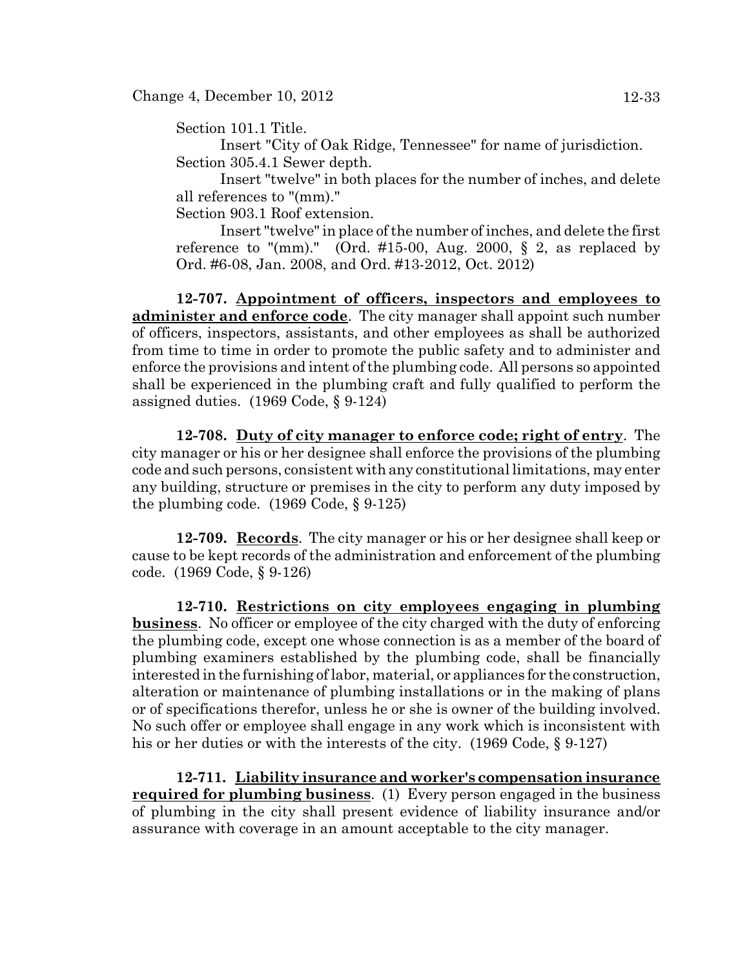Section 101.1 Title.

Insert "City of Oak Ridge, Tennessee" for name of jurisdiction. Section 305.4.1 Sewer depth.

Insert "twelve" in both places for the number of inches, and delete all references to "(mm)."

Section 903.1 Roof extension.

Insert "twelve" in place of the number of inches, and delete the first reference to "(mm)." (Ord. #15-00, Aug. 2000,  $\S$  2, as replaced by Ord. #6-08, Jan. 2008, and Ord. #13-2012, Oct. 2012)

**12-707. Appointment of officers, inspectors and employees to administer and enforce code**. The city manager shall appoint such number of officers, inspectors, assistants, and other employees as shall be authorized from time to time in order to promote the public safety and to administer and enforce the provisions and intent of the plumbing code. All persons so appointed shall be experienced in the plumbing craft and fully qualified to perform the assigned duties. (1969 Code, § 9-124)

**12-708. Duty of city manager to enforce code; right of entry**. The city manager or his or her designee shall enforce the provisions of the plumbing code and such persons, consistent with any constitutional limitations, may enter any building, structure or premises in the city to perform any duty imposed by the plumbing code.  $(1969 \text{ Code}, \S 9-125)$ 

**12-709. Records**. The city manager or his or her designee shall keep or cause to be kept records of the administration and enforcement of the plumbing code. (1969 Code, § 9-126)

**12-710. Restrictions on city employees engaging in plumbing business**. No officer or employee of the city charged with the duty of enforcing the plumbing code, except one whose connection is as a member of the board of plumbing examiners established by the plumbing code, shall be financially interested in the furnishing of labor, material, or appliances for the construction, alteration or maintenance of plumbing installations or in the making of plans or of specifications therefor, unless he or she is owner of the building involved. No such offer or employee shall engage in any work which is inconsistent with his or her duties or with the interests of the city. (1969 Code, § 9-127)

**12-711. Liability insurance and worker's compensation insurance required for plumbing business**. (1) Every person engaged in the business of plumbing in the city shall present evidence of liability insurance and/or assurance with coverage in an amount acceptable to the city manager.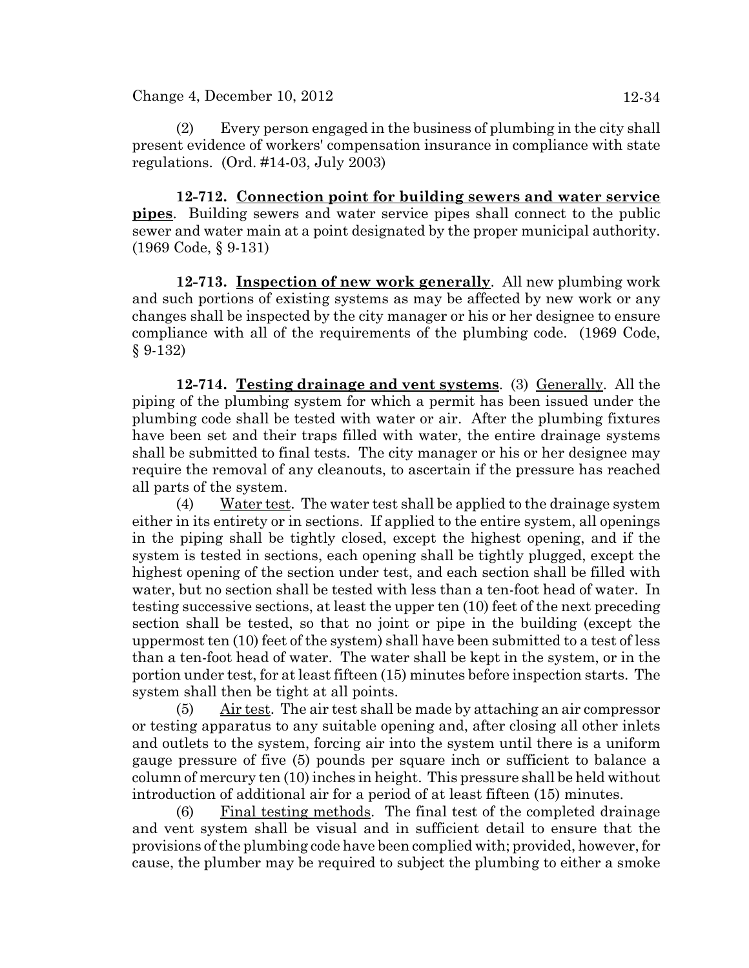Change 4, December 10, 2012 12-34

(2) Every person engaged in the business of plumbing in the city shall present evidence of workers' compensation insurance in compliance with state regulations. (Ord. #14-03, July 2003)

**12-712. Connection point for building sewers and water service pipes**. Building sewers and water service pipes shall connect to the public sewer and water main at a point designated by the proper municipal authority. (1969 Code, § 9-131)

**12-713. Inspection of new work generally**. All new plumbing work and such portions of existing systems as may be affected by new work or any changes shall be inspected by the city manager or his or her designee to ensure compliance with all of the requirements of the plumbing code. (1969 Code, § 9-132)

**12-714. Testing drainage and vent systems**. (3) Generally. All the piping of the plumbing system for which a permit has been issued under the plumbing code shall be tested with water or air. After the plumbing fixtures have been set and their traps filled with water, the entire drainage systems shall be submitted to final tests. The city manager or his or her designee may require the removal of any cleanouts, to ascertain if the pressure has reached all parts of the system.

(4) Water test. The water test shall be applied to the drainage system either in its entirety or in sections. If applied to the entire system, all openings in the piping shall be tightly closed, except the highest opening, and if the system is tested in sections, each opening shall be tightly plugged, except the highest opening of the section under test, and each section shall be filled with water, but no section shall be tested with less than a ten-foot head of water. In testing successive sections, at least the upper ten (10) feet of the next preceding section shall be tested, so that no joint or pipe in the building (except the uppermost ten (10) feet of the system) shall have been submitted to a test of less than a ten-foot head of water. The water shall be kept in the system, or in the portion under test, for at least fifteen (15) minutes before inspection starts. The system shall then be tight at all points.

(5) Air test. The air test shall be made by attaching an air compressor or testing apparatus to any suitable opening and, after closing all other inlets and outlets to the system, forcing air into the system until there is a uniform gauge pressure of five (5) pounds per square inch or sufficient to balance a column of mercury ten (10) inches in height. This pressure shall be held without introduction of additional air for a period of at least fifteen (15) minutes.

(6) Final testing methods. The final test of the completed drainage and vent system shall be visual and in sufficient detail to ensure that the provisions of the plumbing code have been complied with; provided, however, for cause, the plumber may be required to subject the plumbing to either a smoke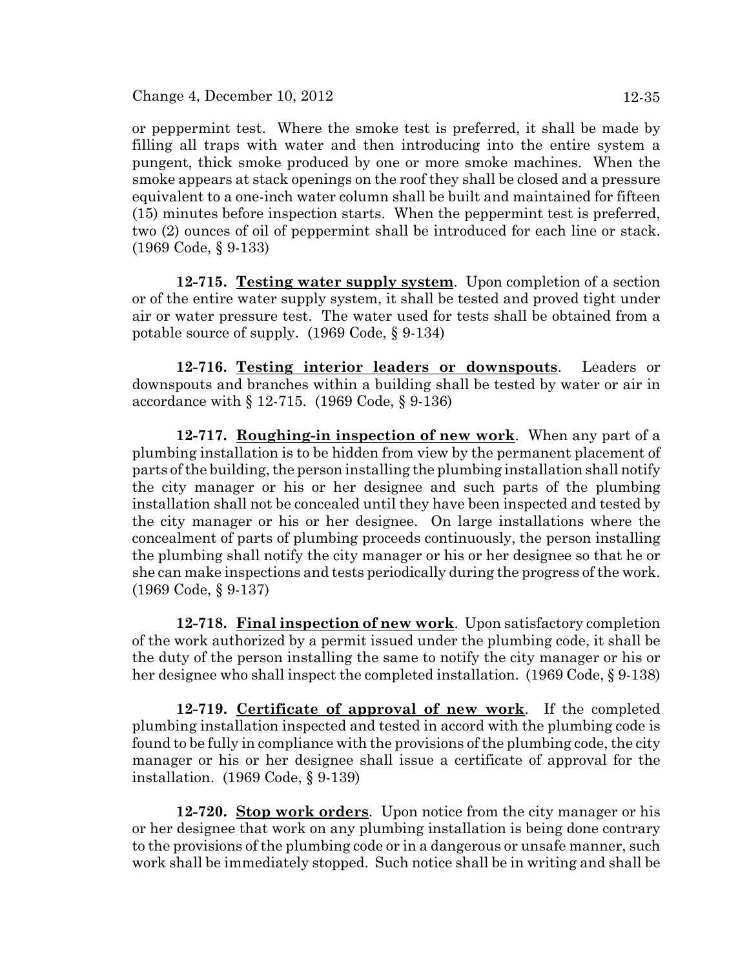Change 4, December 10, 2012 12-35

or peppermint test. Where the smoke test is preferred, it shall be made by filling all traps with water and then introducing into the entire system a pungent, thick smoke produced by one or more smoke machines. When the

smoke appears at stack openings on the roof they shall be closed and a pressure equivalent to a one-inch water column shall be built and maintained for fifteen (15) minutes before inspection starts. When the peppermint test is preferred, two (2) ounces of oil of peppermint shall be introduced for each line or stack. (1969 Code, § 9-133)

**12-715. Testing water supply system**. Upon completion of a section or of the entire water supply system, it shall be tested and proved tight under air or water pressure test. The water used for tests shall be obtained from a potable source of supply. (1969 Code, § 9-134)

**12-716. Testing interior leaders or downspouts**. Leaders or downspouts and branches within a building shall be tested by water or air in accordance with § 12-715. (1969 Code, § 9-136)

**12-717. Roughing-in inspection of new work**. When any part of a plumbing installation is to be hidden from view by the permanent placement of parts of the building, the person installing the plumbing installation shall notify the city manager or his or her designee and such parts of the plumbing installation shall not be concealed until they have been inspected and tested by the city manager or his or her designee. On large installations where the concealment of parts of plumbing proceeds continuously, the person installing the plumbing shall notify the city manager or his or her designee so that he or she can make inspections and tests periodically during the progress of the work. (1969 Code, § 9-137)

**12-718. Final inspection of new work**. Upon satisfactory completion of the work authorized by a permit issued under the plumbing code, it shall be the duty of the person installing the same to notify the city manager or his or her designee who shall inspect the completed installation. (1969 Code, § 9-138)

**12-719. Certificate of approval of new work**. If the completed plumbing installation inspected and tested in accord with the plumbing code is found to be fully in compliance with the provisions of the plumbing code, the city manager or his or her designee shall issue a certificate of approval for the installation. (1969 Code, § 9-139)

**12-720. Stop work orders**. Upon notice from the city manager or his or her designee that work on any plumbing installation is being done contrary to the provisions of the plumbing code or in a dangerous or unsafe manner, such work shall be immediately stopped. Such notice shall be in writing and shall be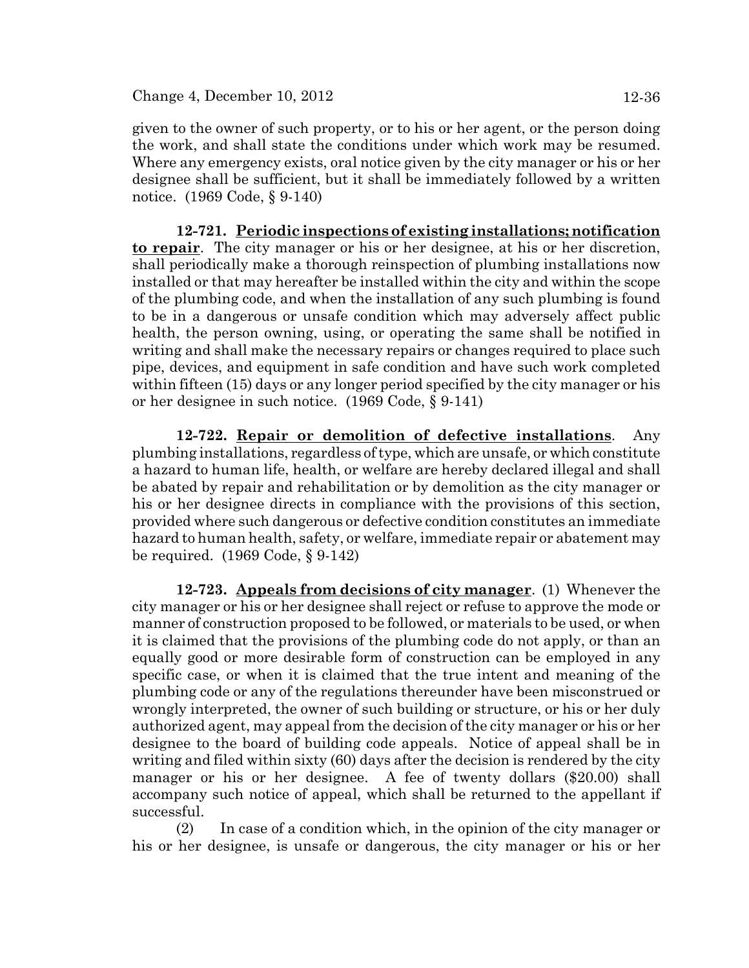given to the owner of such property, or to his or her agent, or the person doing the work, and shall state the conditions under which work may be resumed. Where any emergency exists, oral notice given by the city manager or his or her designee shall be sufficient, but it shall be immediately followed by a written notice. (1969 Code, § 9-140)

**12-721. Periodic inspections of existing installations; notification to repair**. The city manager or his or her designee, at his or her discretion, shall periodically make a thorough reinspection of plumbing installations now installed or that may hereafter be installed within the city and within the scope of the plumbing code, and when the installation of any such plumbing is found to be in a dangerous or unsafe condition which may adversely affect public health, the person owning, using, or operating the same shall be notified in writing and shall make the necessary repairs or changes required to place such pipe, devices, and equipment in safe condition and have such work completed within fifteen (15) days or any longer period specified by the city manager or his or her designee in such notice. (1969 Code, § 9-141)

**12-722. Repair or demolition of defective installations**. Any plumbing installations, regardless of type, which are unsafe, or which constitute a hazard to human life, health, or welfare are hereby declared illegal and shall be abated by repair and rehabilitation or by demolition as the city manager or his or her designee directs in compliance with the provisions of this section, provided where such dangerous or defective condition constitutes an immediate hazard to human health, safety, or welfare, immediate repair or abatement may be required. (1969 Code, § 9-142)

**12-723. Appeals from decisions of city manager**. (1) Whenever the city manager or his or her designee shall reject or refuse to approve the mode or manner of construction proposed to be followed, or materials to be used, or when it is claimed that the provisions of the plumbing code do not apply, or than an equally good or more desirable form of construction can be employed in any specific case, or when it is claimed that the true intent and meaning of the plumbing code or any of the regulations thereunder have been misconstrued or wrongly interpreted, the owner of such building or structure, or his or her duly authorized agent, may appeal from the decision of the city manager or his or her designee to the board of building code appeals. Notice of appeal shall be in writing and filed within sixty (60) days after the decision is rendered by the city manager or his or her designee. A fee of twenty dollars (\$20.00) shall accompany such notice of appeal, which shall be returned to the appellant if successful.

(2) In case of a condition which, in the opinion of the city manager or his or her designee, is unsafe or dangerous, the city manager or his or her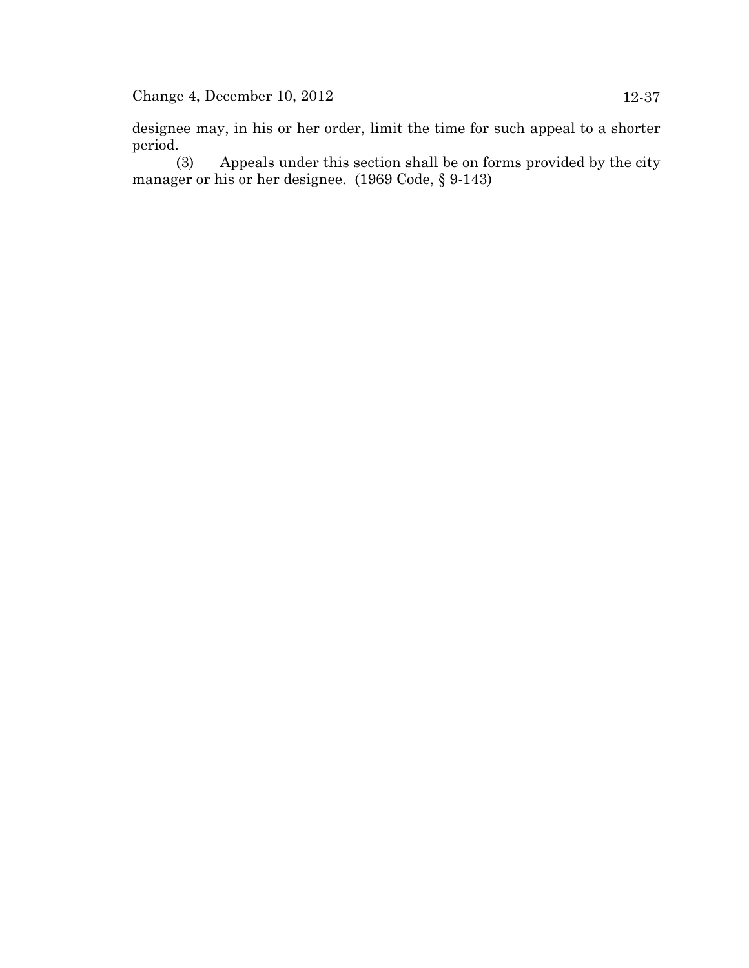designee may, in his or her order, limit the time for such appeal to a shorter period.

(3) Appeals under this section shall be on forms provided by the city manager or his or her designee. (1969 Code, § 9-143)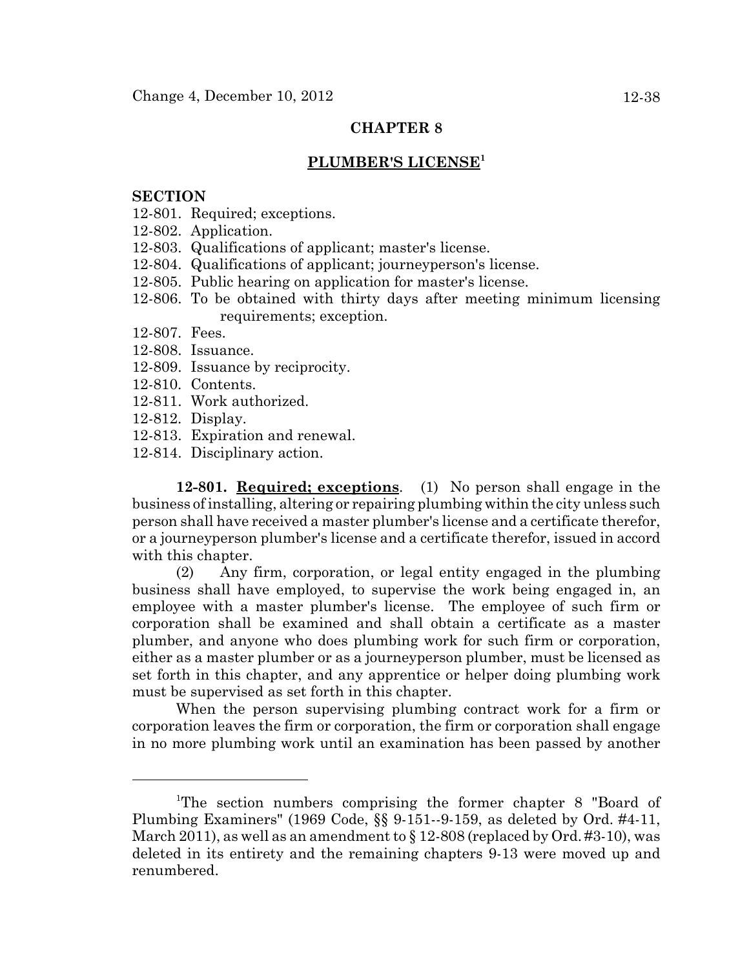### **PLUMBER'S LICENSE<sup>1</sup>**

#### **SECTION**

- 12-801. Required; exceptions.
- 12-802. Application.
- 12-803. Qualifications of applicant; master's license.
- 12-804. Qualifications of applicant; journeyperson's license.
- 12-805. Public hearing on application for master's license.
- 12-806. To be obtained with thirty days after meeting minimum licensing requirements; exception.
- 12-807. Fees.
- 12-808. Issuance.
- 12-809. Issuance by reciprocity.
- 12-810. Contents.
- 12-811. Work authorized.
- 12-812. Display.
- 12-813. Expiration and renewal.
- 12-814. Disciplinary action.

**12-801. Required; exceptions**. (1) No person shall engage in the business of installing, altering or repairing plumbing within the city unless such person shall have received a master plumber's license and a certificate therefor, or a journeyperson plumber's license and a certificate therefor, issued in accord with this chapter.

(2) Any firm, corporation, or legal entity engaged in the plumbing business shall have employed, to supervise the work being engaged in, an employee with a master plumber's license. The employee of such firm or corporation shall be examined and shall obtain a certificate as a master plumber, and anyone who does plumbing work for such firm or corporation, either as a master plumber or as a journeyperson plumber, must be licensed as set forth in this chapter, and any apprentice or helper doing plumbing work must be supervised as set forth in this chapter.

When the person supervising plumbing contract work for a firm or corporation leaves the firm or corporation, the firm or corporation shall engage in no more plumbing work until an examination has been passed by another

<sup>&</sup>lt;sup>1</sup>The section numbers comprising the former chapter 8 "Board of Plumbing Examiners" (1969 Code, §§ 9-151--9-159, as deleted by Ord. #4-11, March 2011), as well as an amendment to  $\S 12$ -808 (replaced by Ord. #3-10), was deleted in its entirety and the remaining chapters 9-13 were moved up and renumbered.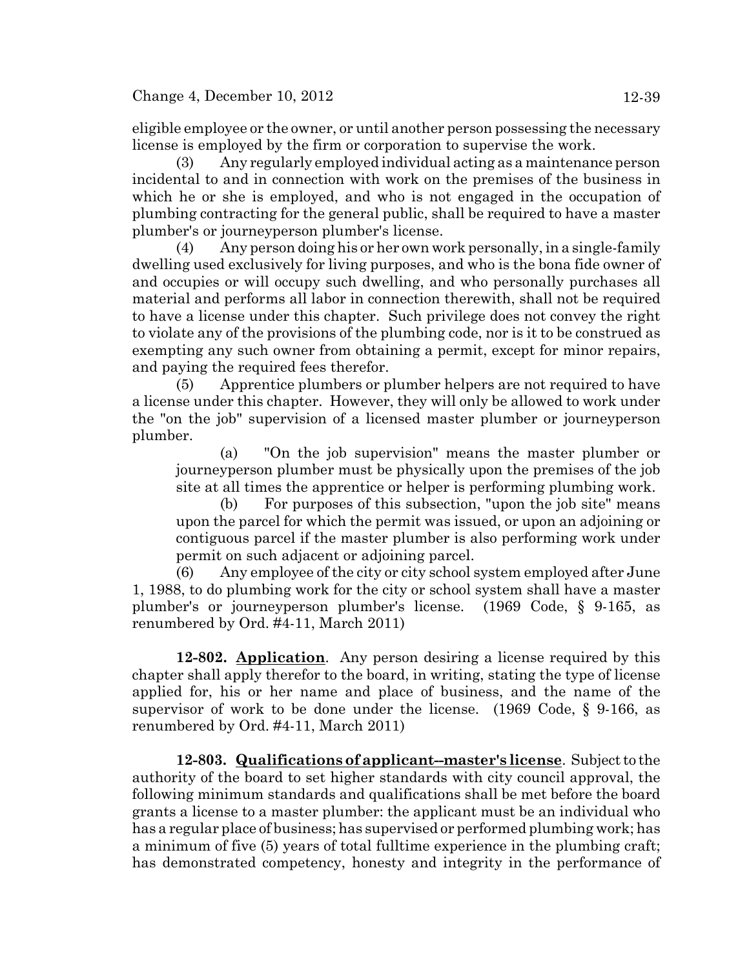eligible employee or the owner, or until another person possessing the necessary license is employed by the firm or corporation to supervise the work.

(3) Any regularly employed individual acting as a maintenance person incidental to and in connection with work on the premises of the business in which he or she is employed, and who is not engaged in the occupation of plumbing contracting for the general public, shall be required to have a master plumber's or journeyperson plumber's license.

(4) Any person doing his or her own work personally, in a single-family dwelling used exclusively for living purposes, and who is the bona fide owner of and occupies or will occupy such dwelling, and who personally purchases all material and performs all labor in connection therewith, shall not be required to have a license under this chapter. Such privilege does not convey the right to violate any of the provisions of the plumbing code, nor is it to be construed as exempting any such owner from obtaining a permit, except for minor repairs, and paying the required fees therefor.

(5) Apprentice plumbers or plumber helpers are not required to have a license under this chapter. However, they will only be allowed to work under the "on the job" supervision of a licensed master plumber or journeyperson plumber.

(a) "On the job supervision" means the master plumber or journeyperson plumber must be physically upon the premises of the job site at all times the apprentice or helper is performing plumbing work.

(b) For purposes of this subsection, "upon the job site" means upon the parcel for which the permit was issued, or upon an adjoining or contiguous parcel if the master plumber is also performing work under permit on such adjacent or adjoining parcel.

(6) Any employee of the city or city school system employed after June 1, 1988, to do plumbing work for the city or school system shall have a master plumber's or journeyperson plumber's license. (1969 Code, § 9-165, as renumbered by Ord. #4-11, March 2011)

**12-802. Application**. Any person desiring a license required by this chapter shall apply therefor to the board, in writing, stating the type of license applied for, his or her name and place of business, and the name of the supervisor of work to be done under the license. (1969 Code, § 9-166, as renumbered by Ord. #4-11, March 2011)

**12-803. Qualifications of applicant--master's license**. Subject to the authority of the board to set higher standards with city council approval, the following minimum standards and qualifications shall be met before the board grants a license to a master plumber: the applicant must be an individual who has a regular place of business; has supervised or performed plumbing work; has a minimum of five (5) years of total fulltime experience in the plumbing craft; has demonstrated competency, honesty and integrity in the performance of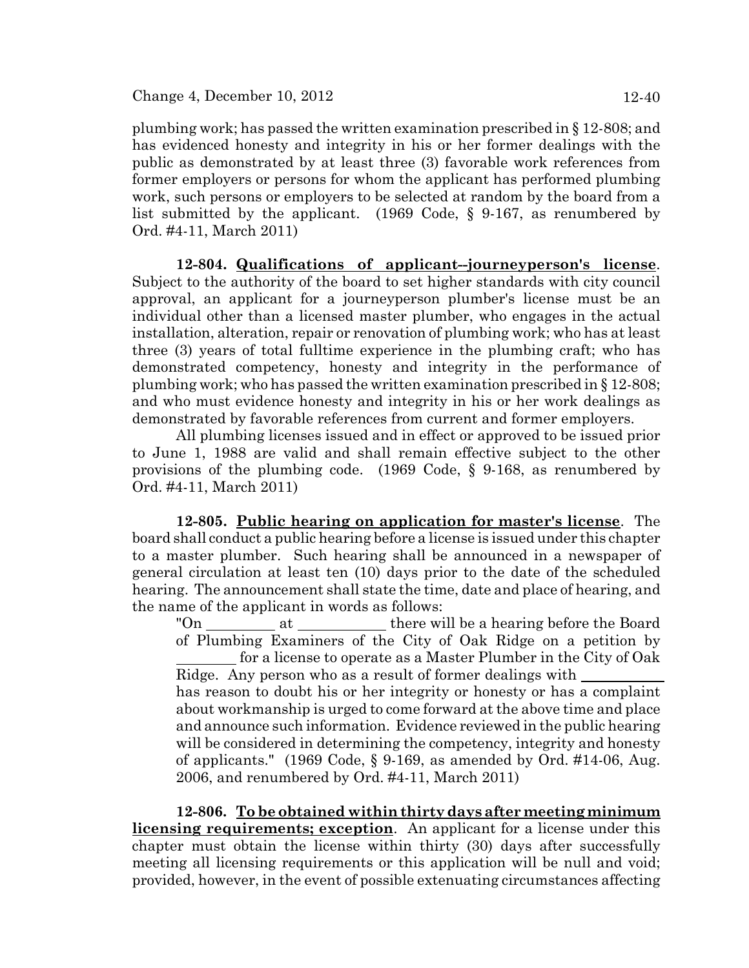Ord. #4-11, March 2011)

plumbing work; has passed the written examination prescribed in § 12-808; and has evidenced honesty and integrity in his or her former dealings with the public as demonstrated by at least three (3) favorable work references from former employers or persons for whom the applicant has performed plumbing work, such persons or employers to be selected at random by the board from a

**12-804. Qualifications of applicant--journeyperson's license**. Subject to the authority of the board to set higher standards with city council approval, an applicant for a journeyperson plumber's license must be an individual other than a licensed master plumber, who engages in the actual installation, alteration, repair or renovation of plumbing work; who has at least three (3) years of total fulltime experience in the plumbing craft; who has demonstrated competency, honesty and integrity in the performance of plumbing work; who has passed the written examination prescribed in § 12-808; and who must evidence honesty and integrity in his or her work dealings as demonstrated by favorable references from current and former employers.

list submitted by the applicant. (1969 Code, § 9-167, as renumbered by

All plumbing licenses issued and in effect or approved to be issued prior to June 1, 1988 are valid and shall remain effective subject to the other provisions of the plumbing code. (1969 Code, § 9-168, as renumbered by Ord. #4-11, March 2011)

**12-805. Public hearing on application for master's license**. The board shall conduct a public hearing before a license is issued under this chapter to a master plumber. Such hearing shall be announced in a newspaper of general circulation at least ten (10) days prior to the date of the scheduled hearing. The announcement shall state the time, date and place of hearing, and the name of the applicant in words as follows:

"On \_\_\_\_\_\_\_\_\_\_\_\_ at \_\_\_\_\_\_\_\_\_\_\_\_\_\_\_\_\_ there will be a hearing before the Board of Plumbing Examiners of the City of Oak Ridge on a petition by for a license to operate as a Master Plumber in the City of Oak Ridge. Any person who as a result of former dealings with has reason to doubt his or her integrity or honesty or has a complaint about workmanship is urged to come forward at the above time and place and announce such information. Evidence reviewed in the public hearing will be considered in determining the competency, integrity and honesty of applicants."  $(1969 \text{ Code}, \S 9-169, \text{ as amended by Ord. #14-06}, \text{Aug.})$ 2006, and renumbered by Ord. #4-11, March 2011)

**12-806. To be obtained within thirty days after meeting minimum licensing requirements; exception**. An applicant for a license under this chapter must obtain the license within thirty (30) days after successfully meeting all licensing requirements or this application will be null and void; provided, however, in the event of possible extenuating circumstances affecting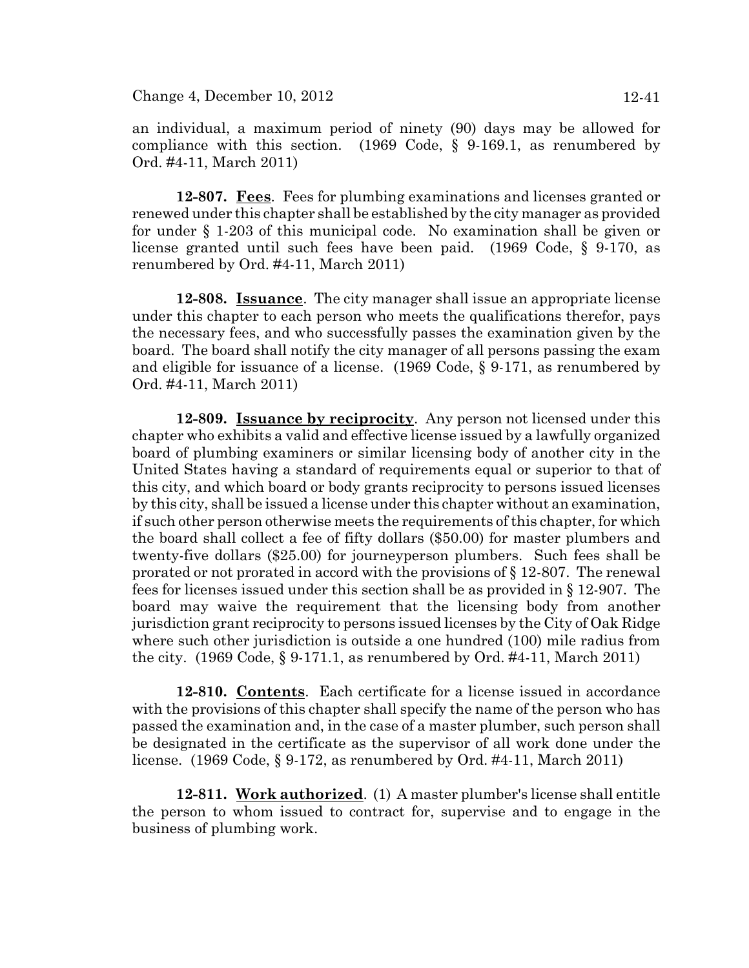an individual, a maximum period of ninety (90) days may be allowed for compliance with this section. (1969 Code, § 9-169.1, as renumbered by Ord. #4-11, March 2011)

**12-807. Fees**. Fees for plumbing examinations and licenses granted or renewed under this chapter shall be established by the city manager as provided for under § 1-203 of this municipal code. No examination shall be given or license granted until such fees have been paid. (1969 Code, § 9-170, as renumbered by Ord. #4-11, March 2011)

**12-808. Issuance**. The city manager shall issue an appropriate license under this chapter to each person who meets the qualifications therefor, pays the necessary fees, and who successfully passes the examination given by the board. The board shall notify the city manager of all persons passing the exam and eligible for issuance of a license. (1969 Code, § 9-171, as renumbered by Ord. #4-11, March 2011)

**12-809. Issuance by reciprocity**. Any person not licensed under this chapter who exhibits a valid and effective license issued by a lawfully organized board of plumbing examiners or similar licensing body of another city in the United States having a standard of requirements equal or superior to that of this city, and which board or body grants reciprocity to persons issued licenses by this city, shall be issued a license under this chapter without an examination, if such other person otherwise meets the requirements of this chapter, for which the board shall collect a fee of fifty dollars (\$50.00) for master plumbers and twenty-five dollars (\$25.00) for journeyperson plumbers. Such fees shall be prorated or not prorated in accord with the provisions of § 12-807. The renewal fees for licenses issued under this section shall be as provided in § 12-907. The board may waive the requirement that the licensing body from another jurisdiction grant reciprocity to persons issued licenses by the City of Oak Ridge where such other jurisdiction is outside a one hundred (100) mile radius from the city. (1969 Code, § 9-171.1, as renumbered by Ord. #4-11, March 2011)

**12-810. Contents**. Each certificate for a license issued in accordance with the provisions of this chapter shall specify the name of the person who has passed the examination and, in the case of a master plumber, such person shall be designated in the certificate as the supervisor of all work done under the license. (1969 Code, § 9-172, as renumbered by Ord. #4-11, March 2011)

**12-811. Work authorized**. (1) A master plumber's license shall entitle the person to whom issued to contract for, supervise and to engage in the business of plumbing work.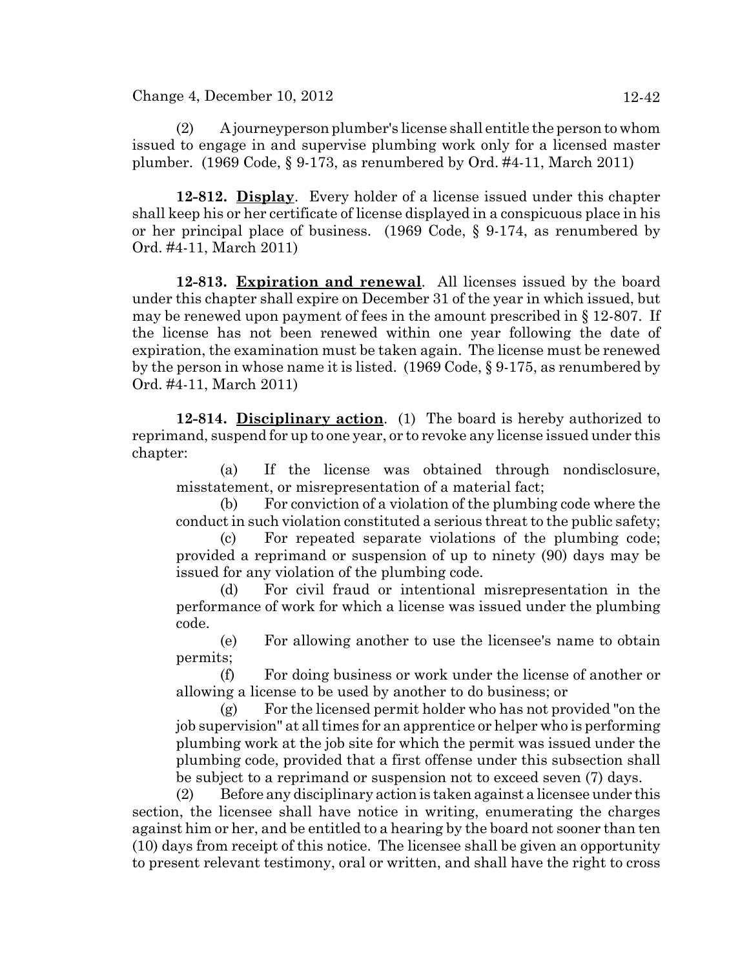Change 4, December 10, 2012 12-42

(2) A journeyperson plumber's license shall entitle the person to whom issued to engage in and supervise plumbing work only for a licensed master plumber. (1969 Code, § 9-173, as renumbered by Ord. #4-11, March 2011)

**12-812. Display**. Every holder of a license issued under this chapter shall keep his or her certificate of license displayed in a conspicuous place in his or her principal place of business. (1969 Code, § 9-174, as renumbered by Ord. #4-11, March 2011)

**12-813. Expiration and renewal**. All licenses issued by the board under this chapter shall expire on December 31 of the year in which issued, but may be renewed upon payment of fees in the amount prescribed in § 12-807. If the license has not been renewed within one year following the date of expiration, the examination must be taken again. The license must be renewed by the person in whose name it is listed. (1969 Code, § 9-175, as renumbered by Ord. #4-11, March 2011)

**12-814. Disciplinary action**. (1) The board is hereby authorized to reprimand, suspend for up to one year, or to revoke any license issued under this chapter:

(a) If the license was obtained through nondisclosure, misstatement, or misrepresentation of a material fact;

(b) For conviction of a violation of the plumbing code where the conduct in such violation constituted a serious threat to the public safety;

(c) For repeated separate violations of the plumbing code; provided a reprimand or suspension of up to ninety (90) days may be issued for any violation of the plumbing code.

(d) For civil fraud or intentional misrepresentation in the performance of work for which a license was issued under the plumbing code.

(e) For allowing another to use the licensee's name to obtain permits;

(f) For doing business or work under the license of another or allowing a license to be used by another to do business; or

(g) For the licensed permit holder who has not provided "on the job supervision" at all times for an apprentice or helper who is performing plumbing work at the job site for which the permit was issued under the plumbing code, provided that a first offense under this subsection shall be subject to a reprimand or suspension not to exceed seven (7) days.

(2) Before any disciplinary action is taken against a licensee under this section, the licensee shall have notice in writing, enumerating the charges against him or her, and be entitled to a hearing by the board not sooner than ten (10) days from receipt of this notice. The licensee shall be given an opportunity to present relevant testimony, oral or written, and shall have the right to cross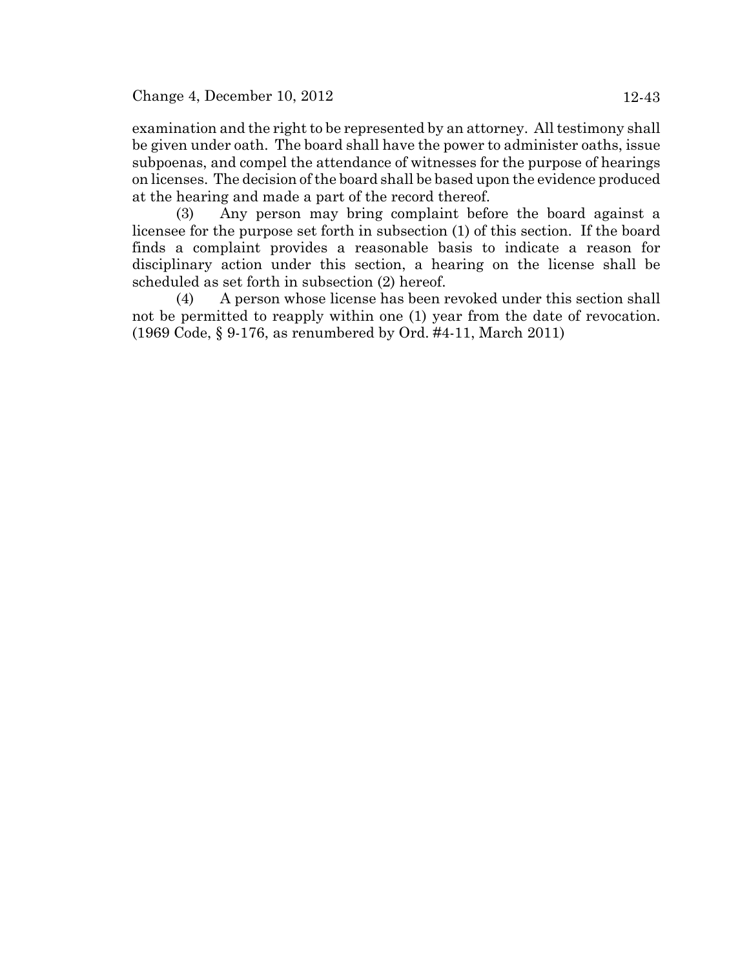examination and the right to be represented by an attorney. All testimony shall be given under oath. The board shall have the power to administer oaths, issue subpoenas, and compel the attendance of witnesses for the purpose of hearings on licenses. The decision of the board shall be based upon the evidence produced at the hearing and made a part of the record thereof.

(3) Any person may bring complaint before the board against a licensee for the purpose set forth in subsection (1) of this section. If the board finds a complaint provides a reasonable basis to indicate a reason for disciplinary action under this section, a hearing on the license shall be scheduled as set forth in subsection (2) hereof.

(4) A person whose license has been revoked under this section shall not be permitted to reapply within one (1) year from the date of revocation. (1969 Code, § 9-176, as renumbered by Ord. #4-11, March 2011)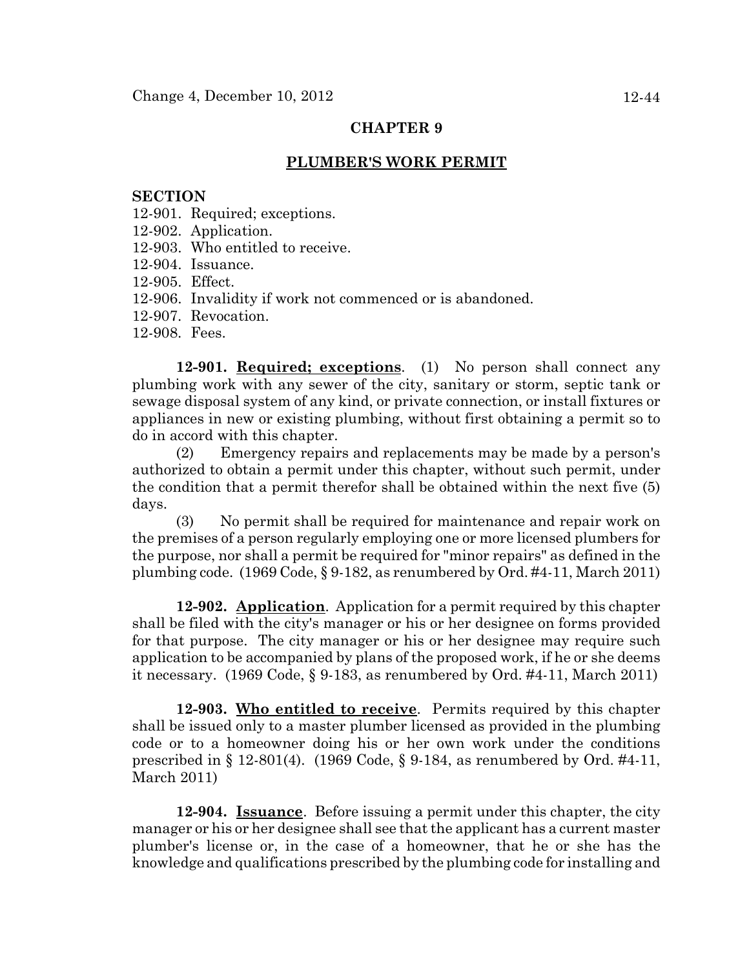#### **PLUMBER'S WORK PERMIT**

#### **SECTION**

- 12-901. Required; exceptions.
- 12-902. Application.
- 12-903. Who entitled to receive.
- 12-904. Issuance.
- 12-905. Effect.
- 12-906. Invalidity if work not commenced or is abandoned.
- 12-907. Revocation.
- 12-908. Fees.

**12-901. Required; exceptions**. (1) No person shall connect any plumbing work with any sewer of the city, sanitary or storm, septic tank or sewage disposal system of any kind, or private connection, or install fixtures or appliances in new or existing plumbing, without first obtaining a permit so to do in accord with this chapter.

(2) Emergency repairs and replacements may be made by a person's authorized to obtain a permit under this chapter, without such permit, under the condition that a permit therefor shall be obtained within the next five (5) days.

(3) No permit shall be required for maintenance and repair work on the premises of a person regularly employing one or more licensed plumbers for the purpose, nor shall a permit be required for "minor repairs" as defined in the plumbing code. (1969 Code, § 9-182, as renumbered by Ord. #4-11, March 2011)

**12-902. Application**. Application for a permit required by this chapter shall be filed with the city's manager or his or her designee on forms provided for that purpose. The city manager or his or her designee may require such application to be accompanied by plans of the proposed work, if he or she deems it necessary. (1969 Code, § 9-183, as renumbered by Ord. #4-11, March 2011)

**12-903. Who entitled to receive**. Permits required by this chapter shall be issued only to a master plumber licensed as provided in the plumbing code or to a homeowner doing his or her own work under the conditions prescribed in § 12-801(4). (1969 Code, § 9-184, as renumbered by Ord. #4-11, March 2011)

**12-904. Issuance**. Before issuing a permit under this chapter, the city manager or his or her designee shall see that the applicant has a current master plumber's license or, in the case of a homeowner, that he or she has the knowledge and qualifications prescribed by the plumbing code for installing and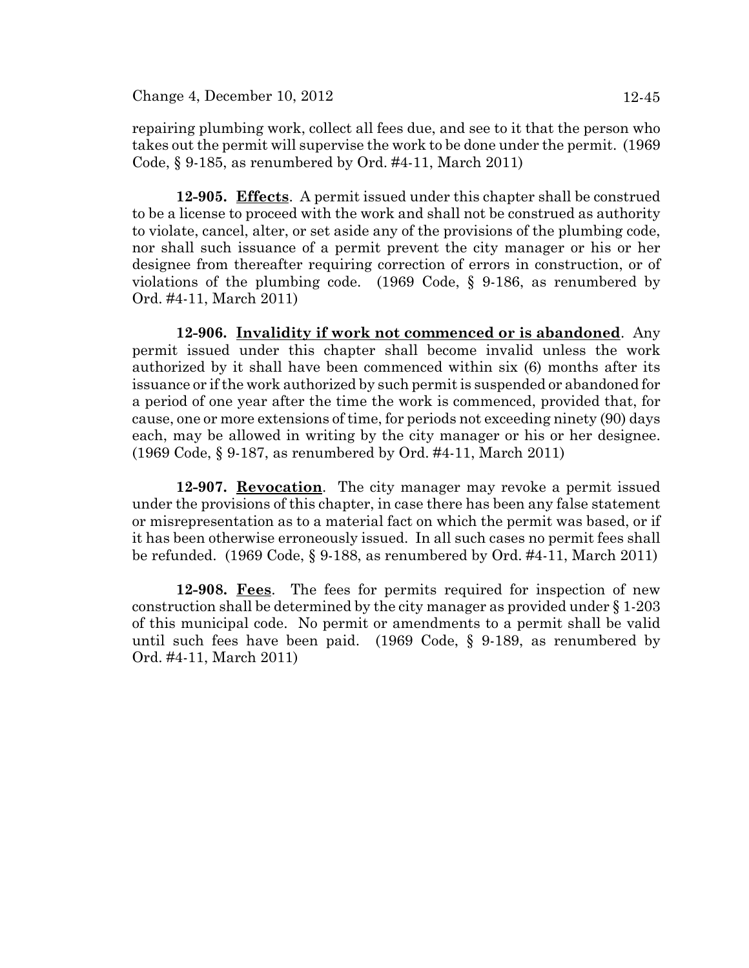Change 4, December 10, 2012 12-45

repairing plumbing work, collect all fees due, and see to it that the person who takes out the permit will supervise the work to be done under the permit. (1969 Code, § 9-185, as renumbered by Ord. #4-11, March 2011)

**12-905. Effects**. A permit issued under this chapter shall be construed to be a license to proceed with the work and shall not be construed as authority to violate, cancel, alter, or set aside any of the provisions of the plumbing code, nor shall such issuance of a permit prevent the city manager or his or her designee from thereafter requiring correction of errors in construction, or of violations of the plumbing code. (1969 Code, § 9-186, as renumbered by Ord. #4-11, March 2011)

**12-906. Invalidity if work not commenced or is abandoned**. Any permit issued under this chapter shall become invalid unless the work authorized by it shall have been commenced within six (6) months after its issuance or if the work authorized by such permit is suspended or abandoned for a period of one year after the time the work is commenced, provided that, for cause, one or more extensions of time, for periods not exceeding ninety (90) days each, may be allowed in writing by the city manager or his or her designee. (1969 Code, § 9-187, as renumbered by Ord. #4-11, March 2011)

**12-907. Revocation**. The city manager may revoke a permit issued under the provisions of this chapter, in case there has been any false statement or misrepresentation as to a material fact on which the permit was based, or if it has been otherwise erroneously issued. In all such cases no permit fees shall be refunded. (1969 Code, § 9-188, as renumbered by Ord. #4-11, March 2011)

**12-908. Fees**. The fees for permits required for inspection of new construction shall be determined by the city manager as provided under § 1-203 of this municipal code. No permit or amendments to a permit shall be valid until such fees have been paid. (1969 Code, § 9-189, as renumbered by Ord. #4-11, March 2011)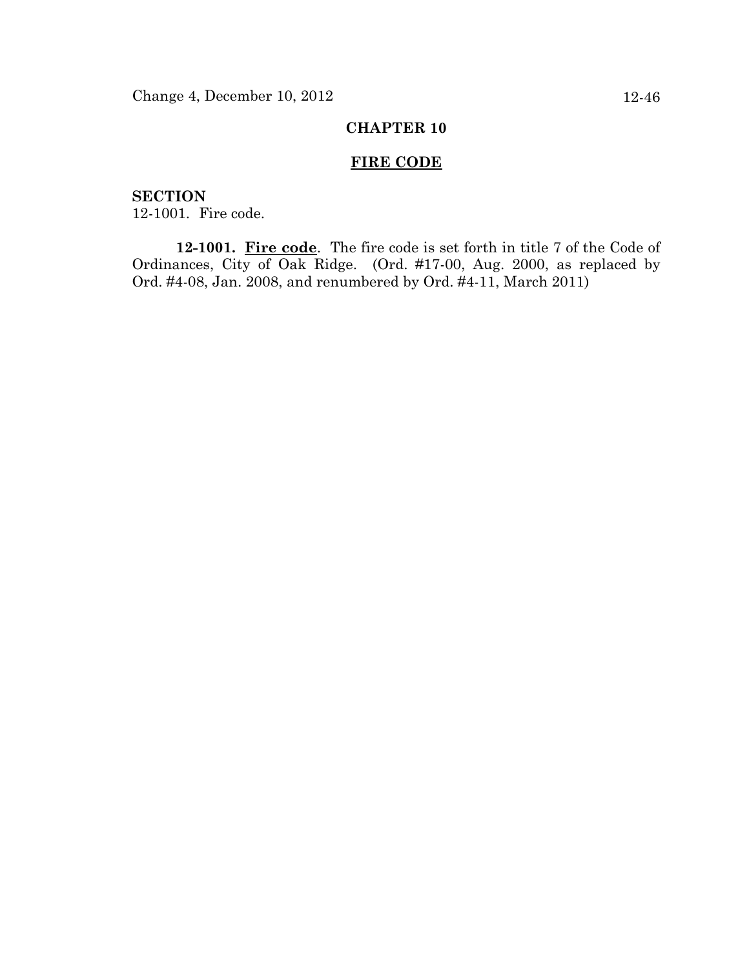## **FIRE CODE**

**SECTION** 12-1001. Fire code.

**12-1001. Fire code**. The fire code is set forth in title 7 of the Code of Ordinances, City of Oak Ridge. (Ord. #17-00, Aug. 2000, as replaced by Ord. #4-08, Jan. 2008, and renumbered by Ord. #4-11, March 2011)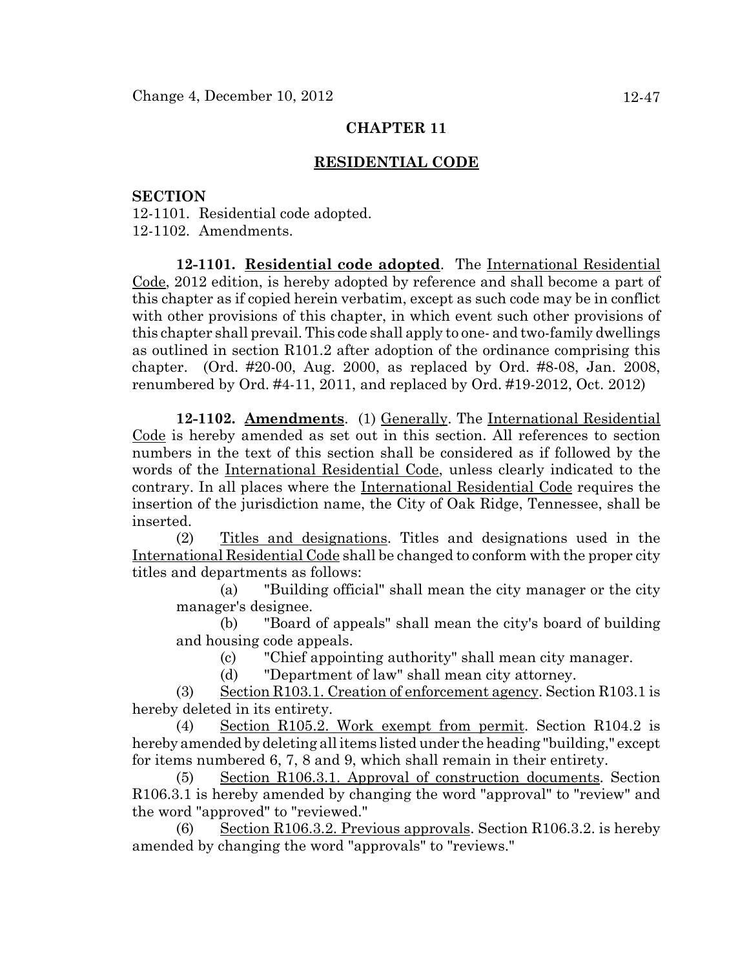### **RESIDENTIAL CODE**

#### **SECTION**

12-1101. Residential code adopted. 12-1102. Amendments.

**12-1101. Residential code adopted**. The International Residential Code, 2012 edition, is hereby adopted by reference and shall become a part of this chapter as if copied herein verbatim, except as such code may be in conflict with other provisions of this chapter, in which event such other provisions of this chapter shall prevail. This code shall apply to one- and two-family dwellings as outlined in section R101.2 after adoption of the ordinance comprising this chapter. (Ord. #20-00, Aug. 2000, as replaced by Ord. #8-08, Jan. 2008, renumbered by Ord. #4-11, 2011, and replaced by Ord. #19-2012, Oct. 2012)

**12-1102. Amendments**. (1) Generally. The International Residential Code is hereby amended as set out in this section. All references to section numbers in the text of this section shall be considered as if followed by the words of the International Residential Code, unless clearly indicated to the contrary. In all places where the International Residential Code requires the insertion of the jurisdiction name, the City of Oak Ridge, Tennessee, shall be inserted.

(2) Titles and designations. Titles and designations used in the International Residential Code shall be changed to conform with the proper city titles and departments as follows:

(a) "Building official" shall mean the city manager or the city manager's designee.

(b) "Board of appeals" shall mean the city's board of building and housing code appeals.

(c) "Chief appointing authority" shall mean city manager.

(d) "Department of law" shall mean city attorney.

(3) Section R103.1. Creation of enforcement agency. Section R103.1 is hereby deleted in its entirety.

(4) Section R105.2. Work exempt from permit. Section R104.2 is hereby amended by deleting all items listed under the heading "building," except for items numbered 6, 7, 8 and 9, which shall remain in their entirety.

(5) Section R106.3.1. Approval of construction documents. Section R106.3.1 is hereby amended by changing the word "approval" to "review" and the word "approved" to "reviewed."

(6) Section R106.3.2. Previous approvals. Section R106.3.2. is hereby amended by changing the word "approvals" to "reviews."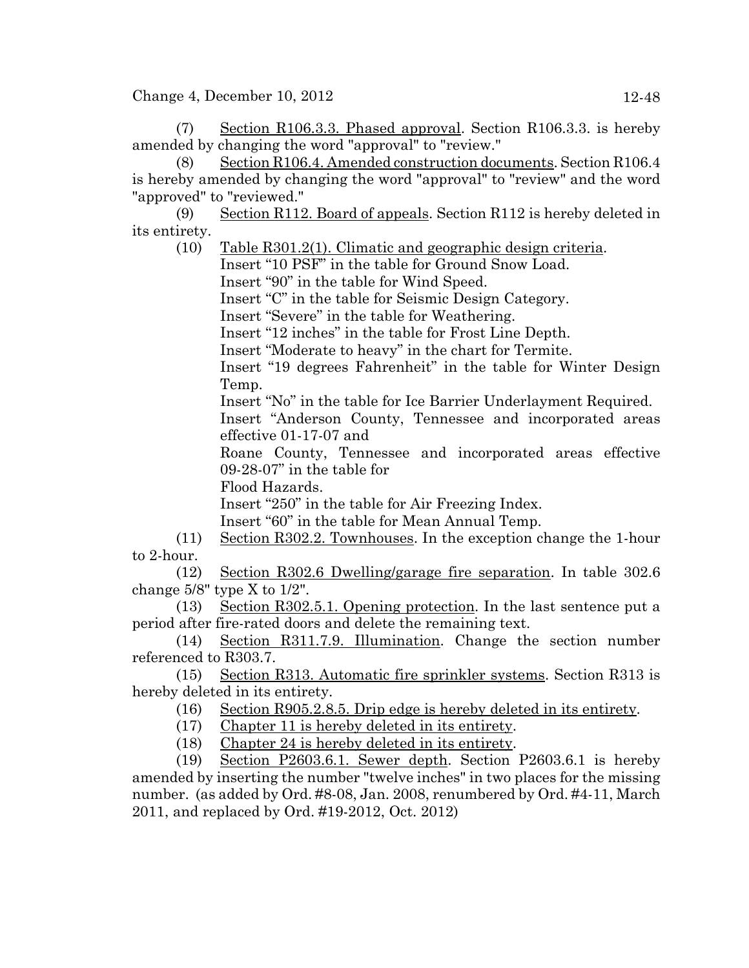Change 4, December 10, 2012 12-48

(7) Section R106.3.3. Phased approval. Section R106.3.3. is hereby amended by changing the word "approval" to "review."

(8) Section R106.4. Amended construction documents. Section R106.4 is hereby amended by changing the word "approval" to "review" and the word "approved" to "reviewed."

(9) Section R112. Board of appeals. Section R112 is hereby deleted in its entirety.

(10) Table R301.2(1). Climatic and geographic design criteria.

Insert "10 PSF" in the table for Ground Snow Load.

Insert "90" in the table for Wind Speed.

Insert "C" in the table for Seismic Design Category.

Insert "Severe" in the table for Weathering.

Insert "12 inches" in the table for Frost Line Depth.

Insert "Moderate to heavy" in the chart for Termite.

Insert "19 degrees Fahrenheit" in the table for Winter Design Temp.

Insert "No" in the table for Ice Barrier Underlayment Required.

Insert "Anderson County, Tennessee and incorporated areas effective 01-17-07 and

Roane County, Tennessee and incorporated areas effective 09-28-07" in the table for

Flood Hazards.

Insert "250" in the table for Air Freezing Index.

Insert "60" in the table for Mean Annual Temp.

(11) Section R302.2. Townhouses. In the exception change the 1-hour to 2-hour.

(12) Section R302.6 Dwelling/garage fire separation. In table 302.6 change 5/8" type X to 1/2".

(13) Section R302.5.1. Opening protection. In the last sentence put a period after fire-rated doors and delete the remaining text.

(14) Section R311.7.9. Illumination. Change the section number referenced to R303.7.

(15) Section R313. Automatic fire sprinkler systems. Section R313 is hereby deleted in its entirety.

(16) Section R905.2.8.5. Drip edge is hereby deleted in its entirety.

(17) Chapter 11 is hereby deleted in its entirety.

(18) Chapter 24 is hereby deleted in its entirety.

(19) Section P2603.6.1. Sewer depth. Section P2603.6.1 is hereby amended by inserting the number "twelve inches" in two places for the missing number. (as added by Ord. #8-08, Jan. 2008, renumbered by Ord. #4-11, March 2011, and replaced by Ord. #19-2012, Oct. 2012)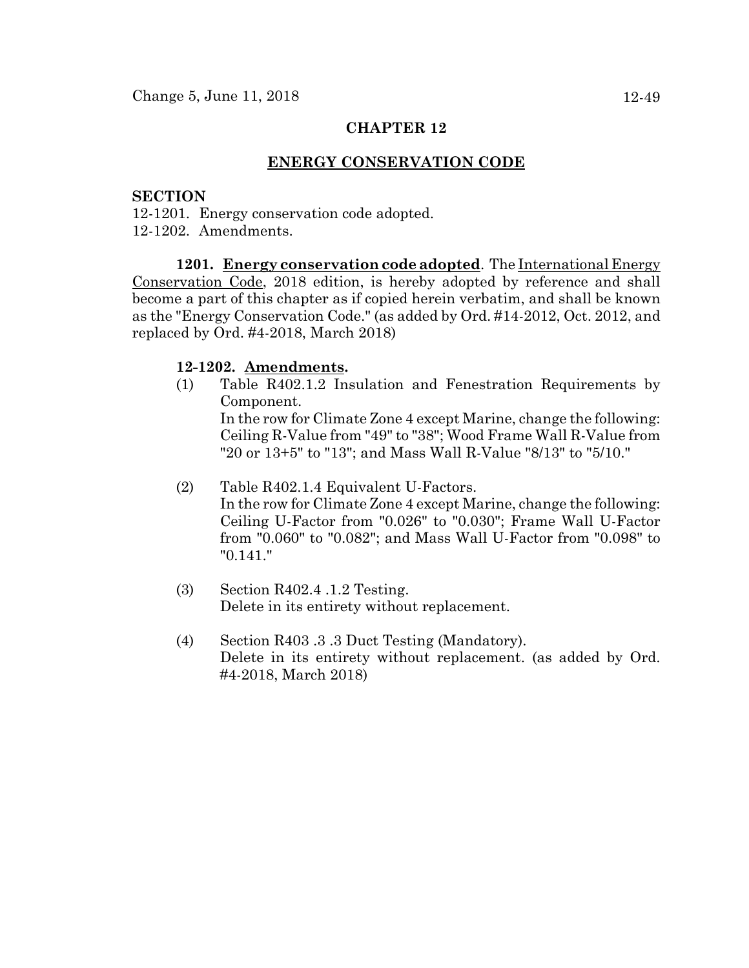### **ENERGY CONSERVATION CODE**

### **SECTION**

- 12-1201. Energy conservation code adopted.
- 12-1202. Amendments.

**1201. Energy conservation code adopted**. The International Energy Conservation Code, 2018 edition, is hereby adopted by reference and shall become a part of this chapter as if copied herein verbatim, and shall be known as the "Energy Conservation Code." (as added by Ord. #14-2012, Oct. 2012, and replaced by Ord. #4-2018, March 2018)

### **12-1202. Amendments.**

- (1) Table R402.1.2 Insulation and Fenestration Requirements by Component. In the row for Climate Zone 4 except Marine, change the following: Ceiling R-Value from "49" to "38"; Wood Frame Wall R-Value from "20 or 13+5" to "13"; and Mass Wall R-Value "8/13" to "5/10."
- (2) Table R402.1.4 Equivalent U-Factors. In the row for Climate Zone 4 except Marine, change the following: Ceiling U-Factor from "0.026" to "0.030"; Frame Wall U-Factor from "0.060" to "0.082"; and Mass Wall U-Factor from "0.098" to "0.141."
- (3) Section R402.4 .1.2 Testing. Delete in its entirety without replacement.
- (4) Section R403 .3 .3 Duct Testing (Mandatory). Delete in its entirety without replacement. (as added by Ord. #4-2018, March 2018)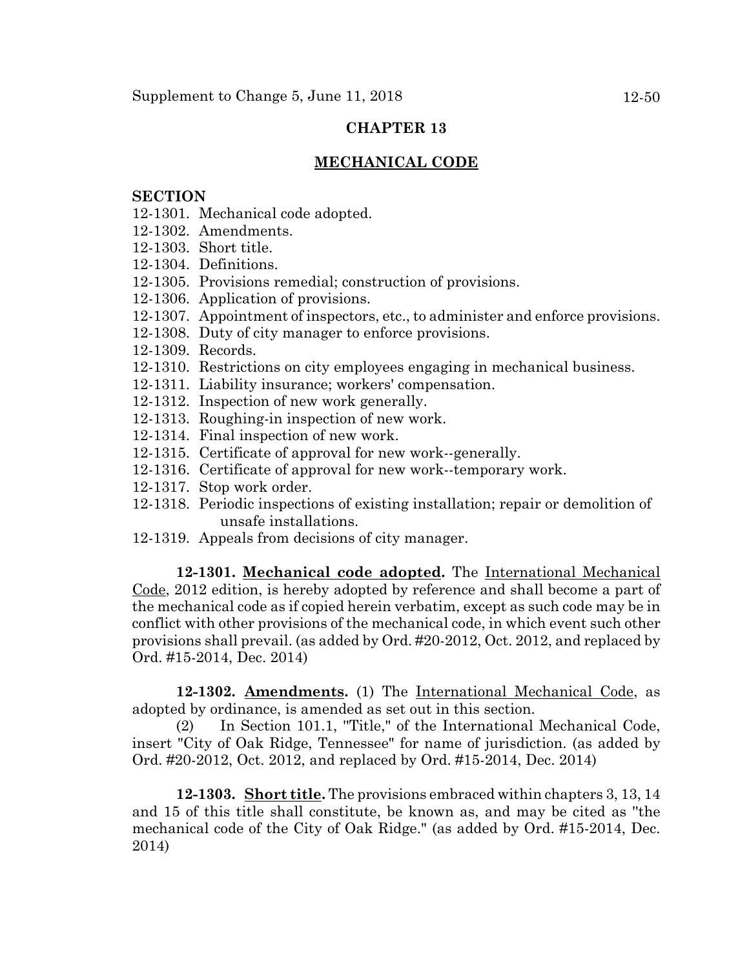## **MECHANICAL CODE**

#### **SECTION**

- 12-1301. Mechanical code adopted.
- 12-1302. Amendments.
- 12-1303. Short title.
- 12-1304. Definitions.
- 12-1305. Provisions remedial; construction of provisions.
- 12-1306. Application of provisions.
- 12-1307. Appointment of inspectors, etc., to administer and enforce provisions.
- 12-1308. Duty of city manager to enforce provisions.
- 12-1309. Records.
- 12-1310. Restrictions on city employees engaging in mechanical business.
- 12-1311. Liability insurance; workers' compensation.
- 12-1312. Inspection of new work generally.
- 12-1313. Roughing-in inspection of new work.
- 12-1314. Final inspection of new work.
- 12-1315. Certificate of approval for new work--generally.
- 12-1316. Certificate of approval for new work--temporary work.
- 12-1317. Stop work order.
- 12-1318. Periodic inspections of existing installation; repair or demolition of unsafe installations.
- 12-1319. Appeals from decisions of city manager.

**12-1301. Mechanical code adopted.** The International Mechanical Code, 2012 edition, is hereby adopted by reference and shall become a part of the mechanical code as if copied herein verbatim, except as such code may be in conflict with other provisions of the mechanical code, in which event such other provisions shall prevail. (as added by Ord. #20-2012, Oct. 2012, and replaced by Ord. #15-2014, Dec. 2014)

**12-1302. Amendments.** (1) The International Mechanical Code, as adopted by ordinance, is amended as set out in this section.

(2) In Section 101.1, ''Title," of the International Mechanical Code, insert "City of Oak Ridge, Tennessee" for name of jurisdiction. (as added by Ord. #20-2012, Oct. 2012, and replaced by Ord. #15-2014, Dec. 2014)

**12-1303. Short title.** The provisions embraced within chapters 3, 13, 14 and 15 of this title shall constitute, be known as, and may be cited as ''the mechanical code of the City of Oak Ridge." (as added by Ord. #15-2014, Dec. 2014)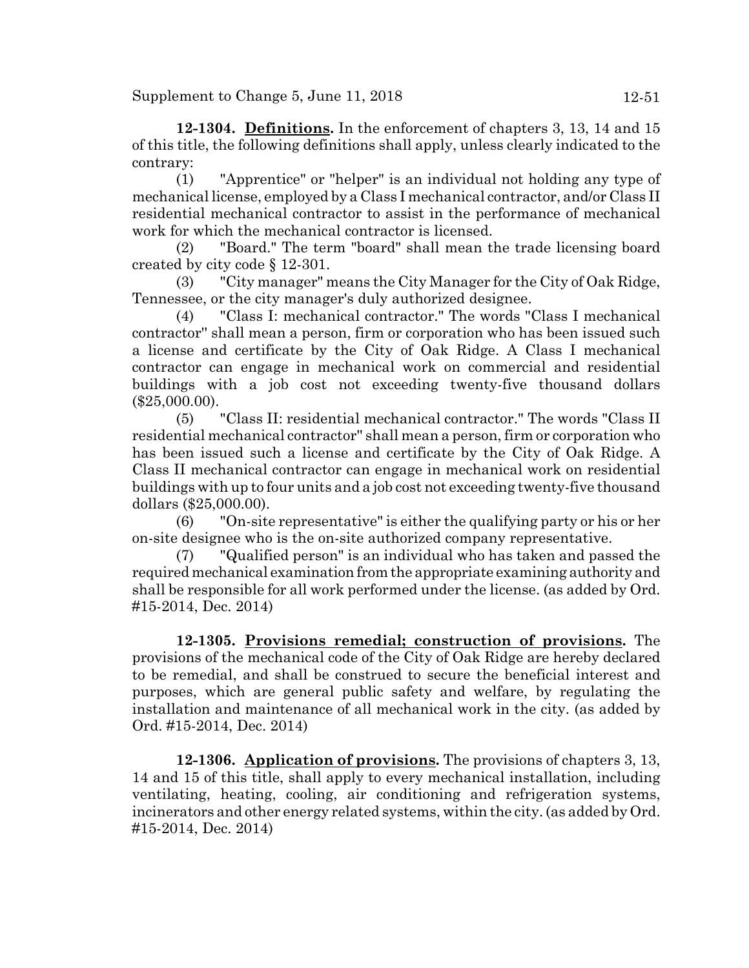Supplement to Change  $5$ , June  $11$ ,  $2018$  12-51

**12-1304. Definitions.** In the enforcement of chapters 3, 13, 14 and 15 of this title, the following definitions shall apply, unless clearly indicated to the contrary:

(1) "Apprentice" or "helper" is an individual not holding any type of mechanical license, employed by a Class I mechanical contractor, and/or Class II residential mechanical contractor to assist in the performance of mechanical work for which the mechanical contractor is licensed.

(2) "Board." The term "board" shall mean the trade licensing board created by city code § 12-301.

(3) "City manager" means the City Manager for the City of Oak Ridge, Tennessee, or the city manager's duly authorized designee.

(4) "Class I: mechanical contractor." The words "Class I mechanical contractor'' shall mean a person, firm or corporation who has been issued such a license and certificate by the City of Oak Ridge. A Class I mechanical contractor can engage in mechanical work on commercial and residential buildings with a job cost not exceeding twenty-five thousand dollars (\$25,000.00).

(5) "Class II: residential mechanical contractor." The words "Class II residential mechanical contractor'' shall mean a person, firm or corporation who has been issued such a license and certificate by the City of Oak Ridge. A Class II mechanical contractor can engage in mechanical work on residential buildings with up to four units and a job cost not exceeding twenty-five thousand dollars (\$25,000.00).

(6) "On-site representative" is either the qualifying party or his or her on-site designee who is the on-site authorized company representative.

(7) "Qualified person" is an individual who has taken and passed the required mechanical examination from the appropriate examining authority and shall be responsible for all work performed under the license. (as added by Ord. #15-2014, Dec. 2014)

**12-1305. Provisions remedial; construction of provisions.** The provisions of the mechanical code of the City of Oak Ridge are hereby declared to be remedial, and shall be construed to secure the beneficial interest and purposes, which are general public safety and welfare, by regulating the installation and maintenance of all mechanical work in the city. (as added by Ord. #15-2014, Dec. 2014)

**12-1306. Application of provisions.** The provisions of chapters 3, 13, 14 and 15 of this title, shall apply to every mechanical installation, including ventilating, heating, cooling, air conditioning and refrigeration systems, incinerators and other energy related systems, within the city. (as added by Ord. #15-2014, Dec. 2014)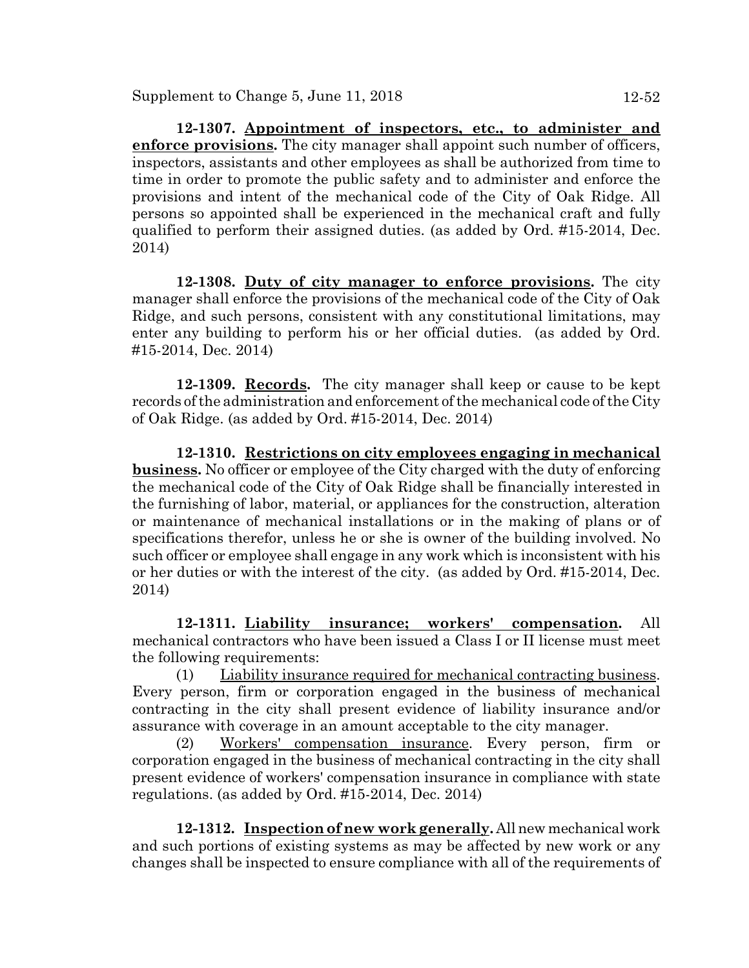**12-1307. Appointment of inspectors, etc., to administer and enforce provisions.** The city manager shall appoint such number of officers, inspectors, assistants and other employees as shall be authorized from time to time in order to promote the public safety and to administer and enforce the provisions and intent of the mechanical code of the City of Oak Ridge. All persons so appointed shall be experienced in the mechanical craft and fully qualified to perform their assigned duties. (as added by Ord. #15-2014, Dec. 2014)

**12-1308. Duty of city manager to enforce provisions.** The city manager shall enforce the provisions of the mechanical code of the City of Oak Ridge, and such persons, consistent with any constitutional limitations, may enter any building to perform his or her official duties. (as added by Ord. #15-2014, Dec. 2014)

**12-1309. Records.** The city manager shall keep or cause to be kept records of the administration and enforcement of the mechanical code of the City of Oak Ridge. (as added by Ord. #15-2014, Dec. 2014)

**12-1310. Restrictions on city employees engaging in mechanical business.** No officer or employee of the City charged with the duty of enforcing the mechanical code of the City of Oak Ridge shall be financially interested in the furnishing of labor, material, or appliances for the construction, alteration or maintenance of mechanical installations or in the making of plans or of specifications therefor, unless he or she is owner of the building involved. No such officer or employee shall engage in any work which is inconsistent with his or her duties or with the interest of the city. (as added by Ord. #15-2014, Dec. 2014)

**12-1311. Liability insurance; workers' compensation.** All mechanical contractors who have been issued a Class I or II license must meet the following requirements:

(1) Liability insurance required for mechanical contracting business. Every person, firm or corporation engaged in the business of mechanical contracting in the city shall present evidence of liability insurance and/or assurance with coverage in an amount acceptable to the city manager.

(2) Workers' compensation insurance. Every person, firm or corporation engaged in the business of mechanical contracting in the city shall present evidence of workers' compensation insurance in compliance with state regulations. (as added by Ord. #15-2014, Dec. 2014)

**12-1312. Inspection of new work generally.** All new mechanical work and such portions of existing systems as may be affected by new work or any changes shall be inspected to ensure compliance with all of the requirements of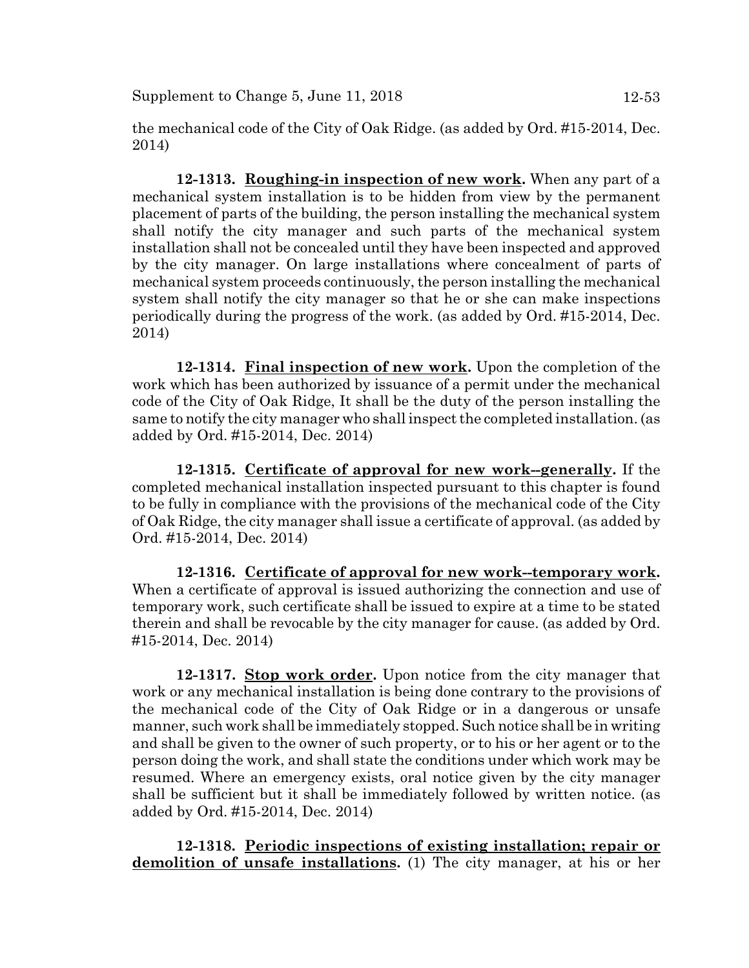the mechanical code of the City of Oak Ridge. (as added by Ord. #15-2014, Dec. 2014)

**12-1313. Roughing-in inspection of new work.** When any part of a mechanical system installation is to be hidden from view by the permanent placement of parts of the building, the person installing the mechanical system shall notify the city manager and such parts of the mechanical system installation shall not be concealed until they have been inspected and approved by the city manager. On large installations where concealment of parts of mechanical system proceeds continuously, the person installing the mechanical system shall notify the city manager so that he or she can make inspections periodically during the progress of the work. (as added by Ord. #15-2014, Dec. 2014)

**12-1314. Final inspection of new work.** Upon the completion of the work which has been authorized by issuance of a permit under the mechanical code of the City of Oak Ridge, It shall be the duty of the person installing the same to notify the city manager who shall inspect the completed installation. (as added by Ord. #15-2014, Dec. 2014)

**12-1315. Certificate of approval for new work--generally.** If the completed mechanical installation inspected pursuant to this chapter is found to be fully in compliance with the provisions of the mechanical code of the City of Oak Ridge, the city manager shall issue a certificate of approval. (as added by Ord. #15-2014, Dec. 2014)

**12-1316. Certificate of approval for new work--temporary work.** When a certificate of approval is issued authorizing the connection and use of temporary work, such certificate shall be issued to expire at a time to be stated therein and shall be revocable by the city manager for cause. (as added by Ord. #15-2014, Dec. 2014)

**12-1317. Stop work order.** Upon notice from the city manager that work or any mechanical installation is being done contrary to the provisions of the mechanical code of the City of Oak Ridge or in a dangerous or unsafe manner, such work shall be immediately stopped. Such notice shall be in writing and shall be given to the owner of such property, or to his or her agent or to the person doing the work, and shall state the conditions under which work may be resumed. Where an emergency exists, oral notice given by the city manager shall be sufficient but it shall be immediately followed by written notice. (as added by Ord. #15-2014, Dec. 2014)

**12-1318. Periodic inspections of existing installation; repair or demolition of unsafe installations.** (1) The city manager, at his or her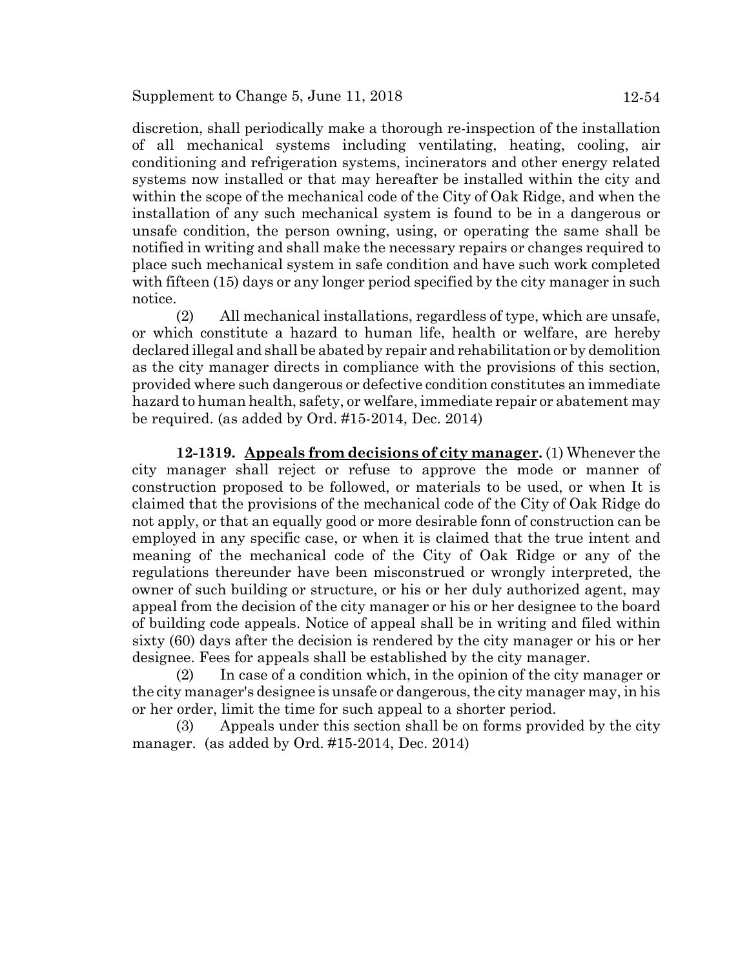discretion, shall periodically make a thorough re-inspection of the installation of all mechanical systems including ventilating, heating, cooling, air conditioning and refrigeration systems, incinerators and other energy related systems now installed or that may hereafter be installed within the city and within the scope of the mechanical code of the City of Oak Ridge, and when the installation of any such mechanical system is found to be in a dangerous or unsafe condition, the person owning, using, or operating the same shall be notified in writing and shall make the necessary repairs or changes required to place such mechanical system in safe condition and have such work completed with fifteen (15) days or any longer period specified by the city manager in such notice.

(2) All mechanical installations, regardless of type, which are unsafe, or which constitute a hazard to human life, health or welfare, are hereby declared illegal and shall be abated by repair and rehabilitation or by demolition as the city manager directs in compliance with the provisions of this section, provided where such dangerous or defective condition constitutes an immediate hazard to human health, safety, or welfare, immediate repair or abatement may be required. (as added by Ord. #15-2014, Dec. 2014)

**12-1319. Appeals from decisions of city manager.** (1) Whenever the city manager shall reject or refuse to approve the mode or manner of construction proposed to be followed, or materials to be used, or when It is claimed that the provisions of the mechanical code of the City of Oak Ridge do not apply, or that an equally good or more desirable fonn of construction can be employed in any specific case, or when it is claimed that the true intent and meaning of the mechanical code of the City of Oak Ridge or any of the regulations thereunder have been misconstrued or wrongly interpreted, the owner of such building or structure, or his or her duly authorized agent, may appeal from the decision of the city manager or his or her designee to the board of building code appeals. Notice of appeal shall be in writing and filed within sixty (60) days after the decision is rendered by the city manager or his or her designee. Fees for appeals shall be established by the city manager.

(2) In case of a condition which, in the opinion of the city manager or the city manager's designee is unsafe or dangerous, the city manager may, in his or her order, limit the time for such appeal to a shorter period.

(3) Appeals under this section shall be on forms provided by the city manager. (as added by Ord. #15-2014, Dec. 2014)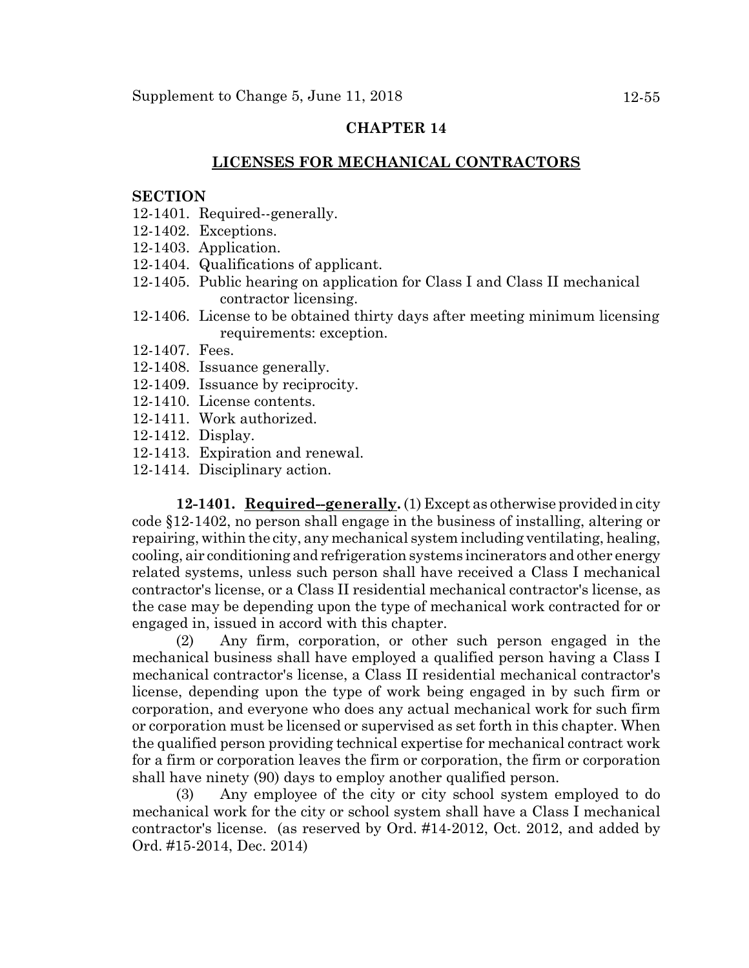### **LICENSES FOR MECHANICAL CONTRACTORS**

#### **SECTION**

- 12-1401. Required--generally.
- 12-1402. Exceptions.
- 12-1403. Application.
- 12-1404. Qualifications of applicant.
- 12-1405. Public hearing on application for Class I and Class II mechanical contractor licensing.
- 12-1406. License to be obtained thirty days after meeting minimum licensing requirements: exception.
- 12-1407. Fees.
- 12-1408. Issuance generally.
- 12-1409. Issuance by reciprocity.
- 12-1410. License contents.
- 12-1411. Work authorized.
- 12-1412. Display.
- 12-1413. Expiration and renewal.
- 12-1414. Disciplinary action.

**12-1401. Required--generally.** (1) Except as otherwise provided in city code §12-1402, no person shall engage in the business of installing, altering or repairing, within the city, any mechanical system including ventilating, healing, cooling, air conditioning and refrigeration systems incinerators and other energy related systems, unless such person shall have received a Class I mechanical contractor's license, or a Class II residential mechanical contractor's license, as the case may be depending upon the type of mechanical work contracted for or engaged in, issued in accord with this chapter.

(2) Any firm, corporation, or other such person engaged in the mechanical business shall have employed a qualified person having a Class I mechanical contractor's license, a Class II residential mechanical contractor's license, depending upon the type of work being engaged in by such firm or corporation, and everyone who does any actual mechanical work for such firm or corporation must be licensed or supervised as set forth in this chapter. When the qualified person providing technical expertise for mechanical contract work for a firm or corporation leaves the firm or corporation, the firm or corporation shall have ninety (90) days to employ another qualified person.

(3) Any employee of the city or city school system employed to do mechanical work for the city or school system shall have a Class I mechanical contractor's license. (as reserved by Ord. #14-2012, Oct. 2012, and added by Ord. #15-2014, Dec. 2014)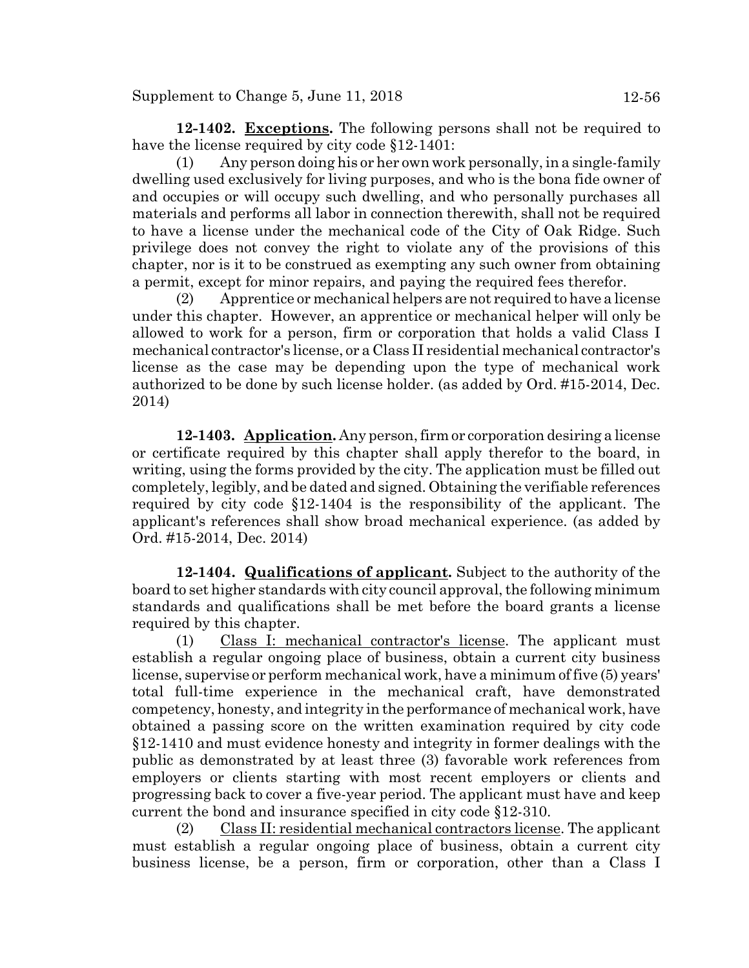**12-1402. Exceptions.** The following persons shall not be required to have the license required by city code §12-1401:

(1) Any person doing his or her own work personally, in a single-family dwelling used exclusively for living purposes, and who is the bona fide owner of and occupies or will occupy such dwelling, and who personally purchases all materials and performs all labor in connection therewith, shall not be required to have a license under the mechanical code of the City of Oak Ridge. Such privilege does not convey the right to violate any of the provisions of this chapter, nor is it to be construed as exempting any such owner from obtaining a permit, except for minor repairs, and paying the required fees therefor.

(2) Apprentice or mechanical helpers are not required to have a license under this chapter. However, an apprentice or mechanical helper will only be allowed to work for a person, firm or corporation that holds a valid Class I mechanical contractor's license, or a Class II residential mechanical contractor's license as the case may be depending upon the type of mechanical work authorized to be done by such license holder. (as added by Ord. #15-2014, Dec. 2014)

**12-1403. Application.** Any person, firm or corporation desiring a license or certificate required by this chapter shall apply therefor to the board, in writing, using the forms provided by the city. The application must be filled out completely, legibly, and be dated and signed. Obtaining the verifiable references required by city code §12-1404 is the responsibility of the applicant. The applicant's references shall show broad mechanical experience. (as added by Ord. #15-2014, Dec. 2014)

**12-1404. Qualifications of applicant.** Subject to the authority of the board to set higher standards with city council approval, the following minimum standards and qualifications shall be met before the board grants a license required by this chapter.

(1) Class I: mechanical contractor's license. The applicant must establish a regular ongoing place of business, obtain a current city business license, supervise or perform mechanical work, have a minimum of five (5) years' total full-time experience in the mechanical craft, have demonstrated competency, honesty, and integrity in the performance of mechanical work, have obtained a passing score on the written examination required by city code §12-1410 and must evidence honesty and integrity in former dealings with the public as demonstrated by at least three (3) favorable work references from employers or clients starting with most recent employers or clients and progressing back to cover a five-year period. The applicant must have and keep current the bond and insurance specified in city code §12-310.

(2) Class II: residential mechanical contractors license. The applicant must establish a regular ongoing place of business, obtain a current city business license, be a person, firm or corporation, other than a Class I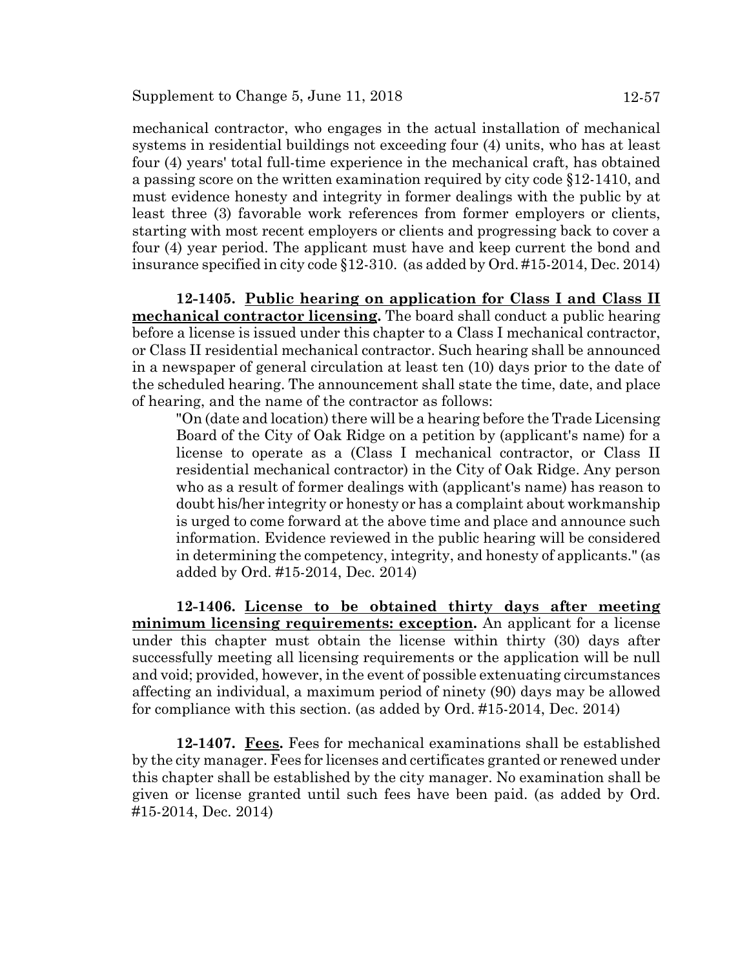mechanical contractor, who engages in the actual installation of mechanical systems in residential buildings not exceeding four (4) units, who has at least four (4) years' total full-time experience in the mechanical craft, has obtained a passing score on the written examination required by city code §12-1410, and must evidence honesty and integrity in former dealings with the public by at least three (3) favorable work references from former employers or clients, starting with most recent employers or clients and progressing back to cover a four (4) year period. The applicant must have and keep current the bond and insurance specified in city code §12-310. (as added by Ord. #15-2014, Dec. 2014)

**12-1405. Public hearing on application for Class I and Class II mechanical contractor licensing.** The board shall conduct a public hearing before a license is issued under this chapter to a Class I mechanical contractor, or Class II residential mechanical contractor. Such hearing shall be announced in a newspaper of general circulation at least ten (10) days prior to the date of the scheduled hearing. The announcement shall state the time, date, and place of hearing, and the name of the contractor as follows:

"On (date and location) there will be a hearing before the Trade Licensing Board of the City of Oak Ridge on a petition by (applicant's name) for a license to operate as a (Class I mechanical contractor, or Class II residential mechanical contractor) in the City of Oak Ridge. Any person who as a result of former dealings with (applicant's name) has reason to doubt his/her integrity or honesty or has a complaint about workmanship is urged to come forward at the above time and place and announce such information. Evidence reviewed in the public hearing will be considered in determining the competency, integrity, and honesty of applicants." (as added by Ord. #15-2014, Dec. 2014)

**12-1406. License to be obtained thirty days after meeting minimum licensing requirements: exception.** An applicant for a license under this chapter must obtain the license within thirty (30) days after successfully meeting all licensing requirements or the application will be null and void; provided, however, in the event of possible extenuating circumstances affecting an individual, a maximum period of ninety (90) days may be allowed for compliance with this section. (as added by Ord. #15-2014, Dec. 2014)

**12-1407. Fees.** Fees for mechanical examinations shall be established by the city manager. Fees for licenses and certificates granted or renewed under this chapter shall be established by the city manager. No examination shall be given or license granted until such fees have been paid. (as added by Ord. #15-2014, Dec. 2014)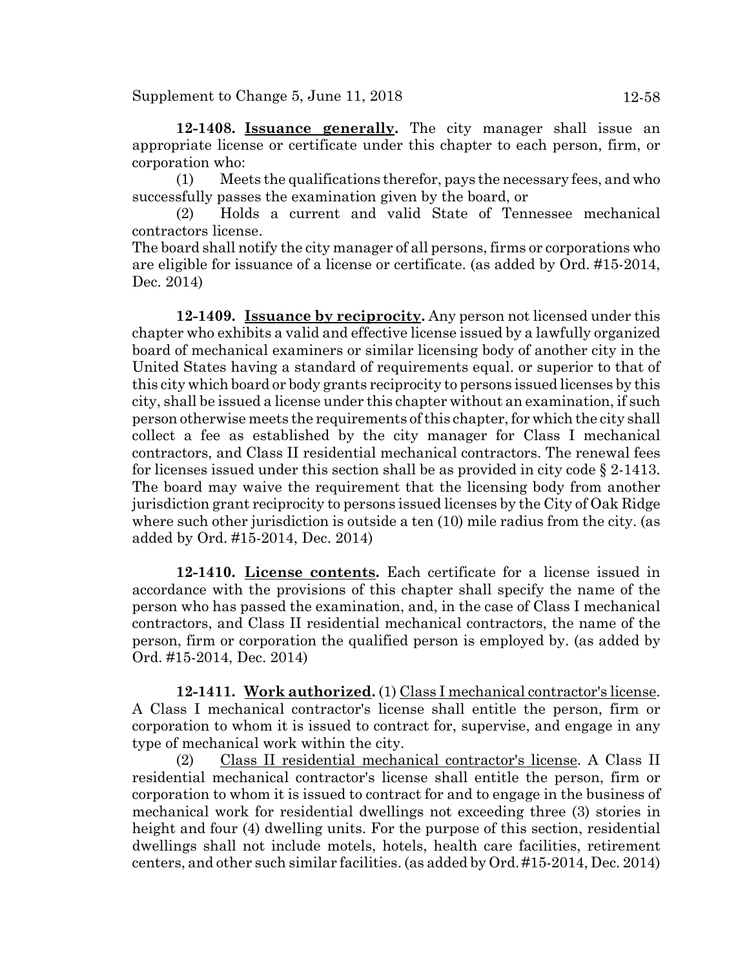**12-1408. Issuance generally.** The city manager shall issue an appropriate license or certificate under this chapter to each person, firm, or corporation who:

(1) Meets the qualifications therefor, pays the necessary fees, and who successfully passes the examination given by the board, or

(2) Holds a current and valid State of Tennessee mechanical contractors license.

The board shall notify the city manager of all persons, firms or corporations who are eligible for issuance of a license or certificate. (as added by Ord. #15-2014, Dec. 2014)

**12-1409. Issuance by reciprocity.** Any person not licensed under this chapter who exhibits a valid and effective license issued by a lawfully organized board of mechanical examiners or similar licensing body of another city in the United States having a standard of requirements equal. or superior to that of this city which board or body grants reciprocity to persons issued licenses by this city, shall be issued a license under this chapter without an examination, if such person otherwise meets the requirements of this chapter, for which the city shall collect a fee as established by the city manager for Class I mechanical contractors, and Class II residential mechanical contractors. The renewal fees for licenses issued under this section shall be as provided in city code § 2-1413. The board may waive the requirement that the licensing body from another jurisdiction grant reciprocity to persons issued licenses by the City of Oak Ridge where such other jurisdiction is outside a ten (10) mile radius from the city. (as added by Ord. #15-2014, Dec. 2014)

**12-1410. License contents.** Each certificate for a license issued in accordance with the provisions of this chapter shall specify the name of the person who has passed the examination, and, in the case of Class I mechanical contractors, and Class II residential mechanical contractors, the name of the person, firm or corporation the qualified person is employed by. (as added by Ord. #15-2014, Dec. 2014)

**12-1411. Work authorized.** (1) Class I mechanical contractor's license. A Class I mechanical contractor's license shall entitle the person, firm or corporation to whom it is issued to contract for, supervise, and engage in any type of mechanical work within the city.

(2) Class II residential mechanical contractor's license. A Class II residential mechanical contractor's license shall entitle the person, firm or corporation to whom it is issued to contract for and to engage in the business of mechanical work for residential dwellings not exceeding three (3) stories in height and four (4) dwelling units. For the purpose of this section, residential dwellings shall not include motels, hotels, health care facilities, retirement centers, and other such similar facilities. (as added by Ord. #15-2014, Dec. 2014)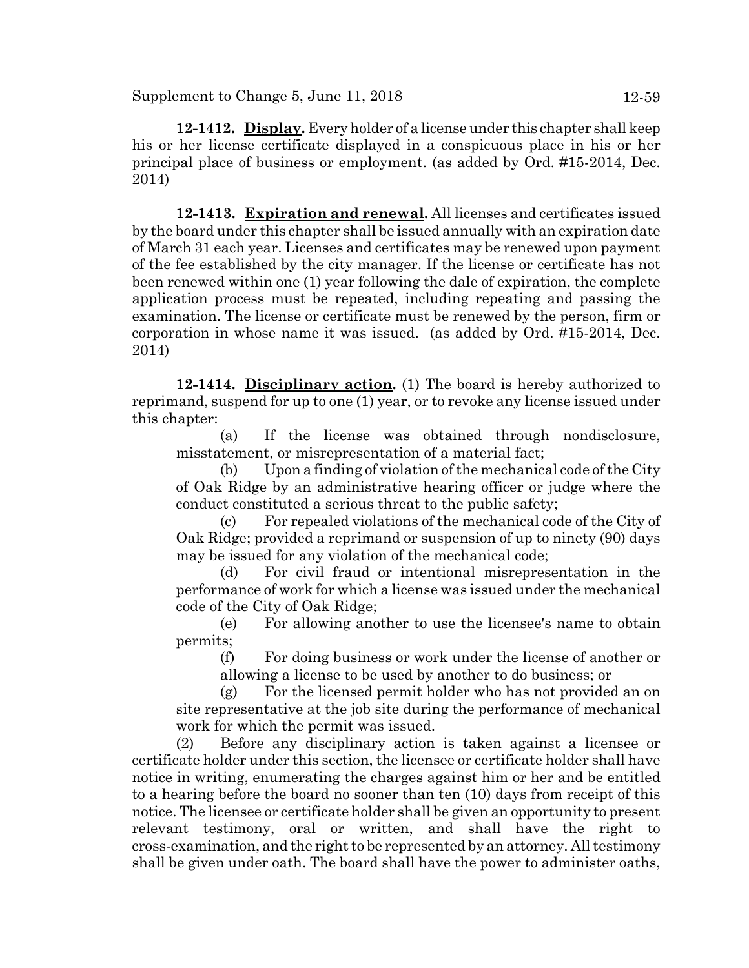Supplement to Change  $5$ , June  $11$ ,  $2018$  12-59

**12-1412. Display.** Every holder of a license under this chapter shall keep his or her license certificate displayed in a conspicuous place in his or her principal place of business or employment. (as added by Ord. #15-2014, Dec. 2014)

**12-1413. Expiration and renewal.** All licenses and certificates issued by the board under this chapter shall be issued annually with an expiration date of March 31 each year. Licenses and certificates may be renewed upon payment of the fee established by the city manager. If the license or certificate has not been renewed within one (1) year following the dale of expiration, the complete application process must be repeated, including repeating and passing the examination. The license or certificate must be renewed by the person, firm or corporation in whose name it was issued. (as added by Ord. #15-2014, Dec. 2014)

**12-1414. Disciplinary action.** (1) The board is hereby authorized to reprimand, suspend for up to one (1) year, or to revoke any license issued under this chapter:

(a) If the license was obtained through nondisclosure, misstatement, or misrepresentation of a material fact;

(b) Upon a finding of violation of the mechanical code of the City of Oak Ridge by an administrative hearing officer or judge where the conduct constituted a serious threat to the public safety;

(c) For repealed violations of the mechanical code of the City of Oak Ridge; provided a reprimand or suspension of up to ninety (90) days may be issued for any violation of the mechanical code;

(d) For civil fraud or intentional misrepresentation in the performance of work for which a license was issued under the mechanical code of the City of Oak Ridge;

(e) For allowing another to use the licensee's name to obtain permits;

(f) For doing business or work under the license of another or allowing a license to be used by another to do business; or

(g) For the licensed permit holder who has not provided an on site representative at the job site during the performance of mechanical work for which the permit was issued.

(2) Before any disciplinary action is taken against a licensee or certificate holder under this section, the licensee or certificate holder shall have notice in writing, enumerating the charges against him or her and be entitled to a hearing before the board no sooner than ten (10) days from receipt of this notice. The licensee or certificate holder shall be given an opportunity to present relevant testimony, oral or written, and shall have the right to cross-examination, and the right to be represented by an attorney. All testimony shall be given under oath. The board shall have the power to administer oaths,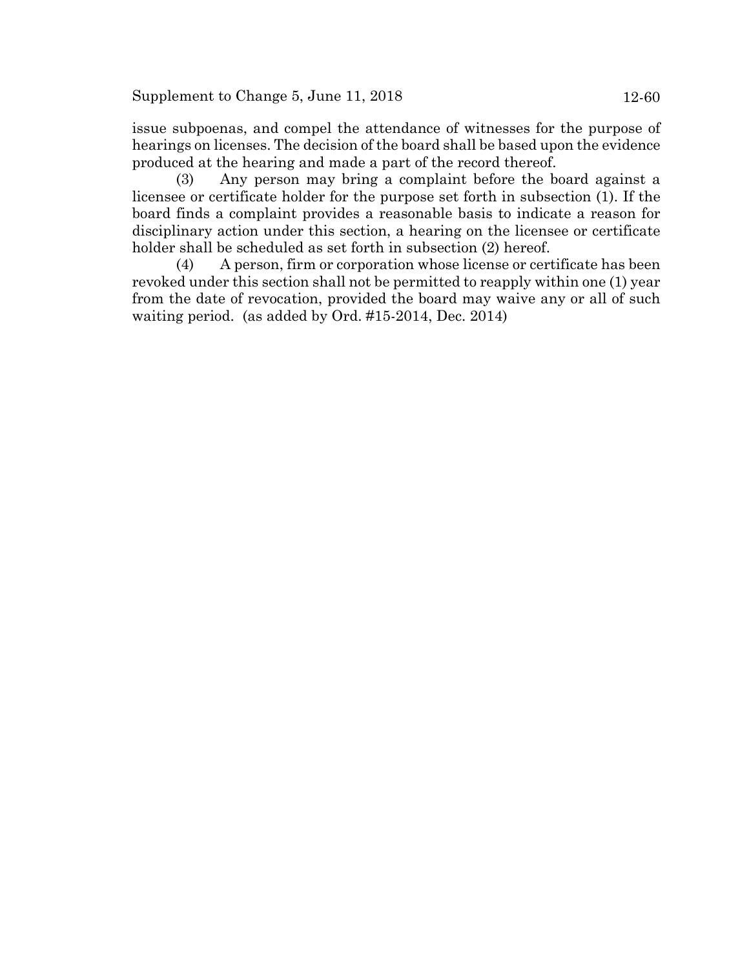issue subpoenas, and compel the attendance of witnesses for the purpose of hearings on licenses. The decision of the board shall be based upon the evidence produced at the hearing and made a part of the record thereof.

(3) Any person may bring a complaint before the board against a licensee or certificate holder for the purpose set forth in subsection (1). If the board finds a complaint provides a reasonable basis to indicate a reason for disciplinary action under this section, a hearing on the licensee or certificate holder shall be scheduled as set forth in subsection (2) hereof.

(4) A person, firm or corporation whose license or certificate has been revoked under this section shall not be permitted to reapply within one (1) year from the date of revocation, provided the board may waive any or all of such waiting period. (as added by Ord. #15-2014, Dec. 2014)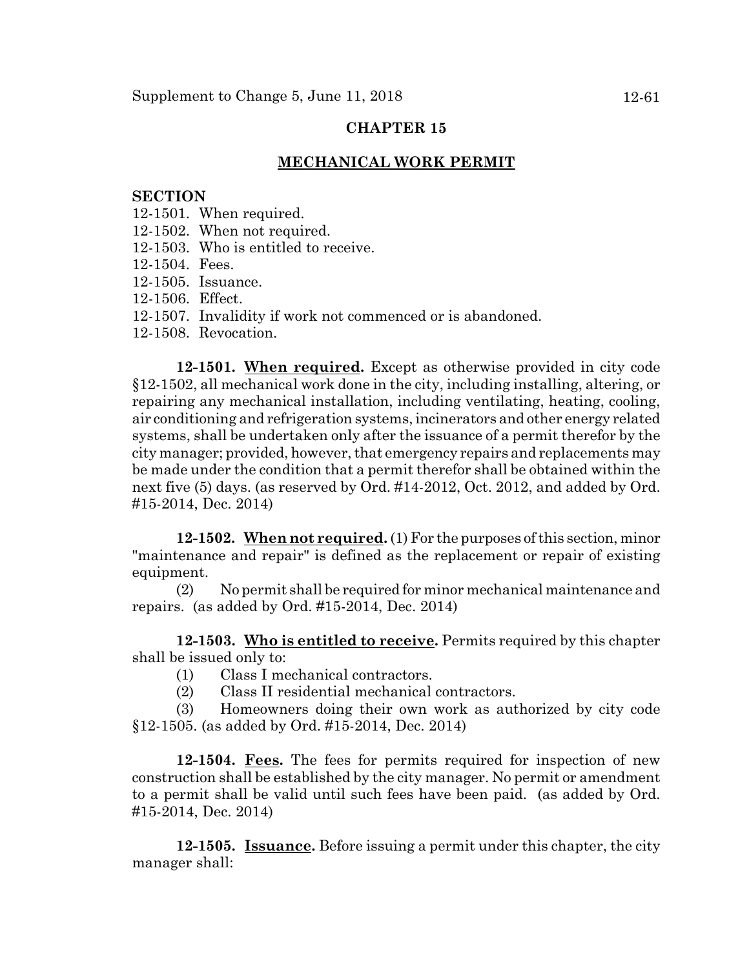### **MECHANICAL WORK PERMIT**

#### **SECTION**

- 12-1501. When required.
- 12-1502. When not required.
- 12-1503. Who is entitled to receive.
- 12-1504. Fees.
- 12-1505. Issuance.
- 12-1506. Effect.
- 12-1507. Invalidity if work not commenced or is abandoned.
- 12-1508. Revocation.

**12-1501. When required.** Except as otherwise provided in city code §12-1502, all mechanical work done in the city, including installing, altering, or repairing any mechanical installation, including ventilating, heating, cooling, air conditioning and refrigeration systems, incinerators and other energy related systems, shall be undertaken only after the issuance of a permit therefor by the city manager; provided, however, that emergency repairs and replacements may be made under the condition that a permit therefor shall be obtained within the next five (5) days. (as reserved by Ord. #14-2012, Oct. 2012, and added by Ord. #15-2014, Dec. 2014)

**12-1502. When not required.** (1) For the purposes of this section, minor "maintenance and repair" is defined as the replacement or repair of existing equipment.

(2) No permit shall be required for minor mechanical maintenance and repairs. (as added by Ord. #15-2014, Dec. 2014)

**12-1503. Who is entitled to receive.** Permits required by this chapter shall be issued only to:

- (1) Class I mechanical contractors.
- (2) Class II residential mechanical contractors.

(3) Homeowners doing their own work as authorized by city code §12-1505. (as added by Ord. #15-2014, Dec. 2014)

**12-1504. Fees.** The fees for permits required for inspection of new construction shall be established by the city manager. No permit or amendment to a permit shall be valid until such fees have been paid. (as added by Ord. #15-2014, Dec. 2014)

**12-1505. Issuance.** Before issuing a permit under this chapter, the city manager shall: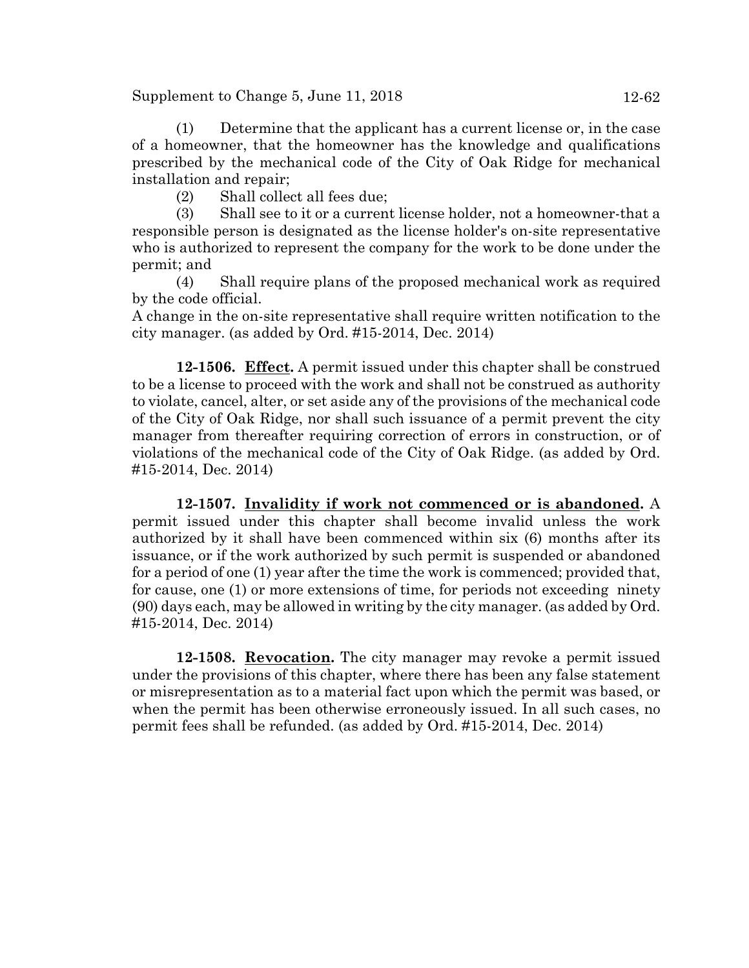Supplement to Change  $5$ , June  $11$ ,  $2018$  12-62

(1) Determine that the applicant has a current license or, in the case of a homeowner, that the homeowner has the knowledge and qualifications prescribed by the mechanical code of the City of Oak Ridge for mechanical installation and repair;

(2) Shall collect all fees due;

(3) Shall see to it or a current license holder, not a homeowner-that a responsible person is designated as the license holder's on-site representative who is authorized to represent the company for the work to be done under the permit; and

(4) Shall require plans of the proposed mechanical work as required by the code official.

A change in the on-site representative shall require written notification to the city manager. (as added by Ord. #15-2014, Dec. 2014)

**12-1506. Effect.** A permit issued under this chapter shall be construed to be a license to proceed with the work and shall not be construed as authority to violate, cancel, alter, or set aside any of the provisions of the mechanical code of the City of Oak Ridge, nor shall such issuance of a permit prevent the city manager from thereafter requiring correction of errors in construction, or of violations of the mechanical code of the City of Oak Ridge. (as added by Ord. #15-2014, Dec. 2014)

**12-1507. Invalidity if work not commenced or is abandoned.** A permit issued under this chapter shall become invalid unless the work authorized by it shall have been commenced within six (6) months after its issuance, or if the work authorized by such permit is suspended or abandoned for a period of one (1) year after the time the work is commenced; provided that, for cause, one (1) or more extensions of time, for periods not exceeding ninety (90) days each, may be allowed in writing by the city manager. (as added by Ord. #15-2014, Dec. 2014)

**12-1508. Revocation.** The city manager may revoke a permit issued under the provisions of this chapter, where there has been any false statement or misrepresentation as to a material fact upon which the permit was based, or when the permit has been otherwise erroneously issued. In all such cases, no permit fees shall be refunded. (as added by Ord. #15-2014, Dec. 2014)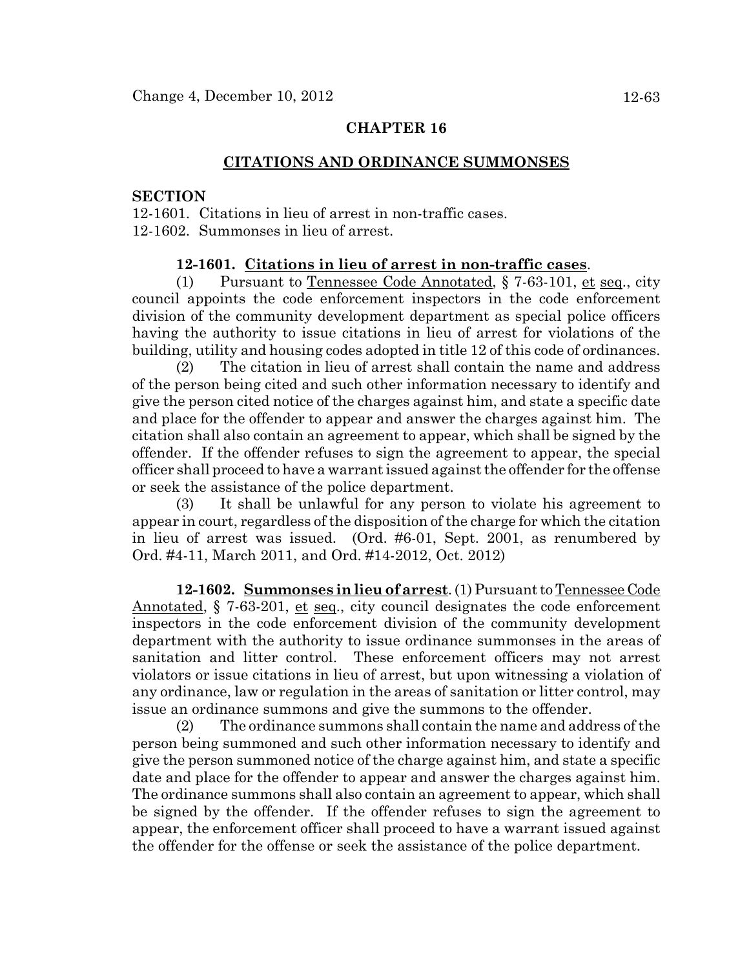### **CITATIONS AND ORDINANCE SUMMONSES**

#### **SECTION**

12-1601. Citations in lieu of arrest in non-traffic cases. 12-1602. Summonses in lieu of arrest.

### **12-1601. Citations in lieu of arrest in non-traffic cases**.

(1) Pursuant to Tennessee Code Annotated, § 7-63-101, et seq., city council appoints the code enforcement inspectors in the code enforcement division of the community development department as special police officers having the authority to issue citations in lieu of arrest for violations of the building, utility and housing codes adopted in title 12 of this code of ordinances.

(2) The citation in lieu of arrest shall contain the name and address of the person being cited and such other information necessary to identify and give the person cited notice of the charges against him, and state a specific date and place for the offender to appear and answer the charges against him. The citation shall also contain an agreement to appear, which shall be signed by the offender. If the offender refuses to sign the agreement to appear, the special officer shall proceed to have a warrant issued against the offender for the offense or seek the assistance of the police department.

(3) It shall be unlawful for any person to violate his agreement to appear in court, regardless of the disposition of the charge for which the citation in lieu of arrest was issued. (Ord. #6-01, Sept. 2001, as renumbered by Ord. #4-11, March 2011, and Ord. #14-2012, Oct. 2012)

**12-1602. Summonses in lieu of arrest**. (1) Pursuant to Tennessee Code Annotated, § 7-63-201, et seq., city council designates the code enforcement inspectors in the code enforcement division of the community development department with the authority to issue ordinance summonses in the areas of sanitation and litter control. These enforcement officers may not arrest violators or issue citations in lieu of arrest, but upon witnessing a violation of any ordinance, law or regulation in the areas of sanitation or litter control, may issue an ordinance summons and give the summons to the offender.

(2) The ordinance summons shall contain the name and address of the person being summoned and such other information necessary to identify and give the person summoned notice of the charge against him, and state a specific date and place for the offender to appear and answer the charges against him. The ordinance summons shall also contain an agreement to appear, which shall be signed by the offender. If the offender refuses to sign the agreement to appear, the enforcement officer shall proceed to have a warrant issued against the offender for the offense or seek the assistance of the police department.